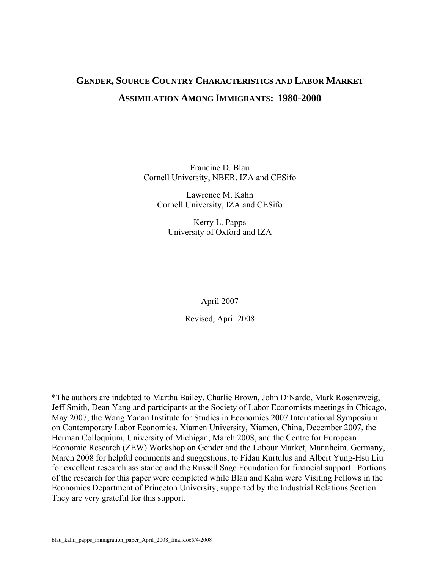# **GENDER, SOURCE COUNTRY CHARACTERISTICS AND LABOR MARKET ASSIMILATION AMONG IMMIGRANTS: 1980-2000**

Francine D. Blau Cornell University, NBER, IZA and CESifo

Lawrence M. Kahn Cornell University, IZA and CESifo

Kerry L. Papps University of Oxford and IZA

April 2007

Revised, April 2008

\*The authors are indebted to Martha Bailey, Charlie Brown, John DiNardo, Mark Rosenzweig, Jeff Smith, Dean Yang and participants at the Society of Labor Economists meetings in Chicago, May 2007, the Wang Yanan Institute for Studies in Economics 2007 International Symposium on Contemporary Labor Economics, Xiamen University, Xiamen, China, December 2007, the Herman Colloquium, University of Michigan, March 2008, and the Centre for European Economic Research (ZEW) Workshop on Gender and the Labour Market, Mannheim, Germany, March 2008 for helpful comments and suggestions, to Fidan Kurtulus and Albert Yung-Hsu Liu for excellent research assistance and the Russell Sage Foundation for financial support. Portions of the research for this paper were completed while Blau and Kahn were Visiting Fellows in the Economics Department of Princeton University, supported by the Industrial Relations Section. They are very grateful for this support.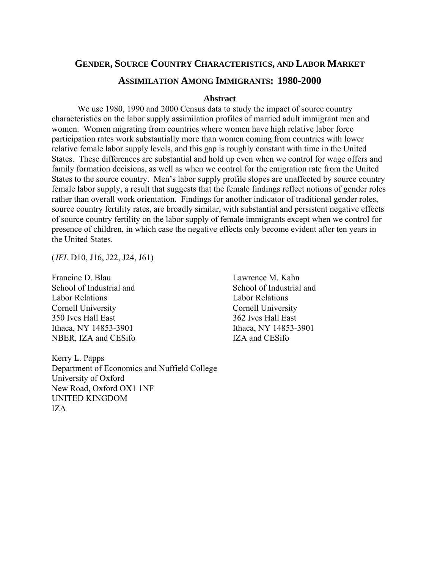# **GENDER, SOURCE COUNTRY CHARACTERISTICS, AND LABOR MARKET**

# **ASSIMILATION AMONG IMMIGRANTS: 1980-2000**

# **Abstract**

We use 1980, 1990 and 2000 Census data to study the impact of source country characteristics on the labor supply assimilation profiles of married adult immigrant men and women. Women migrating from countries where women have high relative labor force participation rates work substantially more than women coming from countries with lower relative female labor supply levels, and this gap is roughly constant with time in the United States. These differences are substantial and hold up even when we control for wage offers and family formation decisions, as well as when we control for the emigration rate from the United States to the source country. Men's labor supply profile slopes are unaffected by source country female labor supply, a result that suggests that the female findings reflect notions of gender roles rather than overall work orientation. Findings for another indicator of traditional gender roles, source country fertility rates, are broadly similar, with substantial and persistent negative effects of source country fertility on the labor supply of female immigrants except when we control for presence of children, in which case the negative effects only become evident after ten years in the United States.

(*JEL* D10, J16, J22, J24, J61)

Francine D. Blau Lawrence M. Kahn School of Industrial and School of Industrial and Labor Relations Labor Relations Cornell University Cornell University 350 Ives Hall East 362 Ives Hall East Ithaca, NY 14853-3901 Ithaca, NY 14853-3901 NBER, IZA and CESifo IZA and CESifo

Kerry L. Papps Department of Economics and Nuffield College University of Oxford New Road, Oxford OX1 1NF UNITED KINGDOM IZA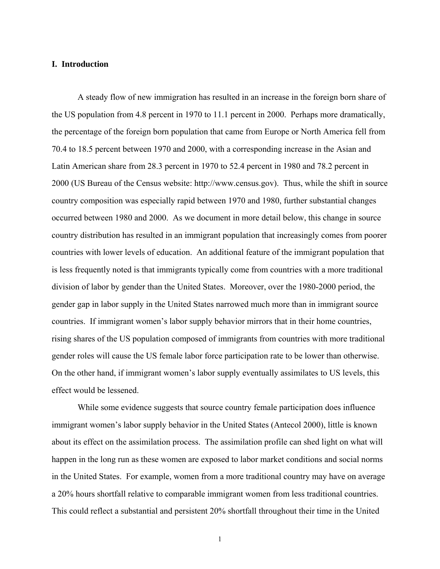# **I. Introduction**

A steady flow of new immigration has resulted in an increase in the foreign born share of the US population from 4.8 percent in 1970 to 11.1 percent in 2000. Perhaps more dramatically, the percentage of the foreign born population that came from Europe or North America fell from 70.4 to 18.5 percent between 1970 and 2000, with a corresponding increase in the Asian and Latin American share from 28.3 percent in 1970 to 52.4 percent in 1980 and 78.2 percent in 2000 (US Bureau of the Census website: http://www.census.gov). Thus, while the shift in source country composition was especially rapid between 1970 and 1980, further substantial changes occurred between 1980 and 2000. As we document in more detail below, this change in source country distribution has resulted in an immigrant population that increasingly comes from poorer countries with lower levels of education. An additional feature of the immigrant population that is less frequently noted is that immigrants typically come from countries with a more traditional division of labor by gender than the United States. Moreover, over the 1980-2000 period, the gender gap in labor supply in the United States narrowed much more than in immigrant source countries. If immigrant women's labor supply behavior mirrors that in their home countries, rising shares of the US population composed of immigrants from countries with more traditional gender roles will cause the US female labor force participation rate to be lower than otherwise. On the other hand, if immigrant women's labor supply eventually assimilates to US levels, this effect would be lessened.

While some evidence suggests that source country female participation does influence immigrant women's labor supply behavior in the United States (Antecol 2000), little is known about its effect on the assimilation process. The assimilation profile can shed light on what will happen in the long run as these women are exposed to labor market conditions and social norms in the United States. For example, women from a more traditional country may have on average a 20% hours shortfall relative to comparable immigrant women from less traditional countries. This could reflect a substantial and persistent 20% shortfall throughout their time in the United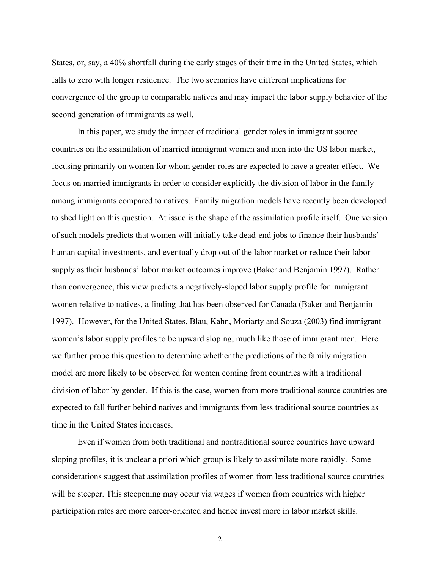States, or, say, a 40% shortfall during the early stages of their time in the United States, which falls to zero with longer residence. The two scenarios have different implications for convergence of the group to comparable natives and may impact the labor supply behavior of the second generation of immigrants as well.

In this paper, we study the impact of traditional gender roles in immigrant source countries on the assimilation of married immigrant women and men into the US labor market, focusing primarily on women for whom gender roles are expected to have a greater effect. We focus on married immigrants in order to consider explicitly the division of labor in the family among immigrants compared to natives. Family migration models have recently been developed to shed light on this question. At issue is the shape of the assimilation profile itself. One version of such models predicts that women will initially take dead-end jobs to finance their husbands' human capital investments, and eventually drop out of the labor market or reduce their labor supply as their husbands' labor market outcomes improve (Baker and Benjamin 1997). Rather than convergence, this view predicts a negatively-sloped labor supply profile for immigrant women relative to natives, a finding that has been observed for Canada (Baker and Benjamin 1997). However, for the United States, Blau, Kahn, Moriarty and Souza (2003) find immigrant women's labor supply profiles to be upward sloping, much like those of immigrant men. Here we further probe this question to determine whether the predictions of the family migration model are more likely to be observed for women coming from countries with a traditional division of labor by gender. If this is the case, women from more traditional source countries are expected to fall further behind natives and immigrants from less traditional source countries as time in the United States increases.

Even if women from both traditional and nontraditional source countries have upward sloping profiles, it is unclear a priori which group is likely to assimilate more rapidly. Some considerations suggest that assimilation profiles of women from less traditional source countries will be steeper. This steepening may occur via wages if women from countries with higher participation rates are more career-oriented and hence invest more in labor market skills.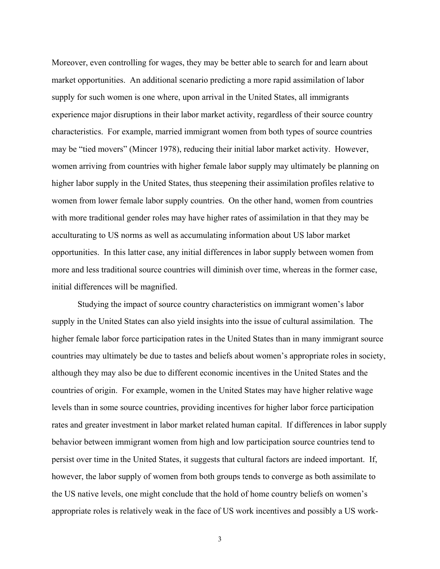Moreover, even controlling for wages, they may be better able to search for and learn about market opportunities. An additional scenario predicting a more rapid assimilation of labor supply for such women is one where, upon arrival in the United States, all immigrants experience major disruptions in their labor market activity, regardless of their source country characteristics. For example, married immigrant women from both types of source countries may be "tied movers" (Mincer 1978), reducing their initial labor market activity. However, women arriving from countries with higher female labor supply may ultimately be planning on higher labor supply in the United States, thus steepening their assimilation profiles relative to women from lower female labor supply countries. On the other hand, women from countries with more traditional gender roles may have higher rates of assimilation in that they may be acculturating to US norms as well as accumulating information about US labor market opportunities. In this latter case, any initial differences in labor supply between women from more and less traditional source countries will diminish over time, whereas in the former case, initial differences will be magnified.

Studying the impact of source country characteristics on immigrant women's labor supply in the United States can also yield insights into the issue of cultural assimilation. The higher female labor force participation rates in the United States than in many immigrant source countries may ultimately be due to tastes and beliefs about women's appropriate roles in society, although they may also be due to different economic incentives in the United States and the countries of origin. For example, women in the United States may have higher relative wage levels than in some source countries, providing incentives for higher labor force participation rates and greater investment in labor market related human capital. If differences in labor supply behavior between immigrant women from high and low participation source countries tend to persist over time in the United States, it suggests that cultural factors are indeed important. If, however, the labor supply of women from both groups tends to converge as both assimilate to the US native levels, one might conclude that the hold of home country beliefs on women's appropriate roles is relatively weak in the face of US work incentives and possibly a US work-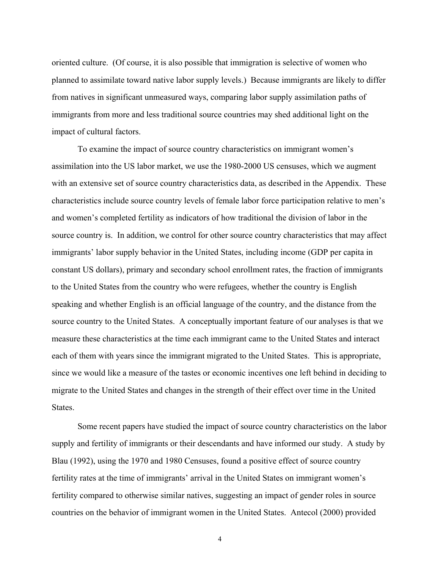oriented culture. (Of course, it is also possible that immigration is selective of women who planned to assimilate toward native labor supply levels.) Because immigrants are likely to differ from natives in significant unmeasured ways, comparing labor supply assimilation paths of immigrants from more and less traditional source countries may shed additional light on the impact of cultural factors.

To examine the impact of source country characteristics on immigrant women's assimilation into the US labor market, we use the 1980-2000 US censuses, which we augment with an extensive set of source country characteristics data, as described in the Appendix. These characteristics include source country levels of female labor force participation relative to men's and women's completed fertility as indicators of how traditional the division of labor in the source country is. In addition, we control for other source country characteristics that may affect immigrants' labor supply behavior in the United States, including income (GDP per capita in constant US dollars), primary and secondary school enrollment rates, the fraction of immigrants to the United States from the country who were refugees, whether the country is English speaking and whether English is an official language of the country, and the distance from the source country to the United States. A conceptually important feature of our analyses is that we measure these characteristics at the time each immigrant came to the United States and interact each of them with years since the immigrant migrated to the United States. This is appropriate, since we would like a measure of the tastes or economic incentives one left behind in deciding to migrate to the United States and changes in the strength of their effect over time in the United States.

 Some recent papers have studied the impact of source country characteristics on the labor supply and fertility of immigrants or their descendants and have informed our study. A study by Blau (1992), using the 1970 and 1980 Censuses, found a positive effect of source country fertility rates at the time of immigrants' arrival in the United States on immigrant women's fertility compared to otherwise similar natives, suggesting an impact of gender roles in source countries on the behavior of immigrant women in the United States. Antecol (2000) provided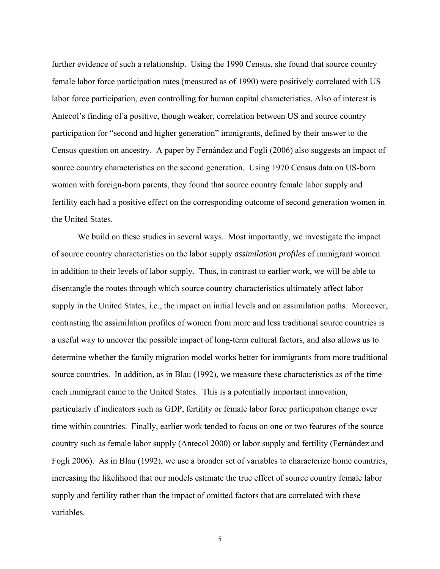further evidence of such a relationship. Using the 1990 Census, she found that source country female labor force participation rates (measured as of 1990) were positively correlated with US labor force participation, even controlling for human capital characteristics. Also of interest is Antecol's finding of a positive, though weaker, correlation between US and source country participation for "second and higher generation" immigrants, defined by their answer to the Census question on ancestry. A paper by Fernández and Fogli (2006) also suggests an impact of source country characteristics on the second generation. Using 1970 Census data on US-born women with foreign-born parents, they found that source country female labor supply and fertility each had a positive effect on the corresponding outcome of second generation women in the United States.

 We build on these studies in several ways. Most importantly, we investigate the impact of source country characteristics on the labor supply *assimilation profiles* of immigrant women in addition to their levels of labor supply. Thus, in contrast to earlier work, we will be able to disentangle the routes through which source country characteristics ultimately affect labor supply in the United States, i.e., the impact on initial levels and on assimilation paths. Moreover, contrasting the assimilation profiles of women from more and less traditional source countries is a useful way to uncover the possible impact of long-term cultural factors, and also allows us to determine whether the family migration model works better for immigrants from more traditional source countries. In addition, as in Blau (1992), we measure these characteristics as of the time each immigrant came to the United States. This is a potentially important innovation, particularly if indicators such as GDP, fertility or female labor force participation change over time within countries. Finally, earlier work tended to focus on one or two features of the source country such as female labor supply (Antecol 2000) or labor supply and fertility (Fernández and Fogli 2006). As in Blau (1992), we use a broader set of variables to characterize home countries, increasing the likelihood that our models estimate the true effect of source country female labor supply and fertility rather than the impact of omitted factors that are correlated with these variables.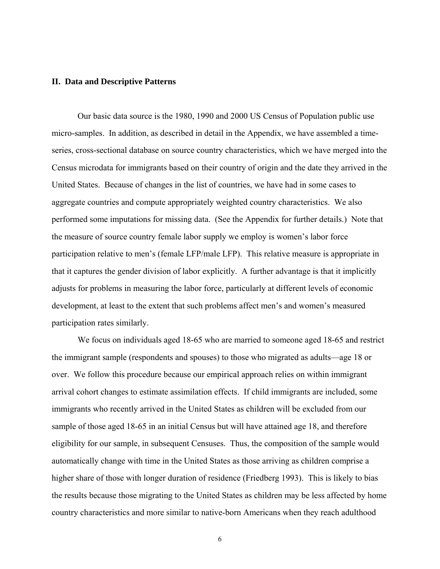#### **II. Data and Descriptive Patterns**

 Our basic data source is the 1980, 1990 and 2000 US Census of Population public use micro-samples. In addition, as described in detail in the Appendix, we have assembled a timeseries, cross-sectional database on source country characteristics, which we have merged into the Census microdata for immigrants based on their country of origin and the date they arrived in the United States. Because of changes in the list of countries, we have had in some cases to aggregate countries and compute appropriately weighted country characteristics. We also performed some imputations for missing data. (See the Appendix for further details.) Note that the measure of source country female labor supply we employ is women's labor force participation relative to men's (female LFP/male LFP). This relative measure is appropriate in that it captures the gender division of labor explicitly. A further advantage is that it implicitly adjusts for problems in measuring the labor force, particularly at different levels of economic development, at least to the extent that such problems affect men's and women's measured participation rates similarly.

We focus on individuals aged 18-65 who are married to someone aged 18-65 and restrict the immigrant sample (respondents and spouses) to those who migrated as adults—age 18 or over. We follow this procedure because our empirical approach relies on within immigrant arrival cohort changes to estimate assimilation effects. If child immigrants are included, some immigrants who recently arrived in the United States as children will be excluded from our sample of those aged 18-65 in an initial Census but will have attained age 18, and therefore eligibility for our sample, in subsequent Censuses. Thus, the composition of the sample would automatically change with time in the United States as those arriving as children comprise a higher share of those with longer duration of residence (Friedberg 1993). This is likely to bias the results because those migrating to the United States as children may be less affected by home country characteristics and more similar to native-born Americans when they reach adulthood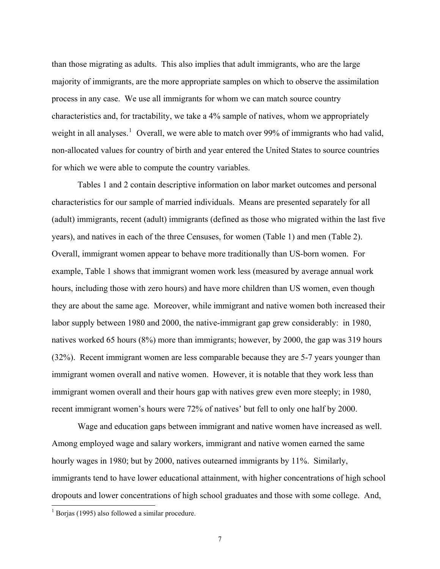than those migrating as adults. This also implies that adult immigrants, who are the large majority of immigrants, are the more appropriate samples on which to observe the assimilation process in any case. We use all immigrants for whom we can match source country characteristics and, for tractability, we take a 4% sample of natives, whom we appropriately weight in all analyses.<sup>[1](#page-8-0)</sup> Overall, we were able to match over 99% of immigrants who had valid, non-allocated values for country of birth and year entered the United States to source countries for which we were able to compute the country variables.

 Tables 1 and 2 contain descriptive information on labor market outcomes and personal characteristics for our sample of married individuals. Means are presented separately for all (adult) immigrants, recent (adult) immigrants (defined as those who migrated within the last five years), and natives in each of the three Censuses, for women (Table 1) and men (Table 2). Overall, immigrant women appear to behave more traditionally than US-born women. For example, Table 1 shows that immigrant women work less (measured by average annual work hours, including those with zero hours) and have more children than US women, even though they are about the same age. Moreover, while immigrant and native women both increased their labor supply between 1980 and 2000, the native-immigrant gap grew considerably: in 1980, natives worked 65 hours (8%) more than immigrants; however, by 2000, the gap was 319 hours (32%). Recent immigrant women are less comparable because they are 5-7 years younger than immigrant women overall and native women. However, it is notable that they work less than immigrant women overall and their hours gap with natives grew even more steeply; in 1980, recent immigrant women's hours were 72% of natives' but fell to only one half by 2000.

Wage and education gaps between immigrant and native women have increased as well. Among employed wage and salary workers, immigrant and native women earned the same hourly wages in 1980; but by 2000, natives outearned immigrants by 11%. Similarly, immigrants tend to have lower educational attainment, with higher concentrations of high school dropouts and lower concentrations of high school graduates and those with some college. And,

 $\overline{a}$ 

<span id="page-8-0"></span><sup>1</sup> Borjas (1995) also followed a similar procedure.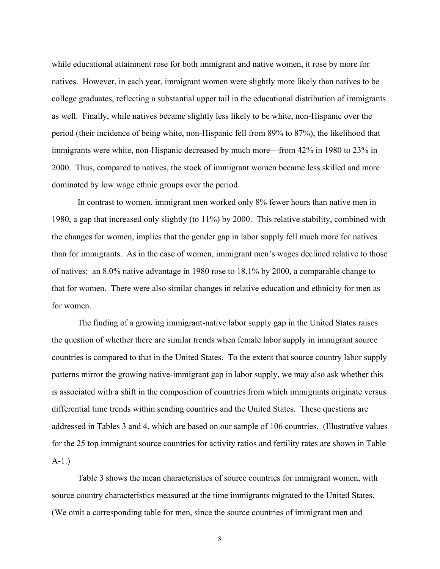while educational attainment rose for both immigrant and native women, it rose by more for natives. However, in each year, immigrant women were slightly more likely than natives to be college graduates, reflecting a substantial upper tail in the educational distribution of immigrants as well. Finally, while natives became slightly less likely to be white, non-Hispanic over the period (their incidence of being white, non-Hispanic fell from 89% to 87%), the likelihood that immigrants were white, non-Hispanic decreased by much more—from 42% in 1980 to 23% in 2000. Thus, compared to natives, the stock of immigrant women became less skilled and more dominated by low wage ethnic groups over the period.

 In contrast to women, immigrant men worked only 8% fewer hours than native men in 1980, a gap that increased only slightly (to 11%) by 2000. This relative stability, combined with the changes for women, implies that the gender gap in labor supply fell much more for natives than for immigrants. As in the case of women, immigrant men's wages declined relative to those of natives: an 8.0% native advantage in 1980 rose to 18.1% by 2000, a comparable change to that for women. There were also similar changes in relative education and ethnicity for men as for women.

 The finding of a growing immigrant-native labor supply gap in the United States raises the question of whether there are similar trends when female labor supply in immigrant source countries is compared to that in the United States. To the extent that source country labor supply patterns mirror the growing native-immigrant gap in labor supply, we may also ask whether this is associated with a shift in the composition of countries from which immigrants originate versus differential time trends within sending countries and the United States. These questions are addressed in Tables 3 and 4, which are based on our sample of 106 countries. (Illustrative values for the 25 top immigrant source countries for activity ratios and fertility rates are shown in Table A-1.)

Table 3 shows the mean characteristics of source countries for immigrant women, with source country characteristics measured at the time immigrants migrated to the United States. (We omit a corresponding table for men, since the source countries of immigrant men and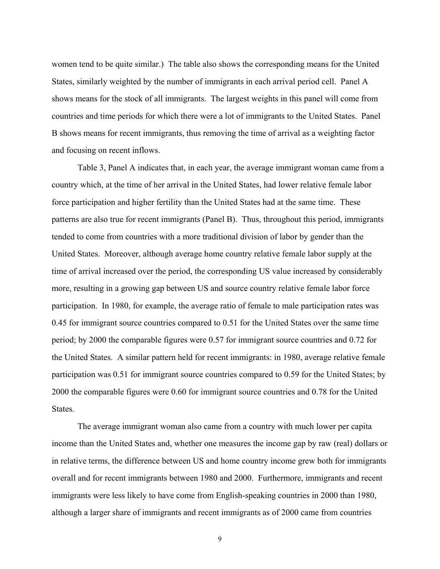women tend to be quite similar.) The table also shows the corresponding means for the United States, similarly weighted by the number of immigrants in each arrival period cell. Panel A shows means for the stock of all immigrants. The largest weights in this panel will come from countries and time periods for which there were a lot of immigrants to the United States. Panel B shows means for recent immigrants, thus removing the time of arrival as a weighting factor and focusing on recent inflows.

 Table 3, Panel A indicates that, in each year, the average immigrant woman came from a country which, at the time of her arrival in the United States, had lower relative female labor force participation and higher fertility than the United States had at the same time. These patterns are also true for recent immigrants (Panel B). Thus, throughout this period, immigrants tended to come from countries with a more traditional division of labor by gender than the United States. Moreover, although average home country relative female labor supply at the time of arrival increased over the period, the corresponding US value increased by considerably more, resulting in a growing gap between US and source country relative female labor force participation. In 1980, for example, the average ratio of female to male participation rates was 0.45 for immigrant source countries compared to 0.51 for the United States over the same time period; by 2000 the comparable figures were 0.57 for immigrant source countries and 0.72 for the United States. A similar pattern held for recent immigrants: in 1980, average relative female participation was 0.51 for immigrant source countries compared to 0.59 for the United States; by 2000 the comparable figures were 0.60 for immigrant source countries and 0.78 for the United **States**.

 The average immigrant woman also came from a country with much lower per capita income than the United States and, whether one measures the income gap by raw (real) dollars or in relative terms, the difference between US and home country income grew both for immigrants overall and for recent immigrants between 1980 and 2000. Furthermore, immigrants and recent immigrants were less likely to have come from English-speaking countries in 2000 than 1980, although a larger share of immigrants and recent immigrants as of 2000 came from countries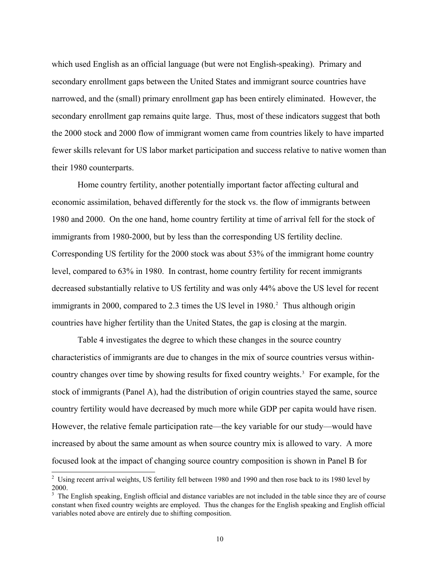which used English as an official language (but were not English-speaking). Primary and secondary enrollment gaps between the United States and immigrant source countries have narrowed, and the (small) primary enrollment gap has been entirely eliminated. However, the secondary enrollment gap remains quite large. Thus, most of these indicators suggest that both the 2000 stock and 2000 flow of immigrant women came from countries likely to have imparted fewer skills relevant for US labor market participation and success relative to native women than their 1980 counterparts.

 Home country fertility, another potentially important factor affecting cultural and economic assimilation, behaved differently for the stock vs. the flow of immigrants between 1980 and 2000. On the one hand, home country fertility at time of arrival fell for the stock of immigrants from 1980-2000, but by less than the corresponding US fertility decline. Corresponding US fertility for the 2000 stock was about 53% of the immigrant home country level, compared to 63% in 1980. In contrast, home country fertility for recent immigrants decreased substantially relative to US fertility and was only 44% above the US level for recent immigrants in [2](#page-11-0)000, compared to 2.3 times the US level in  $1980<sup>2</sup>$  Thus although origin countries have higher fertility than the United States, the gap is closing at the margin.

 Table 4 investigates the degree to which these changes in the source country characteristics of immigrants are due to changes in the mix of source countries versus withincountry changes over time by showing results for fixed country weights.<sup>3</sup> For example, for the stock of immigrants (Panel A), had the distribution of origin countries stayed the same, source country fertility would have decreased by much more while GDP per capita would have risen. However, the relative female participation rate—the key variable for our study—would have increased by about the same amount as when source country mix is allowed to vary. A more focused look at the impact of changing source country composition is shown in Panel B for

<sup>&</sup>lt;sup>2</sup> Using recent arrival weights, US fertility fell between 1980 and 1990 and then rose back to its 1980 level by 2000.

<span id="page-11-1"></span><span id="page-11-0"></span><sup>&</sup>lt;sup>3</sup> The English speaking, English official and distance variables are not included in the table since they are of course constant when fixed country weights are employed. Thus the changes for the English speaking and English official variables noted above are entirely due to shifting composition.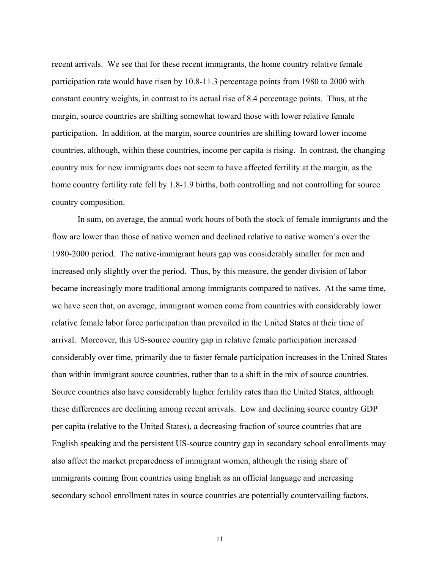recent arrivals. We see that for these recent immigrants, the home country relative female participation rate would have risen by 10.8-11.3 percentage points from 1980 to 2000 with constant country weights, in contrast to its actual rise of 8.4 percentage points. Thus, at the margin, source countries are shifting somewhat toward those with lower relative female participation. In addition, at the margin, source countries are shifting toward lower income countries, although, within these countries, income per capita is rising. In contrast, the changing country mix for new immigrants does not seem to have affected fertility at the margin, as the home country fertility rate fell by 1.8-1.9 births, both controlling and not controlling for source country composition.

 In sum, on average, the annual work hours of both the stock of female immigrants and the flow are lower than those of native women and declined relative to native women's over the 1980-2000 period. The native-immigrant hours gap was considerably smaller for men and increased only slightly over the period. Thus, by this measure, the gender division of labor became increasingly more traditional among immigrants compared to natives. At the same time, we have seen that, on average, immigrant women come from countries with considerably lower relative female labor force participation than prevailed in the United States at their time of arrival. Moreover, this US-source country gap in relative female participation increased considerably over time, primarily due to faster female participation increases in the United States than within immigrant source countries, rather than to a shift in the mix of source countries. Source countries also have considerably higher fertility rates than the United States, although these differences are declining among recent arrivals. Low and declining source country GDP per capita (relative to the United States), a decreasing fraction of source countries that are English speaking and the persistent US-source country gap in secondary school enrollments may also affect the market preparedness of immigrant women, although the rising share of immigrants coming from countries using English as an official language and increasing secondary school enrollment rates in source countries are potentially countervailing factors.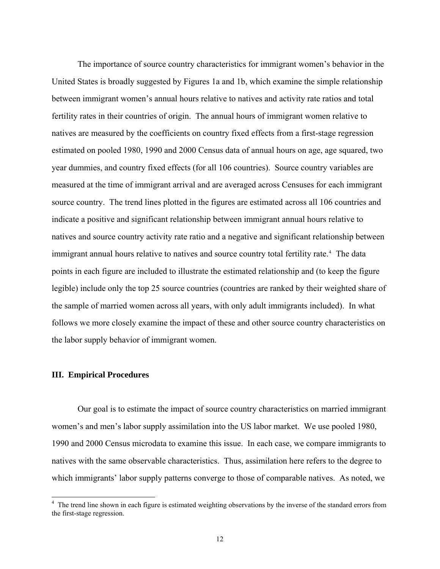The importance of source country characteristics for immigrant women's behavior in the United States is broadly suggested by Figures 1a and 1b, which examine the simple relationship between immigrant women's annual hours relative to natives and activity rate ratios and total fertility rates in their countries of origin. The annual hours of immigrant women relative to natives are measured by the coefficients on country fixed effects from a first-stage regression estimated on pooled 1980, 1990 and 2000 Census data of annual hours on age, age squared, two year dummies, and country fixed effects (for all 106 countries). Source country variables are measured at the time of immigrant arrival and are averaged across Censuses for each immigrant source country. The trend lines plotted in the figures are estimated across all 106 countries and indicate a positive and significant relationship between immigrant annual hours relative to natives and source country activity rate ratio and a negative and significant relationship between immigrant annual hours relative to natives and source country total fertility rate.<sup>[4](#page-13-0)</sup> The data points in each figure are included to illustrate the estimated relationship and (to keep the figure legible) include only the top 25 source countries (countries are ranked by their weighted share of the sample of married women across all years, with only adult immigrants included). In what follows we more closely examine the impact of these and other source country characteristics on the labor supply behavior of immigrant women.

# **III. Empirical Procedures**

 Our goal is to estimate the impact of source country characteristics on married immigrant women's and men's labor supply assimilation into the US labor market. We use pooled 1980, 1990 and 2000 Census microdata to examine this issue. In each case, we compare immigrants to natives with the same observable characteristics. Thus, assimilation here refers to the degree to which immigrants' labor supply patterns converge to those of comparable natives. As noted, we

<span id="page-13-0"></span><sup>&</sup>lt;sup>4</sup> The trend line shown in each figure is estimated weighting observations by the inverse of the standard errors from the first-stage regression.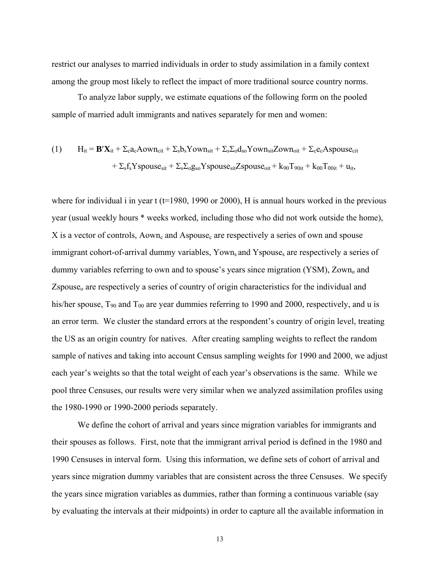restrict our analyses to married individuals in order to study assimilation in a family context among the group most likely to reflect the impact of more traditional source country norms.

To analyze labor supply, we estimate equations of the following form on the pooled sample of married adult immigrants and natives separately for men and women:

(1) 
$$
H_{it} = \mathbf{B}'\mathbf{X}_{it} + \Sigma_c a_c A \text{own}_{cit} + \Sigma_s b_s Y \text{own}_{sit} + \Sigma_s \Sigma_o d_{so} Y \text{own}_{sit} Z \text{own}_{oit} + \Sigma_c e_c A \text{spouse}_{cit} + \Sigma_s f_s Y \text{spouse}_{sit} + \Sigma_s \Sigma_o g_{so} Y \text{spouse}_{sit} Z \text{spouse}_{oit} + k_{90} T_{90it} + k_{00} T_{00it} + u_{it},
$$

where for individual i in year  $t$  (t=1980, 1990 or 2000), H is annual hours worked in the previous year (usual weekly hours \* weeks worked, including those who did not work outside the home),  $X$  is a vector of controls,  $Aown_c$  and  $Aspace_c$  are respectively a series of own and spouse immigrant cohort-of-arrival dummy variables, Yown, and Yspouse, are respectively a series of dummy variables referring to own and to spouse's years since migration (YSM), Zown<sub>o</sub> and  $Z$ spouse<sub> $o$ </sub> are respectively a series of country of origin characteristics for the individual and his/her spouse,  $T_{90}$  and  $T_{00}$  are year dummies referring to 1990 and 2000, respectively, and u is an error term. We cluster the standard errors at the respondent's country of origin level, treating the US as an origin country for natives. After creating sampling weights to reflect the random sample of natives and taking into account Census sampling weights for 1990 and 2000, we adjust each year's weights so that the total weight of each year's observations is the same. While we pool three Censuses, our results were very similar when we analyzed assimilation profiles using the 1980-1990 or 1990-2000 periods separately.

 We define the cohort of arrival and years since migration variables for immigrants and their spouses as follows. First, note that the immigrant arrival period is defined in the 1980 and 1990 Censuses in interval form. Using this information, we define sets of cohort of arrival and years since migration dummy variables that are consistent across the three Censuses. We specify the years since migration variables as dummies, rather than forming a continuous variable (say by evaluating the intervals at their midpoints) in order to capture all the available information in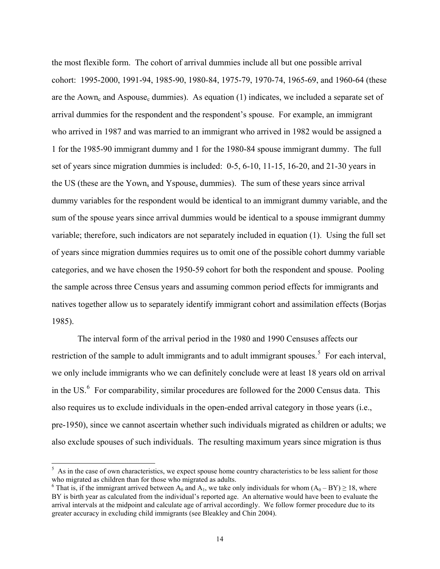the most flexible form. The cohort of arrival dummies include all but one possible arrival cohort: 1995-2000, 1991-94, 1985-90, 1980-84, 1975-79, 1970-74, 1965-69, and 1960-64 (these are the Aown<sub>c</sub> and Aspouse<sub>c</sub> dummies). As equation (1) indicates, we included a separate set of arrival dummies for the respondent and the respondent's spouse. For example, an immigrant who arrived in 1987 and was married to an immigrant who arrived in 1982 would be assigned a 1 for the 1985-90 immigrant dummy and 1 for the 1980-84 spouse immigrant dummy. The full set of years since migration dummies is included: 0-5, 6-10, 11-15, 16-20, and 21-30 years in the US (these are the Yown<sub>s</sub> and Yspouse<sub>s</sub> dummies). The sum of these years since arrival dummy variables for the respondent would be identical to an immigrant dummy variable, and the sum of the spouse years since arrival dummies would be identical to a spouse immigrant dummy variable; therefore, such indicators are not separately included in equation (1). Using the full set of years since migration dummies requires us to omit one of the possible cohort dummy variable categories, and we have chosen the 1950-59 cohort for both the respondent and spouse. Pooling the sample across three Census years and assuming common period effects for immigrants and natives together allow us to separately identify immigrant cohort and assimilation effects (Borjas 1985).

The interval form of the arrival period in the 1980 and 1990 Censuses affects our restriction of the sample to adult immigrants and to adult immigrant spouses.<sup>[5](#page-15-0)</sup> For each interval, we only include immigrants who we can definitely conclude were at least 18 years old on arrival in the US. $<sup>6</sup>$  $<sup>6</sup>$  $<sup>6</sup>$  For comparability, similar procedures are followed for the 2000 Census data. This</sup> also requires us to exclude individuals in the open-ended arrival category in those years (i.e., pre-1950), since we cannot ascertain whether such individuals migrated as children or adults; we also exclude spouses of such individuals. The resulting maximum years since migration is thus

 $5$  As in the case of own characteristics, we expect spouse home country characteristics to be less salient for those who migrated as children than for those who migrated as adults.

<span id="page-15-1"></span><span id="page-15-0"></span><sup>&</sup>lt;sup>6</sup> That is, if the immigrant arrived between  $A_0$  and  $A_1$ , we take only individuals for whom  $(A_0 - BY) \ge 18$ , where BY is birth year as calculated from the individual's reported age. An alternative would have been to evaluate the arrival intervals at the midpoint and calculate age of arrival accordingly. We follow former procedure due to its greater accuracy in excluding child immigrants (see Bleakley and Chin 2004).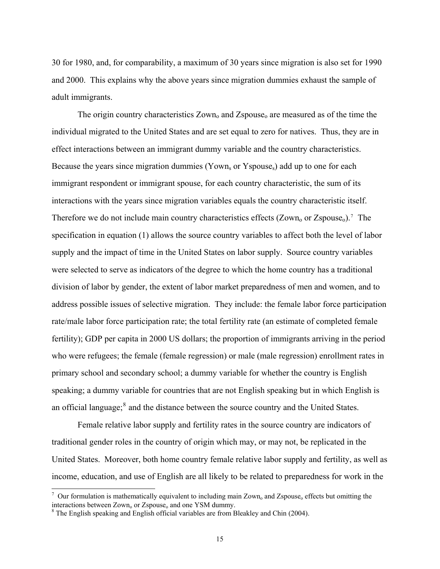30 for 1980, and, for comparability, a maximum of 30 years since migration is also set for 1990 and 2000. This explains why the above years since migration dummies exhaust the sample of adult immigrants.

The origin country characteristics  $Zown_0$  and  $Zspace_0$  are measured as of the time the individual migrated to the United States and are set equal to zero for natives. Thus, they are in effect interactions between an immigrant dummy variable and the country characteristics. Because the years since migration dummies (Yown<sub>s</sub> or Yspouse<sub>s</sub>) add up to one for each immigrant respondent or immigrant spouse, for each country characteristic, the sum of its interactions with the years since migration variables equals the country characteristic itself. Therefore we do not include main country characteristics effects  $(Zown<sub>o</sub> or Zspouse<sub>o</sub>)$ .<sup>[7](#page-16-0)</sup> The specification in equation (1) allows the source country variables to affect both the level of labor supply and the impact of time in the United States on labor supply. Source country variables were selected to serve as indicators of the degree to which the home country has a traditional division of labor by gender, the extent of labor market preparedness of men and women, and to address possible issues of selective migration. They include: the female labor force participation rate/male labor force participation rate; the total fertility rate (an estimate of completed female fertility); GDP per capita in 2000 US dollars; the proportion of immigrants arriving in the period who were refugees; the female (female regression) or male (male regression) enrollment rates in primary school and secondary school; a dummy variable for whether the country is English speaking; a dummy variable for countries that are not English speaking but in which English is an official language; $<sup>8</sup>$  $<sup>8</sup>$  $<sup>8</sup>$  and the distance between the source country and the United States.</sup>

 Female relative labor supply and fertility rates in the source country are indicators of traditional gender roles in the country of origin which may, or may not, be replicated in the United States. Moreover, both home country female relative labor supply and fertility, as well as income, education, and use of English are all likely to be related to preparedness for work in the

 $7$  Our formulation is mathematically equivalent to including main Zown<sub>o</sub> and Zspouse<sub>o</sub> effects but omitting the interactions between  $Zown_0$  or  $Zspace_0$  and one YSM dummy.

<span id="page-16-1"></span><span id="page-16-0"></span><sup>&</sup>lt;sup>8</sup> The English speaking and English official variables are from Bleakley and Chin (2004).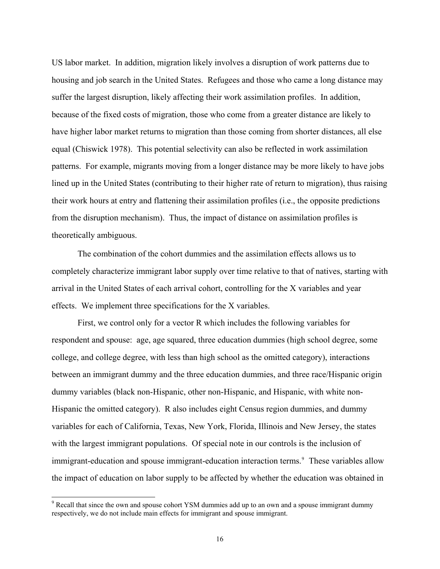US labor market. In addition, migration likely involves a disruption of work patterns due to housing and job search in the United States. Refugees and those who came a long distance may suffer the largest disruption, likely affecting their work assimilation profiles. In addition, because of the fixed costs of migration, those who come from a greater distance are likely to have higher labor market returns to migration than those coming from shorter distances, all else equal (Chiswick 1978). This potential selectivity can also be reflected in work assimilation patterns. For example, migrants moving from a longer distance may be more likely to have jobs lined up in the United States (contributing to their higher rate of return to migration), thus raising their work hours at entry and flattening their assimilation profiles (i.e., the opposite predictions from the disruption mechanism). Thus, the impact of distance on assimilation profiles is theoretically ambiguous.

 The combination of the cohort dummies and the assimilation effects allows us to completely characterize immigrant labor supply over time relative to that of natives, starting with arrival in the United States of each arrival cohort, controlling for the X variables and year effects. We implement three specifications for the X variables.

First, we control only for a vector R which includes the following variables for respondent and spouse: age, age squared, three education dummies (high school degree, some college, and college degree, with less than high school as the omitted category), interactions between an immigrant dummy and the three education dummies, and three race/Hispanic origin dummy variables (black non-Hispanic, other non-Hispanic, and Hispanic, with white non-Hispanic the omitted category). R also includes eight Census region dummies, and dummy variables for each of California, Texas, New York, Florida, Illinois and New Jersey, the states with the largest immigrant populations. Of special note in our controls is the inclusion of immigrant-education and spouse immigrant-education interaction terms.<sup>[9](#page-17-0)</sup> These variables allow the impact of education on labor supply to be affected by whether the education was obtained in

<span id="page-17-0"></span><sup>&</sup>lt;sup>9</sup> Recall that since the own and spouse cohort YSM dummies add up to an own and a spouse immigrant dummy respectively, we do not include main effects for immigrant and spouse immigrant.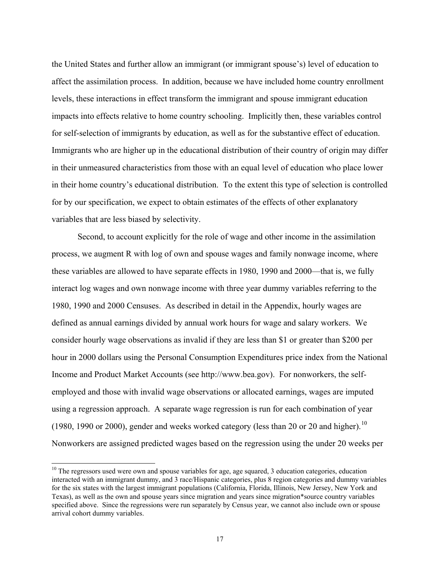the United States and further allow an immigrant (or immigrant spouse's) level of education to affect the assimilation process. In addition, because we have included home country enrollment levels, these interactions in effect transform the immigrant and spouse immigrant education impacts into effects relative to home country schooling. Implicitly then, these variables control for self-selection of immigrants by education, as well as for the substantive effect of education. Immigrants who are higher up in the educational distribution of their country of origin may differ in their unmeasured characteristics from those with an equal level of education who place lower in their home country's educational distribution. To the extent this type of selection is controlled for by our specification, we expect to obtain estimates of the effects of other explanatory variables that are less biased by selectivity.

Second, to account explicitly for the role of wage and other income in the assimilation process, we augment R with log of own and spouse wages and family nonwage income, where these variables are allowed to have separate effects in 1980, 1990 and 2000—that is, we fully interact log wages and own nonwage income with three year dummy variables referring to the 1980, 1990 and 2000 Censuses. As described in detail in the Appendix, hourly wages are defined as annual earnings divided by annual work hours for wage and salary workers. We consider hourly wage observations as invalid if they are less than \$1 or greater than \$200 per hour in 2000 dollars using the Personal Consumption Expenditures price index from the National Income and Product Market Accounts (see http://www.bea.gov). For nonworkers, the selfemployed and those with invalid wage observations or allocated earnings, wages are imputed using a regression approach. A separate wage regression is run for each combination of year (1980, 1990 or 2000), gender and weeks worked category (less than 20 or 20 and higher).<sup>[10](#page-18-0)</sup> Nonworkers are assigned predicted wages based on the regression using the under 20 weeks per

<span id="page-18-0"></span> $10$  The regressors used were own and spouse variables for age, age squared, 3 education categories, education interacted with an immigrant dummy, and 3 race/Hispanic categories, plus 8 region categories and dummy variables for the six states with the largest immigrant populations (California, Florida, Illinois, New Jersey, New York and Texas), as well as the own and spouse years since migration and years since migration\*source country variables specified above. Since the regressions were run separately by Census year, we cannot also include own or spouse arrival cohort dummy variables.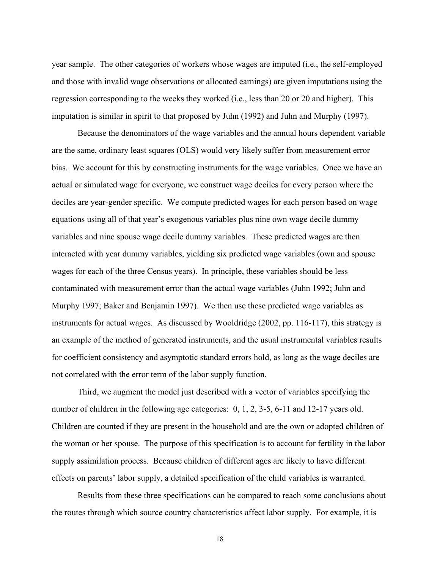year sample. The other categories of workers whose wages are imputed (i.e., the self-employed and those with invalid wage observations or allocated earnings) are given imputations using the regression corresponding to the weeks they worked (i.e., less than 20 or 20 and higher). This imputation is similar in spirit to that proposed by Juhn (1992) and Juhn and Murphy (1997).

Because the denominators of the wage variables and the annual hours dependent variable are the same, ordinary least squares (OLS) would very likely suffer from measurement error bias. We account for this by constructing instruments for the wage variables. Once we have an actual or simulated wage for everyone, we construct wage deciles for every person where the deciles are year-gender specific. We compute predicted wages for each person based on wage equations using all of that year's exogenous variables plus nine own wage decile dummy variables and nine spouse wage decile dummy variables. These predicted wages are then interacted with year dummy variables, yielding six predicted wage variables (own and spouse wages for each of the three Census years). In principle, these variables should be less contaminated with measurement error than the actual wage variables (Juhn 1992; Juhn and Murphy 1997; Baker and Benjamin 1997). We then use these predicted wage variables as instruments for actual wages. As discussed by Wooldridge (2002, pp. 116-117), this strategy is an example of the method of generated instruments, and the usual instrumental variables results for coefficient consistency and asymptotic standard errors hold, as long as the wage deciles are not correlated with the error term of the labor supply function.

Third, we augment the model just described with a vector of variables specifying the number of children in the following age categories: 0, 1, 2, 3-5, 6-11 and 12-17 years old. Children are counted if they are present in the household and are the own or adopted children of the woman or her spouse. The purpose of this specification is to account for fertility in the labor supply assimilation process. Because children of different ages are likely to have different effects on parents' labor supply, a detailed specification of the child variables is warranted.

Results from these three specifications can be compared to reach some conclusions about the routes through which source country characteristics affect labor supply. For example, it is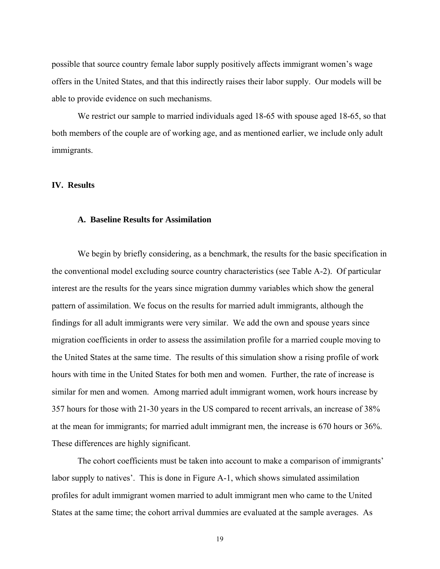possible that source country female labor supply positively affects immigrant women's wage offers in the United States, and that this indirectly raises their labor supply. Our models will be able to provide evidence on such mechanisms.

We restrict our sample to married individuals aged 18-65 with spouse aged 18-65, so that both members of the couple are of working age, and as mentioned earlier, we include only adult immigrants.

# **IV. Results**

#### **A. Baseline Results for Assimilation**

We begin by briefly considering, as a benchmark, the results for the basic specification in the conventional model excluding source country characteristics (see Table A-2). Of particular interest are the results for the years since migration dummy variables which show the general pattern of assimilation. We focus on the results for married adult immigrants, although the findings for all adult immigrants were very similar. We add the own and spouse years since migration coefficients in order to assess the assimilation profile for a married couple moving to the United States at the same time. The results of this simulation show a rising profile of work hours with time in the United States for both men and women. Further, the rate of increase is similar for men and women. Among married adult immigrant women, work hours increase by 357 hours for those with 21-30 years in the US compared to recent arrivals, an increase of 38% at the mean for immigrants; for married adult immigrant men, the increase is 670 hours or 36%. These differences are highly significant.

The cohort coefficients must be taken into account to make a comparison of immigrants' labor supply to natives'. This is done in Figure A-1, which shows simulated assimilation profiles for adult immigrant women married to adult immigrant men who came to the United States at the same time; the cohort arrival dummies are evaluated at the sample averages. As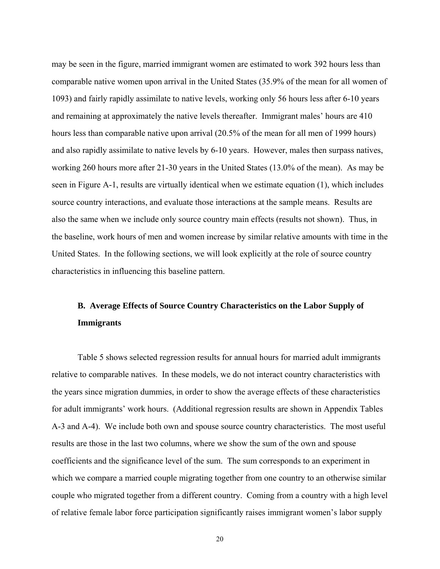may be seen in the figure, married immigrant women are estimated to work 392 hours less than comparable native women upon arrival in the United States (35.9% of the mean for all women of 1093) and fairly rapidly assimilate to native levels, working only 56 hours less after 6-10 years and remaining at approximately the native levels thereafter. Immigrant males' hours are 410 hours less than comparable native upon arrival (20.5% of the mean for all men of 1999 hours) and also rapidly assimilate to native levels by 6-10 years. However, males then surpass natives, working 260 hours more after 21-30 years in the United States (13.0% of the mean). As may be seen in Figure A-1, results are virtually identical when we estimate equation (1), which includes source country interactions, and evaluate those interactions at the sample means. Results are also the same when we include only source country main effects (results not shown). Thus, in the baseline, work hours of men and women increase by similar relative amounts with time in the United States. In the following sections, we will look explicitly at the role of source country characteristics in influencing this baseline pattern.

# **B. Average Effects of Source Country Characteristics on the Labor Supply of Immigrants**

Table 5 shows selected regression results for annual hours for married adult immigrants relative to comparable natives. In these models, we do not interact country characteristics with the years since migration dummies, in order to show the average effects of these characteristics for adult immigrants' work hours. (Additional regression results are shown in Appendix Tables A-3 and A-4). We include both own and spouse source country characteristics. The most useful results are those in the last two columns, where we show the sum of the own and spouse coefficients and the significance level of the sum. The sum corresponds to an experiment in which we compare a married couple migrating together from one country to an otherwise similar couple who migrated together from a different country. Coming from a country with a high level of relative female labor force participation significantly raises immigrant women's labor supply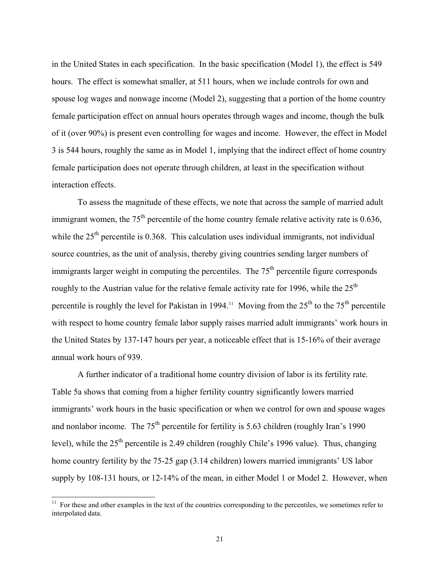in the United States in each specification. In the basic specification (Model 1), the effect is 549 hours. The effect is somewhat smaller, at 511 hours, when we include controls for own and spouse log wages and nonwage income (Model 2), suggesting that a portion of the home country female participation effect on annual hours operates through wages and income, though the bulk of it (over 90%) is present even controlling for wages and income. However, the effect in Model 3 is 544 hours, roughly the same as in Model 1, implying that the indirect effect of home country female participation does not operate through children, at least in the specification without interaction effects.

To assess the magnitude of these effects, we note that across the sample of married adult immigrant women, the  $75<sup>th</sup>$  percentile of the home country female relative activity rate is 0.636, while the  $25<sup>th</sup>$  percentile is 0.368. This calculation uses individual immigrants, not individual source countries, as the unit of analysis, thereby giving countries sending larger numbers of immigrants larger weight in computing the percentiles. The  $75<sup>th</sup>$  percentile figure corresponds roughly to the Austrian value for the relative female activity rate for 1996, while the  $25<sup>th</sup>$ percentile is roughly the level for Pakistan in 1994.<sup>[11](#page-22-0)</sup> Moving from the  $25<sup>th</sup>$  to the  $75<sup>th</sup>$  percentile with respect to home country female labor supply raises married adult immigrants' work hours in the United States by 137-147 hours per year, a noticeable effect that is 15-16% of their average annual work hours of 939.

A further indicator of a traditional home country division of labor is its fertility rate. Table 5a shows that coming from a higher fertility country significantly lowers married immigrants' work hours in the basic specification or when we control for own and spouse wages and nonlabor income. The  $75<sup>th</sup>$  percentile for fertility is 5.63 children (roughly Iran's 1990) level), while the  $25<sup>th</sup>$  percentile is 2.49 children (roughly Chile's 1996 value). Thus, changing home country fertility by the 75-25 gap (3.14 children) lowers married immigrants' US labor supply by 108-131 hours, or 12-14% of the mean, in either Model 1 or Model 2. However, when

<span id="page-22-0"></span> $11$  For these and other examples in the text of the countries corresponding to the percentiles, we sometimes refer to interpolated data.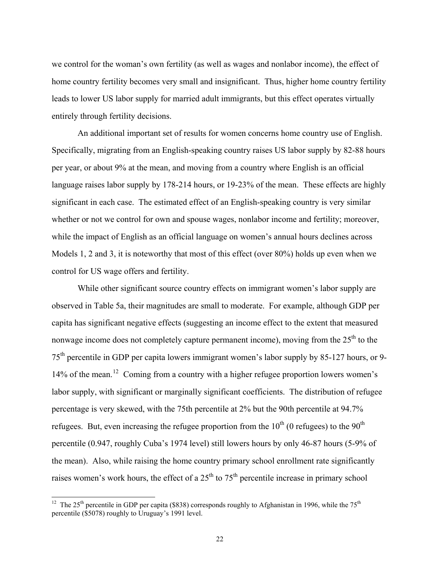we control for the woman's own fertility (as well as wages and nonlabor income), the effect of home country fertility becomes very small and insignificant. Thus, higher home country fertility leads to lower US labor supply for married adult immigrants, but this effect operates virtually entirely through fertility decisions.

An additional important set of results for women concerns home country use of English. Specifically, migrating from an English-speaking country raises US labor supply by 82-88 hours per year, or about 9% at the mean, and moving from a country where English is an official language raises labor supply by 178-214 hours, or 19-23% of the mean. These effects are highly significant in each case. The estimated effect of an English-speaking country is very similar whether or not we control for own and spouse wages, nonlabor income and fertility; moreover, while the impact of English as an official language on women's annual hours declines across Models 1, 2 and 3, it is noteworthy that most of this effect (over 80%) holds up even when we control for US wage offers and fertility.

While other significant source country effects on immigrant women's labor supply are observed in Table 5a, their magnitudes are small to moderate. For example, although GDP per capita has significant negative effects (suggesting an income effect to the extent that measured nonwage income does not completely capture permanent income), moving from the  $25<sup>th</sup>$  to the 75th percentile in GDP per capita lowers immigrant women's labor supply by 85-127 hours, or 9- 14% of the mean.<sup>[12](#page-23-0)</sup> Coming from a country with a higher refugee proportion lowers women's labor supply, with significant or marginally significant coefficients. The distribution of refugee percentage is very skewed, with the 75th percentile at 2% but the 90th percentile at 94.7% refugees. But, even increasing the refugee proportion from the  $10^{th}$  (0 refugees) to the  $90^{th}$ percentile (0.947, roughly Cuba's 1974 level) still lowers hours by only 46-87 hours (5-9% of the mean). Also, while raising the home country primary school enrollment rate significantly raises women's work hours, the effect of a  $25<sup>th</sup>$  to  $75<sup>th</sup>$  percentile increase in primary school

<span id="page-23-0"></span><sup>&</sup>lt;sup>12</sup> The 25<sup>th</sup> percentile in GDP per capita (\$838) corresponds roughly to Afghanistan in 1996, while the 75<sup>th</sup> percentile (\$5078) roughly to Uruguay's 1991 level.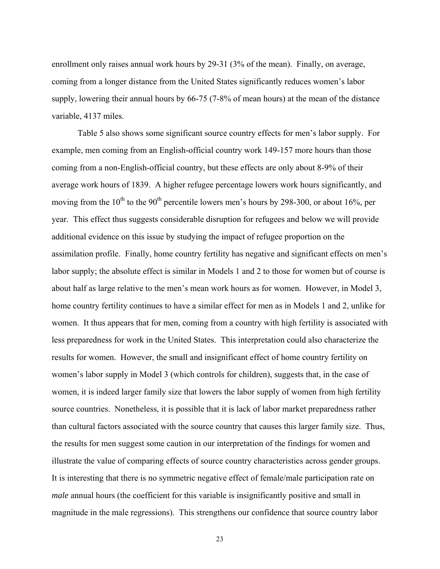enrollment only raises annual work hours by 29-31 (3% of the mean). Finally, on average, coming from a longer distance from the United States significantly reduces women's labor supply, lowering their annual hours by 66-75 (7-8% of mean hours) at the mean of the distance variable, 4137 miles.

Table 5 also shows some significant source country effects for men's labor supply. For example, men coming from an English-official country work 149-157 more hours than those coming from a non-English-official country, but these effects are only about 8-9% of their average work hours of 1839. A higher refugee percentage lowers work hours significantly, and moving from the 10<sup>th</sup> to the 90<sup>th</sup> percentile lowers men's hours by 298-300, or about 16%, per year. This effect thus suggests considerable disruption for refugees and below we will provide additional evidence on this issue by studying the impact of refugee proportion on the assimilation profile. Finally, home country fertility has negative and significant effects on men's labor supply; the absolute effect is similar in Models 1 and 2 to those for women but of course is about half as large relative to the men's mean work hours as for women. However, in Model 3, home country fertility continues to have a similar effect for men as in Models 1 and 2, unlike for women. It thus appears that for men, coming from a country with high fertility is associated with less preparedness for work in the United States. This interpretation could also characterize the results for women. However, the small and insignificant effect of home country fertility on women's labor supply in Model 3 (which controls for children), suggests that, in the case of women, it is indeed larger family size that lowers the labor supply of women from high fertility source countries. Nonetheless, it is possible that it is lack of labor market preparedness rather than cultural factors associated with the source country that causes this larger family size. Thus, the results for men suggest some caution in our interpretation of the findings for women and illustrate the value of comparing effects of source country characteristics across gender groups. It is interesting that there is no symmetric negative effect of female/male participation rate on *male* annual hours (the coefficient for this variable is insignificantly positive and small in magnitude in the male regressions). This strengthens our confidence that source country labor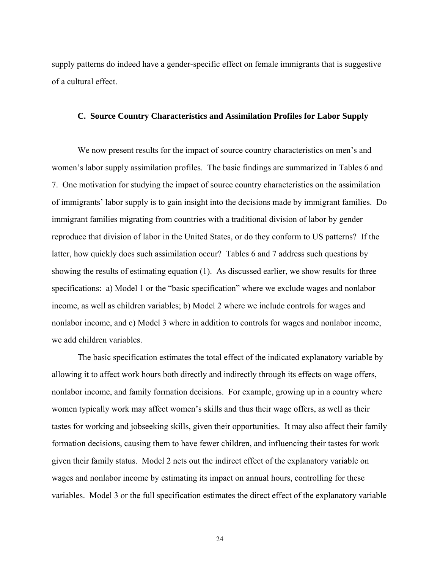supply patterns do indeed have a gender-specific effect on female immigrants that is suggestive of a cultural effect.

### **C. Source Country Characteristics and Assimilation Profiles for Labor Supply**

We now present results for the impact of source country characteristics on men's and women's labor supply assimilation profiles. The basic findings are summarized in Tables 6 and 7. One motivation for studying the impact of source country characteristics on the assimilation of immigrants' labor supply is to gain insight into the decisions made by immigrant families. Do immigrant families migrating from countries with a traditional division of labor by gender reproduce that division of labor in the United States, or do they conform to US patterns? If the latter, how quickly does such assimilation occur? Tables 6 and 7 address such questions by showing the results of estimating equation (1). As discussed earlier, we show results for three specifications: a) Model 1 or the "basic specification" where we exclude wages and nonlabor income, as well as children variables; b) Model 2 where we include controls for wages and nonlabor income, and c) Model 3 where in addition to controls for wages and nonlabor income, we add children variables.

The basic specification estimates the total effect of the indicated explanatory variable by allowing it to affect work hours both directly and indirectly through its effects on wage offers, nonlabor income, and family formation decisions. For example, growing up in a country where women typically work may affect women's skills and thus their wage offers, as well as their tastes for working and jobseeking skills, given their opportunities. It may also affect their family formation decisions, causing them to have fewer children, and influencing their tastes for work given their family status. Model 2 nets out the indirect effect of the explanatory variable on wages and nonlabor income by estimating its impact on annual hours, controlling for these variables. Model 3 or the full specification estimates the direct effect of the explanatory variable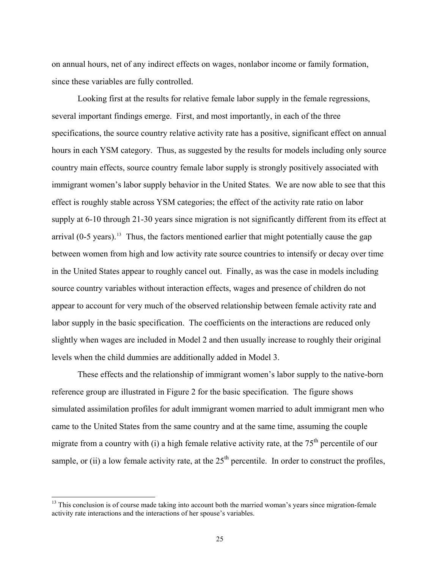on annual hours, net of any indirect effects on wages, nonlabor income or family formation, since these variables are fully controlled.

Looking first at the results for relative female labor supply in the female regressions, several important findings emerge. First, and most importantly, in each of the three specifications, the source country relative activity rate has a positive, significant effect on annual hours in each YSM category. Thus, as suggested by the results for models including only source country main effects, source country female labor supply is strongly positively associated with immigrant women's labor supply behavior in the United States. We are now able to see that this effect is roughly stable across YSM categories; the effect of the activity rate ratio on labor supply at 6-10 through 21-30 years since migration is not significantly different from its effect at arrival  $(0-5 \text{ years})$ .<sup>[13](#page-26-0)</sup> Thus, the factors mentioned earlier that might potentially cause the gap between women from high and low activity rate source countries to intensify or decay over time in the United States appear to roughly cancel out. Finally, as was the case in models including source country variables without interaction effects, wages and presence of children do not appear to account for very much of the observed relationship between female activity rate and labor supply in the basic specification. The coefficients on the interactions are reduced only slightly when wages are included in Model 2 and then usually increase to roughly their original levels when the child dummies are additionally added in Model 3.

These effects and the relationship of immigrant women's labor supply to the native-born reference group are illustrated in Figure 2 for the basic specification. The figure shows simulated assimilation profiles for adult immigrant women married to adult immigrant men who came to the United States from the same country and at the same time, assuming the couple migrate from a country with (i) a high female relative activity rate, at the  $75<sup>th</sup>$  percentile of our sample, or (ii) a low female activity rate, at the  $25<sup>th</sup>$  percentile. In order to construct the profiles,

<span id="page-26-0"></span><sup>&</sup>lt;sup>13</sup> This conclusion is of course made taking into account both the married woman's years since migration-female activity rate interactions and the interactions of her spouse's variables.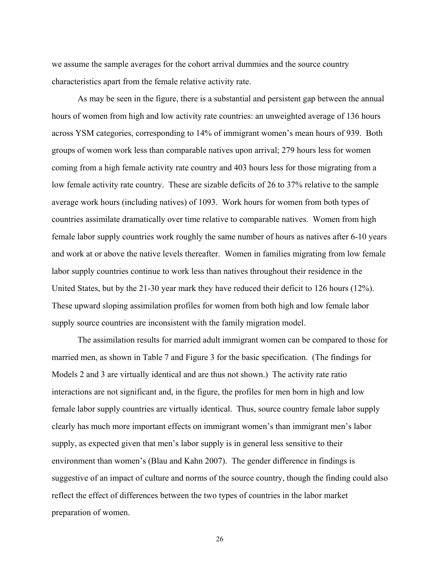we assume the sample averages for the cohort arrival dummies and the source country characteristics apart from the female relative activity rate.

As may be seen in the figure, there is a substantial and persistent gap between the annual hours of women from high and low activity rate countries: an unweighted average of 136 hours across YSM categories, corresponding to 14% of immigrant women's mean hours of 939. Both groups of women work less than comparable natives upon arrival; 279 hours less for women coming from a high female activity rate country and 403 hours less for those migrating from a low female activity rate country. These are sizable deficits of 26 to 37% relative to the sample average work hours (including natives) of 1093. Work hours for women from both types of countries assimilate dramatically over time relative to comparable natives. Women from high female labor supply countries work roughly the same number of hours as natives after 6-10 years and work at or above the native levels thereafter. Women in families migrating from low female labor supply countries continue to work less than natives throughout their residence in the United States, but by the 21-30 year mark they have reduced their deficit to 126 hours (12%). These upward sloping assimilation profiles for women from both high and low female labor supply source countries are inconsistent with the family migration model.

The assimilation results for married adult immigrant women can be compared to those for married men, as shown in Table 7 and Figure 3 for the basic specification. (The findings for Models 2 and 3 are virtually identical and are thus not shown.) The activity rate ratio interactions are not significant and, in the figure, the profiles for men born in high and low female labor supply countries are virtually identical. Thus, source country female labor supply clearly has much more important effects on immigrant women's than immigrant men's labor supply, as expected given that men's labor supply is in general less sensitive to their environment than women's (Blau and Kahn 2007). The gender difference in findings is suggestive of an impact of culture and norms of the source country, though the finding could also reflect the effect of differences between the two types of countries in the labor market preparation of women.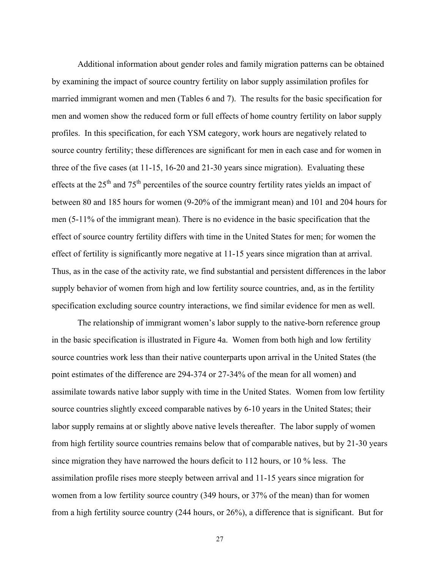Additional information about gender roles and family migration patterns can be obtained by examining the impact of source country fertility on labor supply assimilation profiles for married immigrant women and men (Tables 6 and 7). The results for the basic specification for men and women show the reduced form or full effects of home country fertility on labor supply profiles. In this specification, for each YSM category, work hours are negatively related to source country fertility; these differences are significant for men in each case and for women in three of the five cases (at 11-15, 16-20 and 21-30 years since migration). Evaluating these effects at the  $25<sup>th</sup>$  and  $75<sup>th</sup>$  percentiles of the source country fertility rates yields an impact of between 80 and 185 hours for women (9-20% of the immigrant mean) and 101 and 204 hours for men (5-11% of the immigrant mean). There is no evidence in the basic specification that the effect of source country fertility differs with time in the United States for men; for women the effect of fertility is significantly more negative at 11-15 years since migration than at arrival. Thus, as in the case of the activity rate, we find substantial and persistent differences in the labor supply behavior of women from high and low fertility source countries, and, as in the fertility specification excluding source country interactions, we find similar evidence for men as well.

The relationship of immigrant women's labor supply to the native-born reference group in the basic specification is illustrated in Figure 4a. Women from both high and low fertility source countries work less than their native counterparts upon arrival in the United States (the point estimates of the difference are 294-374 or 27-34% of the mean for all women) and assimilate towards native labor supply with time in the United States. Women from low fertility source countries slightly exceed comparable natives by 6-10 years in the United States; their labor supply remains at or slightly above native levels thereafter. The labor supply of women from high fertility source countries remains below that of comparable natives, but by 21-30 years since migration they have narrowed the hours deficit to 112 hours, or 10 % less. The assimilation profile rises more steeply between arrival and 11-15 years since migration for women from a low fertility source country (349 hours, or 37% of the mean) than for women from a high fertility source country (244 hours, or 26%), a difference that is significant. But for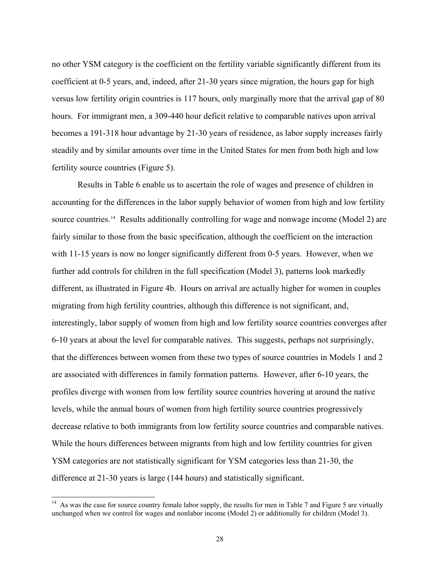<span id="page-29-0"></span>no other YSM category is the coefficient on the fertility variable significantly different from its coefficient at 0-5 years, and, indeed, after 21-30 years since migration, the hours gap for high versus low fertility origin countries is 117 hours, only marginally more that the arrival gap of 80 hours. For immigrant men, a 309-440 hour deficit relative to comparable natives upon arrival becomes a 191-318 hour advantage by 21-30 years of residence, as labor supply increases fairly steadily and by similar amounts over time in the United States for men from both high and low fertility source countries (Figure 5).

 Results in Table 6 enable us to ascertain the role of wages and presence of children in accounting for the differences in the labor supply behavior of women from high and low fertility source countries.<sup>[14](#page-29-0)</sup> Results additionally controlling for wage and nonwage income (Model 2) are fairly similar to those from the basic specification, although the coefficient on the interaction with 11-15 years is now no longer significantly different from 0-5 years. However, when we further add controls for children in the full specification (Model 3), patterns look markedly different, as illustrated in Figure 4b. Hours on arrival are actually higher for women in couples migrating from high fertility countries, although this difference is not significant, and, interestingly, labor supply of women from high and low fertility source countries converges after 6-10 years at about the level for comparable natives. This suggests, perhaps not surprisingly, that the differences between women from these two types of source countries in Models 1 and 2 are associated with differences in family formation patterns. However, after 6-10 years, the profiles diverge with women from low fertility source countries hovering at around the native levels, while the annual hours of women from high fertility source countries progressively decrease relative to both immigrants from low fertility source countries and comparable natives. While the hours differences between migrants from high and low fertility countries for given YSM categories are not statistically significant for YSM categories less than 21-30, the difference at 21-30 years is large (144 hours) and statistically significant.

<sup>&</sup>lt;sup>14</sup> As was the case for source country female labor supply, the results for men in Table 7 and Figure 5 are virtually unchanged when we control for wages and nonlabor income (Model 2) or additionally for children (Model 3).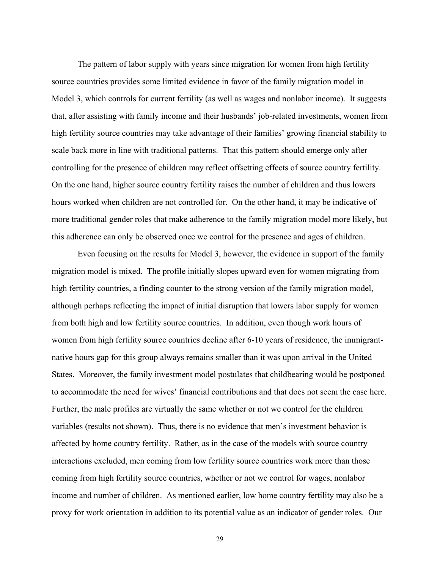The pattern of labor supply with years since migration for women from high fertility source countries provides some limited evidence in favor of the family migration model in Model 3, which controls for current fertility (as well as wages and nonlabor income). It suggests that, after assisting with family income and their husbands' job-related investments, women from high fertility source countries may take advantage of their families' growing financial stability to scale back more in line with traditional patterns. That this pattern should emerge only after controlling for the presence of children may reflect offsetting effects of source country fertility. On the one hand, higher source country fertility raises the number of children and thus lowers hours worked when children are not controlled for. On the other hand, it may be indicative of more traditional gender roles that make adherence to the family migration model more likely, but this adherence can only be observed once we control for the presence and ages of children.

Even focusing on the results for Model 3, however, the evidence in support of the family migration model is mixed. The profile initially slopes upward even for women migrating from high fertility countries, a finding counter to the strong version of the family migration model, although perhaps reflecting the impact of initial disruption that lowers labor supply for women from both high and low fertility source countries. In addition, even though work hours of women from high fertility source countries decline after 6-10 years of residence, the immigrantnative hours gap for this group always remains smaller than it was upon arrival in the United States. Moreover, the family investment model postulates that childbearing would be postponed to accommodate the need for wives' financial contributions and that does not seem the case here. Further, the male profiles are virtually the same whether or not we control for the children variables (results not shown). Thus, there is no evidence that men's investment behavior is affected by home country fertility. Rather, as in the case of the models with source country interactions excluded, men coming from low fertility source countries work more than those coming from high fertility source countries, whether or not we control for wages, nonlabor income and number of children. As mentioned earlier, low home country fertility may also be a proxy for work orientation in addition to its potential value as an indicator of gender roles. Our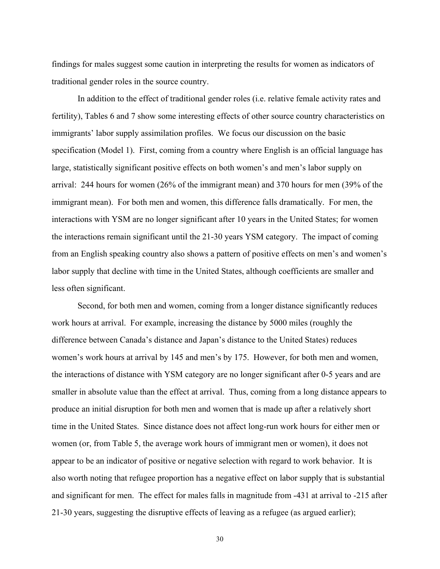findings for males suggest some caution in interpreting the results for women as indicators of traditional gender roles in the source country.

In addition to the effect of traditional gender roles (i.e. relative female activity rates and fertility), Tables 6 and 7 show some interesting effects of other source country characteristics on immigrants' labor supply assimilation profiles. We focus our discussion on the basic specification (Model 1). First, coming from a country where English is an official language has large, statistically significant positive effects on both women's and men's labor supply on arrival: 244 hours for women (26% of the immigrant mean) and 370 hours for men (39% of the immigrant mean). For both men and women, this difference falls dramatically. For men, the interactions with YSM are no longer significant after 10 years in the United States; for women the interactions remain significant until the 21-30 years YSM category. The impact of coming from an English speaking country also shows a pattern of positive effects on men's and women's labor supply that decline with time in the United States, although coefficients are smaller and less often significant.

Second, for both men and women, coming from a longer distance significantly reduces work hours at arrival. For example, increasing the distance by 5000 miles (roughly the difference between Canada's distance and Japan's distance to the United States) reduces women's work hours at arrival by 145 and men's by 175. However, for both men and women, the interactions of distance with YSM category are no longer significant after 0-5 years and are smaller in absolute value than the effect at arrival. Thus, coming from a long distance appears to produce an initial disruption for both men and women that is made up after a relatively short time in the United States. Since distance does not affect long-run work hours for either men or women (or, from Table 5, the average work hours of immigrant men or women), it does not appear to be an indicator of positive or negative selection with regard to work behavior. It is also worth noting that refugee proportion has a negative effect on labor supply that is substantial and significant for men. The effect for males falls in magnitude from -431 at arrival to -215 after 21-30 years, suggesting the disruptive effects of leaving as a refugee (as argued earlier);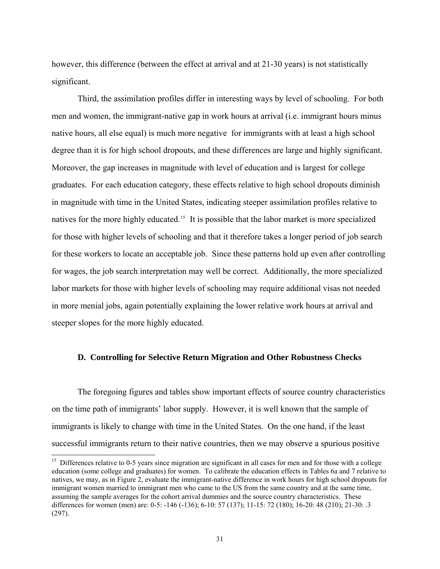<span id="page-32-0"></span>however, this difference (between the effect at arrival and at 21-30 years) is not statistically significant.

Third, the assimilation profiles differ in interesting ways by level of schooling. For both men and women, the immigrant-native gap in work hours at arrival (i.e. immigrant hours minus native hours, all else equal) is much more negative for immigrants with at least a high school degree than it is for high school dropouts, and these differences are large and highly significant. Moreover, the gap increases in magnitude with level of education and is largest for college graduates. For each education category, these effects relative to high school dropouts diminish in magnitude with time in the United States, indicating steeper assimilation profiles relative to natives for the more highly educated.<sup>[15](#page-32-0)</sup> It is possible that the labor market is more specialized for those with higher levels of schooling and that it therefore takes a longer period of job search for these workers to locate an acceptable job. Since these patterns hold up even after controlling for wages, the job search interpretation may well be correct. Additionally, the more specialized labor markets for those with higher levels of schooling may require additional visas not needed in more menial jobs, again potentially explaining the lower relative work hours at arrival and steeper slopes for the more highly educated.

## **D. Controlling for Selective Return Migration and Other Robustness Checks**

The foregoing figures and tables show important effects of source country characteristics on the time path of immigrants' labor supply. However, it is well known that the sample of immigrants is likely to change with time in the United States. On the one hand, if the least successful immigrants return to their native countries, then we may observe a spurious positive

 $15$  Differences relative to 0-5 years since migration are significant in all cases for men and for those with a college education (some college and graduates) for women. To calibrate the education effects in Tables 6a and 7 relative to natives, we may, as in Figure 2, evaluate the immigrant-native difference in work hours for high school dropouts for immigrant women married to immigrant men who came to the US from the same country and at the same time, assuming the sample averages for the cohort arrival dummies and the source country characteristics. These differences for women (men) are: 0-5: -146 (-136); 6-10: 57 (137); 11-15: 72 (180); 16-20: 48 (210); 21-30: .3 (297).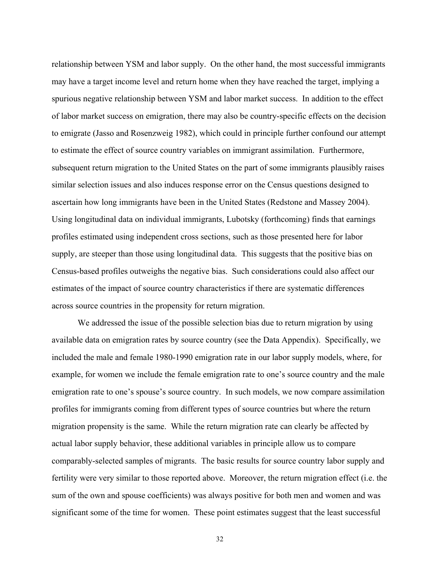relationship between YSM and labor supply. On the other hand, the most successful immigrants may have a target income level and return home when they have reached the target, implying a spurious negative relationship between YSM and labor market success. In addition to the effect of labor market success on emigration, there may also be country-specific effects on the decision to emigrate (Jasso and Rosenzweig 1982), which could in principle further confound our attempt to estimate the effect of source country variables on immigrant assimilation. Furthermore, subsequent return migration to the United States on the part of some immigrants plausibly raises similar selection issues and also induces response error on the Census questions designed to ascertain how long immigrants have been in the United States (Redstone and Massey 2004). Using longitudinal data on individual immigrants, Lubotsky (forthcoming) finds that earnings profiles estimated using independent cross sections, such as those presented here for labor supply, are steeper than those using longitudinal data. This suggests that the positive bias on Census-based profiles outweighs the negative bias. Such considerations could also affect our estimates of the impact of source country characteristics if there are systematic differences across source countries in the propensity for return migration.

We addressed the issue of the possible selection bias due to return migration by using available data on emigration rates by source country (see the Data Appendix). Specifically, we included the male and female 1980-1990 emigration rate in our labor supply models, where, for example, for women we include the female emigration rate to one's source country and the male emigration rate to one's spouse's source country. In such models, we now compare assimilation profiles for immigrants coming from different types of source countries but where the return migration propensity is the same. While the return migration rate can clearly be affected by actual labor supply behavior, these additional variables in principle allow us to compare comparably-selected samples of migrants. The basic results for source country labor supply and fertility were very similar to those reported above. Moreover, the return migration effect (i.e. the sum of the own and spouse coefficients) was always positive for both men and women and was significant some of the time for women. These point estimates suggest that the least successful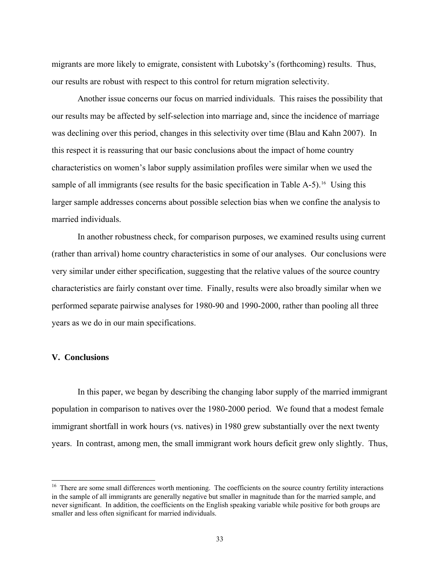<span id="page-34-0"></span>migrants are more likely to emigrate, consistent with Lubotsky's (forthcoming) results. Thus, our results are robust with respect to this control for return migration selectivity.

Another issue concerns our focus on married individuals. This raises the possibility that our results may be affected by self-selection into marriage and, since the incidence of marriage was declining over this period, changes in this selectivity over time (Blau and Kahn 2007). In this respect it is reassuring that our basic conclusions about the impact of home country characteristics on women's labor supply assimilation profiles were similar when we used the sample of all immigrants (see results for the basic specification in Table  $A-5$ ).<sup>[16](#page-34-0)</sup> Using this larger sample addresses concerns about possible selection bias when we confine the analysis to married individuals.

In another robustness check, for comparison purposes, we examined results using current (rather than arrival) home country characteristics in some of our analyses. Our conclusions were very similar under either specification, suggesting that the relative values of the source country characteristics are fairly constant over time. Finally, results were also broadly similar when we performed separate pairwise analyses for 1980-90 and 1990-2000, rather than pooling all three years as we do in our main specifications.

## **V. Conclusions**

 $\overline{a}$ 

 In this paper, we began by describing the changing labor supply of the married immigrant population in comparison to natives over the 1980-2000 period. We found that a modest female immigrant shortfall in work hours (vs. natives) in 1980 grew substantially over the next twenty years. In contrast, among men, the small immigrant work hours deficit grew only slightly. Thus,

<sup>&</sup>lt;sup>16</sup> There are some small differences worth mentioning. The coefficients on the source country fertility interactions in the sample of all immigrants are generally negative but smaller in magnitude than for the married sample, and never significant. In addition, the coefficients on the English speaking variable while positive for both groups are smaller and less often significant for married individuals.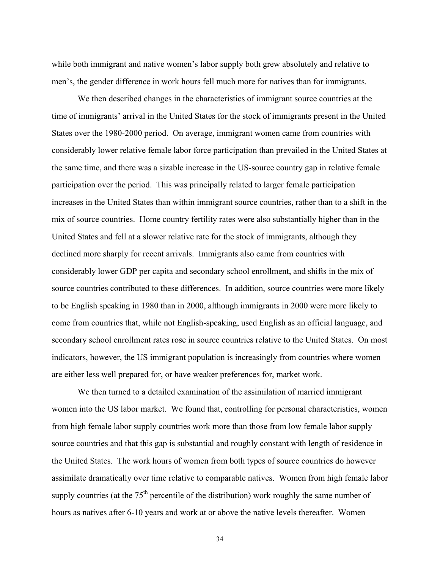while both immigrant and native women's labor supply both grew absolutely and relative to men's, the gender difference in work hours fell much more for natives than for immigrants.

We then described changes in the characteristics of immigrant source countries at the time of immigrants' arrival in the United States for the stock of immigrants present in the United States over the 1980-2000 period. On average, immigrant women came from countries with considerably lower relative female labor force participation than prevailed in the United States at the same time, and there was a sizable increase in the US-source country gap in relative female participation over the period. This was principally related to larger female participation increases in the United States than within immigrant source countries, rather than to a shift in the mix of source countries. Home country fertility rates were also substantially higher than in the United States and fell at a slower relative rate for the stock of immigrants, although they declined more sharply for recent arrivals. Immigrants also came from countries with considerably lower GDP per capita and secondary school enrollment, and shifts in the mix of source countries contributed to these differences. In addition, source countries were more likely to be English speaking in 1980 than in 2000, although immigrants in 2000 were more likely to come from countries that, while not English-speaking, used English as an official language, and secondary school enrollment rates rose in source countries relative to the United States. On most indicators, however, the US immigrant population is increasingly from countries where women are either less well prepared for, or have weaker preferences for, market work.

 We then turned to a detailed examination of the assimilation of married immigrant women into the US labor market. We found that, controlling for personal characteristics, women from high female labor supply countries work more than those from low female labor supply source countries and that this gap is substantial and roughly constant with length of residence in the United States. The work hours of women from both types of source countries do however assimilate dramatically over time relative to comparable natives. Women from high female labor supply countries (at the  $75<sup>th</sup>$  percentile of the distribution) work roughly the same number of hours as natives after 6-10 years and work at or above the native levels thereafter. Women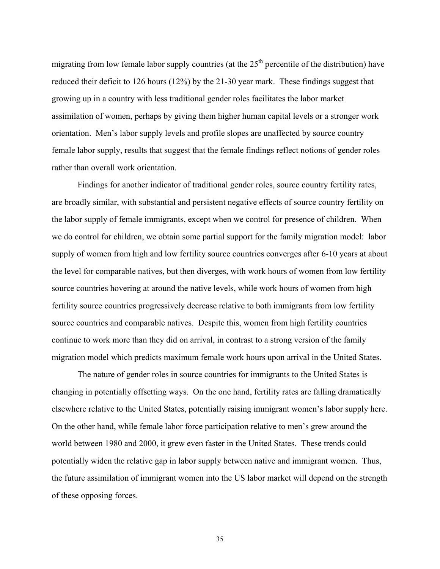migrating from low female labor supply countries (at the  $25<sup>th</sup>$  percentile of the distribution) have reduced their deficit to 126 hours (12%) by the 21-30 year mark. These findings suggest that growing up in a country with less traditional gender roles facilitates the labor market assimilation of women, perhaps by giving them higher human capital levels or a stronger work orientation. Men's labor supply levels and profile slopes are unaffected by source country female labor supply, results that suggest that the female findings reflect notions of gender roles rather than overall work orientation.

Findings for another indicator of traditional gender roles, source country fertility rates, are broadly similar, with substantial and persistent negative effects of source country fertility on the labor supply of female immigrants, except when we control for presence of children. When we do control for children, we obtain some partial support for the family migration model: labor supply of women from high and low fertility source countries converges after 6-10 years at about the level for comparable natives, but then diverges, with work hours of women from low fertility source countries hovering at around the native levels, while work hours of women from high fertility source countries progressively decrease relative to both immigrants from low fertility source countries and comparable natives. Despite this, women from high fertility countries continue to work more than they did on arrival, in contrast to a strong version of the family migration model which predicts maximum female work hours upon arrival in the United States.

 The nature of gender roles in source countries for immigrants to the United States is changing in potentially offsetting ways. On the one hand, fertility rates are falling dramatically elsewhere relative to the United States, potentially raising immigrant women's labor supply here. On the other hand, while female labor force participation relative to men's grew around the world between 1980 and 2000, it grew even faster in the United States. These trends could potentially widen the relative gap in labor supply between native and immigrant women. Thus, the future assimilation of immigrant women into the US labor market will depend on the strength of these opposing forces.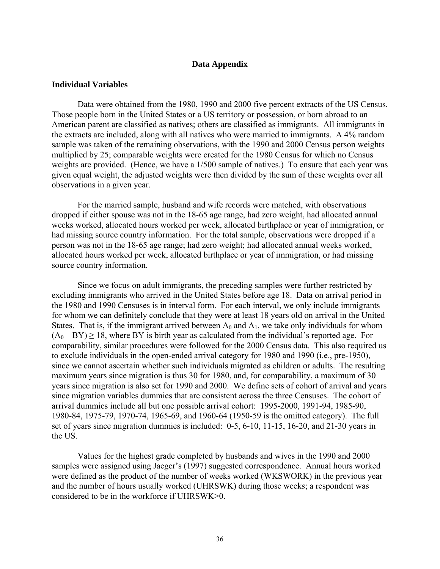# **Data Appendix**

## **Individual Variables**

Data were obtained from the 1980, 1990 and 2000 five percent extracts of the US Census. Those people born in the United States or a US territory or possession, or born abroad to an American parent are classified as natives; others are classified as immigrants. All immigrants in the extracts are included, along with all natives who were married to immigrants. A 4% random sample was taken of the remaining observations, with the 1990 and 2000 Census person weights multiplied by 25; comparable weights were created for the 1980 Census for which no Census weights are provided. (Hence, we have a 1/500 sample of natives.) To ensure that each year was given equal weight, the adjusted weights were then divided by the sum of these weights over all observations in a given year.

For the married sample, husband and wife records were matched, with observations dropped if either spouse was not in the 18-65 age range, had zero weight, had allocated annual weeks worked, allocated hours worked per week, allocated birthplace or year of immigration, or had missing source country information. For the total sample, observations were dropped if a person was not in the 18-65 age range; had zero weight; had allocated annual weeks worked, allocated hours worked per week, allocated birthplace or year of immigration, or had missing source country information.

Since we focus on adult immigrants, the preceding samples were further restricted by excluding immigrants who arrived in the United States before age 18. Data on arrival period in the 1980 and 1990 Censuses is in interval form. For each interval, we only include immigrants for whom we can definitely conclude that they were at least 18 years old on arrival in the United States. That is, if the immigrant arrived between  $A_0$  and  $A_1$ , we take only individuals for whom  $(A_0 - BY) \ge 18$ , where BY is birth year as calculated from the individual's reported age. For comparability, similar procedures were followed for the 2000 Census data. This also required us to exclude individuals in the open-ended arrival category for 1980 and 1990 (i.e., pre-1950), since we cannot ascertain whether such individuals migrated as children or adults. The resulting maximum years since migration is thus 30 for 1980, and, for comparability, a maximum of 30 years since migration is also set for 1990 and 2000. We define sets of cohort of arrival and years since migration variables dummies that are consistent across the three Censuses. The cohort of arrival dummies include all but one possible arrival cohort: 1995-2000, 1991-94, 1985-90, 1980-84, 1975-79, 1970-74, 1965-69, and 1960-64 (1950-59 is the omitted category). The full set of years since migration dummies is included: 0-5, 6-10, 11-15, 16-20, and 21-30 years in the US.

Values for the highest grade completed by husbands and wives in the 1990 and 2000 samples were assigned using Jaeger's (1997) suggested correspondence. Annual hours worked were defined as the product of the number of weeks worked (WKSWORK) in the previous year and the number of hours usually worked (UHRSWK) during those weeks; a respondent was considered to be in the workforce if UHRSWK>0.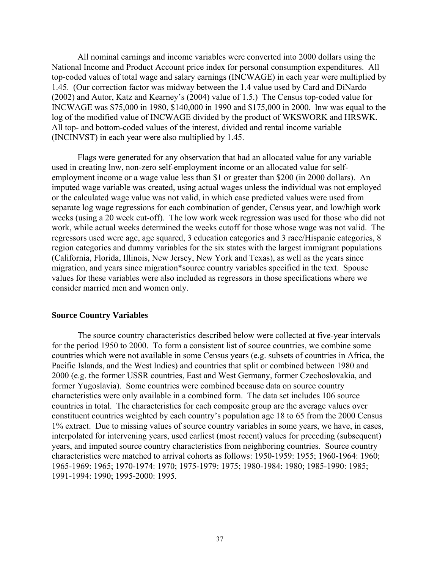All nominal earnings and income variables were converted into 2000 dollars using the National Income and Product Account price index for personal consumption expenditures. All top-coded values of total wage and salary earnings (INCWAGE) in each year were multiplied by 1.45. (Our correction factor was midway between the 1.4 value used by Card and DiNardo (2002) and Autor, Katz and Kearney's (2004) value of 1.5.) The Census top-coded value for INCWAGE was \$75,000 in 1980, \$140,000 in 1990 and \$175,000 in 2000. lnw was equal to the log of the modified value of INCWAGE divided by the product of WKSWORK and HRSWK. All top- and bottom-coded values of the interest, divided and rental income variable (INCINVST) in each year were also multiplied by 1.45.

Flags were generated for any observation that had an allocated value for any variable used in creating lnw, non-zero self-employment income or an allocated value for selfemployment income or a wage value less than \$1 or greater than \$200 (in 2000 dollars). An imputed wage variable was created, using actual wages unless the individual was not employed or the calculated wage value was not valid, in which case predicted values were used from separate log wage regressions for each combination of gender, Census year, and low/high work weeks (using a 20 week cut-off). The low work week regression was used for those who did not work, while actual weeks determined the weeks cutoff for those whose wage was not valid. The regressors used were age, age squared, 3 education categories and 3 race/Hispanic categories, 8 region categories and dummy variables for the six states with the largest immigrant populations (California, Florida, Illinois, New Jersey, New York and Texas), as well as the years since migration, and years since migration\*source country variables specified in the text. Spouse values for these variables were also included as regressors in those specifications where we consider married men and women only.

### **Source Country Variables**

The source country characteristics described below were collected at five-year intervals for the period 1950 to 2000. To form a consistent list of source countries, we combine some countries which were not available in some Census years (e.g. subsets of countries in Africa, the Pacific Islands, and the West Indies) and countries that split or combined between 1980 and 2000 (e.g. the former USSR countries, East and West Germany, former Czechoslovakia, and former Yugoslavia). Some countries were combined because data on source country characteristics were only available in a combined form. The data set includes 106 source countries in total. The characteristics for each composite group are the average values over constituent countries weighted by each country's population age 18 to 65 from the 2000 Census 1% extract. Due to missing values of source country variables in some years, we have, in cases, interpolated for intervening years, used earliest (most recent) values for preceding (subsequent) years, and imputed source country characteristics from neighboring countries. Source country characteristics were matched to arrival cohorts as follows: 1950-1959: 1955; 1960-1964: 1960; 1965-1969: 1965; 1970-1974: 1970; 1975-1979: 1975; 1980-1984: 1980; 1985-1990: 1985; 1991-1994: 1990; 1995-2000: 1995.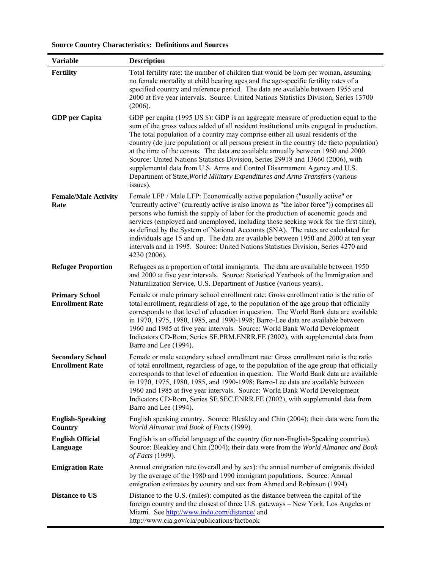| <b>Variable</b>                                   | <b>Description</b>                                                                                                                                                                                                                                                                                                                                                                                                                                                                                                                                                                                                                                                                                              |
|---------------------------------------------------|-----------------------------------------------------------------------------------------------------------------------------------------------------------------------------------------------------------------------------------------------------------------------------------------------------------------------------------------------------------------------------------------------------------------------------------------------------------------------------------------------------------------------------------------------------------------------------------------------------------------------------------------------------------------------------------------------------------------|
| Fertility                                         | Total fertility rate: the number of children that would be born per woman, assuming<br>no female mortality at child bearing ages and the age-specific fertility rates of a<br>specified country and reference period. The data are available between 1955 and<br>2000 at five year intervals. Source: United Nations Statistics Division, Series 13700<br>(2006).                                                                                                                                                                                                                                                                                                                                               |
| <b>GDP</b> per Capita                             | GDP per capita (1995 US \$): GDP is an aggregate measure of production equal to the<br>sum of the gross values added of all resident institutional units engaged in production.<br>The total population of a country may comprise either all usual residents of the<br>country (de jure population) or all persons present in the country (de facto population)<br>at the time of the census. The data are available annually between 1960 and 2000.<br>Source: United Nations Statistics Division, Series 29918 and 13660 (2006), with<br>supplemental data from U.S. Arms and Control Disarmament Agency and U.S.<br>Department of State, World Military Expenditures and Arms Transfers (various<br>issues). |
| <b>Female/Male Activity</b><br>Rate               | Female LFP / Male LFP: Economically active population ("usually active" or<br>"currently active" (currently active is also known as "the labor force")) comprises all<br>persons who furnish the supply of labor for the production of economic goods and<br>services (employed and unemployed, including those seeking work for the first time),<br>as defined by the System of National Accounts (SNA). The rates are calculated for<br>individuals age 15 and up. The data are available between 1950 and 2000 at ten year<br>intervals and in 1995. Source: United Nations Statistics Division, Series 4270 and<br>4230 (2006).                                                                             |
| <b>Refugee Proportion</b>                         | Refugees as a proportion of total immigrants. The data are available between 1950<br>and 2000 at five year intervals. Source: Statistical Yearbook of the Immigration and<br>Naturalization Service, U.S. Department of Justice (various years)                                                                                                                                                                                                                                                                                                                                                                                                                                                                 |
| <b>Primary School</b><br><b>Enrollment Rate</b>   | Female or male primary school enrollment rate: Gross enrollment ratio is the ratio of<br>total enrollment, regardless of age, to the population of the age group that officially<br>corresponds to that level of education in question. The World Bank data are available<br>in 1970, 1975, 1980, 1985, and 1990-1998; Barro-Lee data are available between<br>1960 and 1985 at five year intervals. Source: World Bank World Development<br>Indicators CD-Rom, Series SE.PRM.ENRR.FE (2002), with supplemental data from<br>Barro and Lee (1994).                                                                                                                                                              |
| <b>Secondary School</b><br><b>Enrollment Rate</b> | Female or male secondary school enrollment rate: Gross enrollment ratio is the ratio<br>of total enrollment, regardless of age, to the population of the age group that officially<br>corresponds to that level of education in question. The World Bank data are available<br>in 1970, 1975, 1980, 1985, and 1990-1998; Barro-Lee data are available between<br>1960 and 1985 at five year intervals. Source: World Bank World Development<br>Indicators CD-Rom, Series SE.SEC.ENRR.FE (2002), with supplemental data from<br>Barro and Lee (1994).                                                                                                                                                            |
| <b>English-Speaking</b><br>Country                | English speaking country. Source: Bleakley and Chin (2004); their data were from the<br>World Almanac and Book of Facts (1999).                                                                                                                                                                                                                                                                                                                                                                                                                                                                                                                                                                                 |
| <b>English Official</b><br>Language               | English is an official language of the country (for non-English-Speaking countries).<br>Source: Bleakley and Chin (2004); their data were from the World Almanac and Book<br>of Facts (1999).                                                                                                                                                                                                                                                                                                                                                                                                                                                                                                                   |
| <b>Emigration Rate</b>                            | Annual emigration rate (overall and by sex): the annual number of emigrants divided<br>by the average of the 1980 and 1990 immigrant populations. Source: Annual<br>emigration estimates by country and sex from Ahmed and Robinson (1994).                                                                                                                                                                                                                                                                                                                                                                                                                                                                     |
| <b>Distance to US</b>                             | Distance to the U.S. (miles): computed as the distance between the capital of the<br>foreign country and the closest of three U.S. gateways - New York, Los Angeles or<br>Miami. See http://www.indo.com/distance/ and<br>http://www.cia.gov/cia/publications/factbook                                                                                                                                                                                                                                                                                                                                                                                                                                          |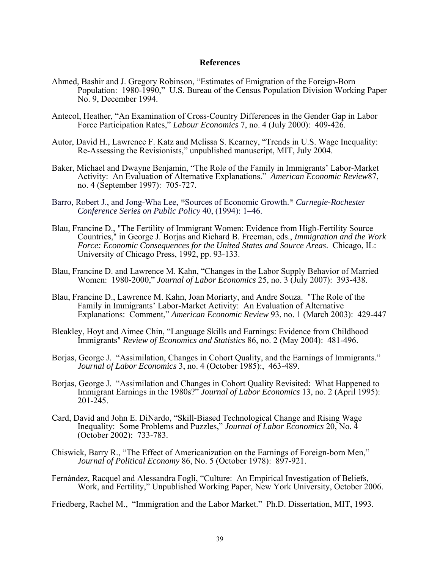### **References**

- Ahmed, Bashir and J. Gregory Robinson, "Estimates of Emigration of the Foreign-Born Population: 1980-1990," U.S. Bureau of the Census Population Division Working Paper No. 9, December 1994.
- Antecol, Heather, "An Examination of Cross-Country Differences in the Gender Gap in Labor Force Participation Rates," *Labour Economics* 7, no. 4 (July 2000): 409-426.
- Autor, David H., Lawrence F. Katz and Melissa S. Kearney, "Trends in U.S. Wage Inequality: Re-Assessing the Revisionists," unpublished manuscript, MIT, July 2004.
- Baker, Michael and Dwayne Benjamin, "The Role of the Family in Immigrants' Labor-Market Activity: An Evaluation of Alternative Explanations." *American Economic Review*87, no. 4 (September 1997): 705-727.
- Barro, Robert J., and Jong-Wha Lee, "Sources of Economic Growth." Carnegie-Rochester *Conference Series on Public Policy* 40, (1994): 1–46.
- Blau, Francine D., "The Fertility of Immigrant Women: Evidence from High-Fertility Source Countries," in George J. Borjas and Richard B. Freeman, eds., *Immigration and the Work Force: Economic Consequences for the United States and Source Areas*. Chicago, IL: University of Chicago Press, 1992, pp. 93-133.
- Blau, Francine D. and Lawrence M. Kahn, "Changes in the Labor Supply Behavior of Married Women: 1980-2000," *Journal of Labor Economics* 25, no. 3 (July 2007): 393-438.
- Blau, Francine D., Lawrence M. Kahn, Joan Moriarty, and Andre Souza. "The Role of the Family in Immigrants' Labor-Market Activity: An Evaluation of Alternative Explanations: Comment," *American Economic Review* 93, no. 1 (March 2003): 429-447
- Bleakley, Hoyt and Aimee Chin, "Language Skills and Earnings: Evidence from Childhood Immigrants" *Review of Economics and Statistics* 86, no. 2 (May 2004): 481-496.
- Borjas, George J. "Assimilation, Changes in Cohort Quality, and the Earnings of Immigrants." *Journal of Labor Economics* 3, no. 4 (October 1985):, 463-489.
- Borjas, George J. "Assimilation and Changes in Cohort Quality Revisited: What Happened to Immigrant Earnings in the 1980s?" *Journal of Labor Economics* 13, no. 2 (April 1995): 201-245.
- Card, David and John E. DiNardo, "Skill-Biased Technological Change and Rising Wage Inequality: Some Problems and Puzzles," *Journal of Labor Economics* 20, No. 4 (October 2002): 733-783.
- Chiswick, Barry R., "The Effect of Americanization on the Earnings of Foreign-born Men," *Journal of Political Economy* 86, No. 5 (October 1978): 897-921.
- Fernández, Racquel and Alessandra Fogli, "Culture: An Empirical Investigation of Beliefs, Work, and Fertility," Unpublished Working Paper, New York University, October 2006.

Friedberg, Rachel M., "Immigration and the Labor Market." Ph.D. Dissertation, MIT, 1993.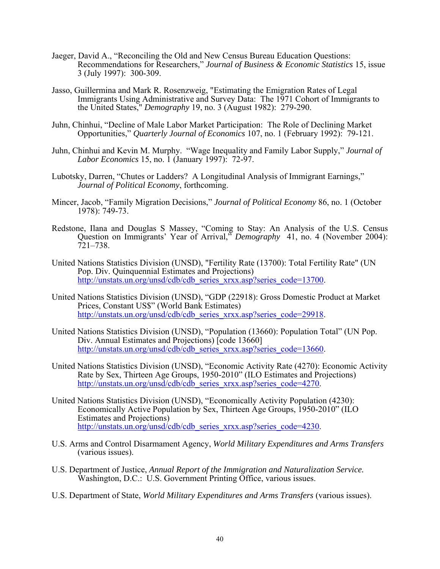- Jaeger, David A., "Reconciling the Old and New Census Bureau Education Questions: Recommendations for Researchers," *Journal of Business & Economic Statistics* 15, issue 3 (July 1997): 300-309.
- Jasso, Guillermina and Mark R. Rosenzweig, "Estimating the Emigration Rates of Legal Immigrants Using Administrative and Survey Data: The 1971 Cohort of Immigrants to the United States," *Demography* 19, no. 3 (August 1982): 279-290.
- Juhn, Chinhui, "Decline of Male Labor Market Participation: The Role of Declining Market Opportunities," *Quarterly Journal of Economics* 107, no. 1 (February 1992): 79-121.
- Juhn, Chinhui and Kevin M. Murphy. "Wage Inequality and Family Labor Supply," *Journal of Labor Economics* 15, no. 1 (January 1997): 72-97.
- Lubotsky, Darren, "Chutes or Ladders? A Longitudinal Analysis of Immigrant Earnings," *Journal of Political Economy*, forthcoming.
- Mincer, Jacob, "Family Migration Decisions," *Journal of Political Economy* 86, no. 1 (October 1978): 749-73.
- Redstone, Ilana and Douglas S Massey, "Coming to Stay: An Analysis of the U.S. Census Question on Immigrants' Year of Arrival," *Demography* 41, no. 4 (November 2004): 721–738.
- United Nations Statistics Division (UNSD), "Fertility Rate (13700): Total Fertility Rate" (UN Pop. Div. Quinquennial Estimates and Projections) [http://unstats.un.org/unsd/cdb/cdb\\_series\\_xrxx.asp?series\\_code=13700](http://unstats.un.org/unsd/cdb/cdb_series_xrxx.asp?series_code=13700).
- United Nations Statistics Division (UNSD), "GDP (22918): Gross Domestic Product at Market Prices, Constant US\$" (World Bank Estimates) [http://unstats.un.org/unsd/cdb/cdb\\_series\\_xrxx.asp?series\\_code=29918](http://unstats.un.org/unsd/cdb/cdb_series_xrxx.asp?series_code=29918).
- United Nations Statistics Division (UNSD), "Population (13660): Population Total" (UN Pop. Div. Annual Estimates and Projections) [code 13660] [http://unstats.un.org/unsd/cdb/cdb\\_series\\_xrxx.asp?series\\_code=13660](http://unstats.un.org/unsd/cdb/cdb_series_xrxx.asp?series_code=13660).
- United Nations Statistics Division (UNSD), "Economic Activity Rate (4270): Economic Activity Rate by Sex, Thirteen Age Groups, 1950-2010" (ILO Estimates and Projections) [http://unstats.un.org/unsd/cdb/cdb\\_series\\_xrxx.asp?series\\_code=4270](http://unstats.un.org/unsd/cdb/cdb_series_xrxx.asp?series_code=4270).
- United Nations Statistics Division (UNSD), "Economically Activity Population (4230): Economically Active Population by Sex, Thirteen Age Groups, 1950-2010" (ILO Estimates and Projections) [http://unstats.un.org/unsd/cdb/cdb\\_series\\_xrxx.asp?series\\_code=4230](http://unstats.un.org/unsd/cdb/cdb_series_xrxx.asp?series_code=4230).
- U.S. Arms and Control Disarmament Agency, *World Military Expenditures and Arms Transfers* (various issues).
- U.S. Department of Justice, *Annual Report of the Immigration and Naturalization Service.* Washington, D.C.: U.S. Government Printing Office, various issues.
- U.S. Department of State, *World Military Expenditures and Arms Transfers* (various issues).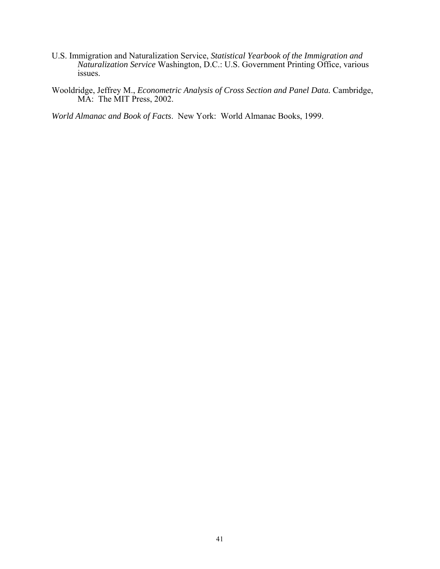- U.S. Immigration and Naturalization Service, *Statistical Yearbook of the Immigration and Naturalization Service* Washington, D.C.: U.S. Government Printing Office, various issues.
- Wooldridge, Jeffrey M., *Econometric Analysis of Cross Section and Panel Data.* Cambridge, MA: The MIT Press, 2002.

*World Almanac and Book of Facts*. New York: World Almanac Books, 1999.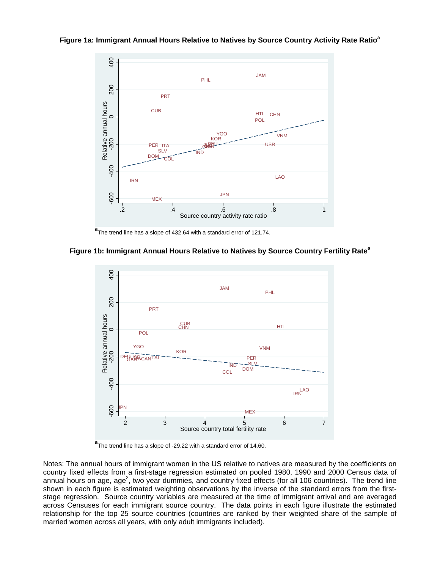#### **Figure 1a: Immigrant Annual Hours Relative to Natives by Source Country Activity Rate Ratio<sup>a</sup>**



**a** The trend line has a slope of 432.64 with a standard error of 121.74.

## **Figure 1b: Immigrant Annual Hours Relative to Natives by Source Country Fertility Rate<sup>a</sup>**



**a** The trend line has a slope of -29.22 with a standard error of 14.60.

Notes: The annual hours of immigrant women in the US relative to natives are measured by the coefficients on country fixed effects from a first-stage regression estimated on pooled 1980, 1990 and 2000 Census data of annual hours on age, age<sup>2</sup>, two year dummies, and country fixed effects (for all 106 countries). The trend line shown in each figure is estimated weighting observations by the inverse of the standard errors from the firststage regression. Source country variables are measured at the time of immigrant arrival and are averaged across Censuses for each immigrant source country. The data points in each figure illustrate the estimated relationship for the top 25 source countries (countries are ranked by their weighted share of the sample of married women across all years, with only adult immigrants included).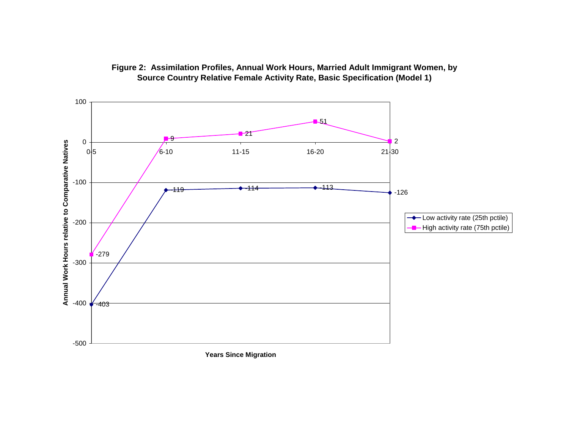

# **Figure 2: Assimilation Profiles, Annual Work Hours, Married Adult Immigrant Women, by Source Country Relative Female Activity Rate, Basic Specification (Model 1)**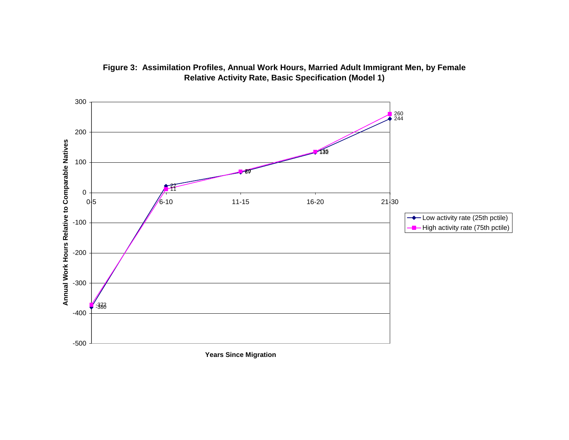

# **Figure 3: Assimilation Profiles, Annual Work Hours, Married Adult Immigrant Men, by Female Relative Activity Rate, Basic Specification (Model 1)**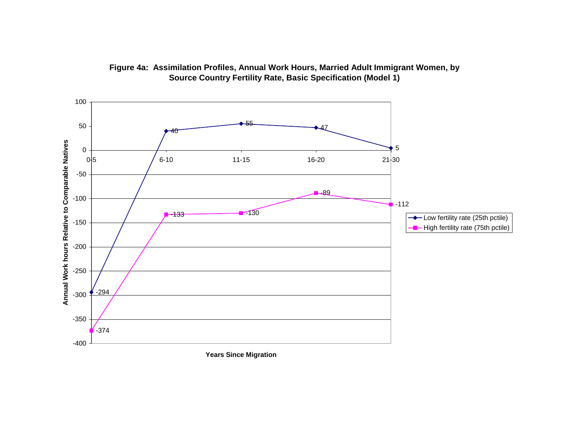

# **Figure 4a: Assimilation Profiles, Annual Work Hours, Married Adult Immigrant Women, by Source Country Fertility Rate, Basic Specification (Model 1)**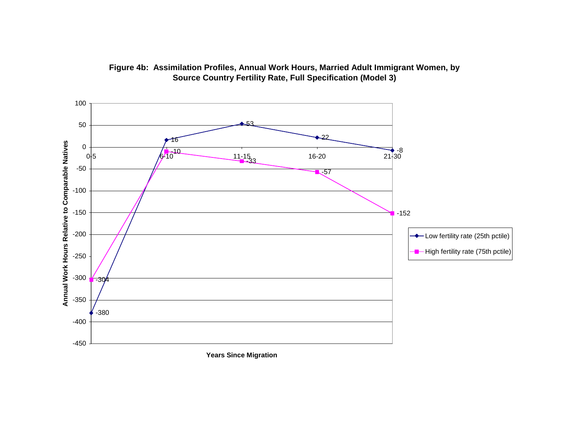

# **Figure 4b: Assimilation Profiles, Annual Work Hours, Married Adult Immigrant Women, by Source Country Fertility Rate, Full Specification (Model 3)**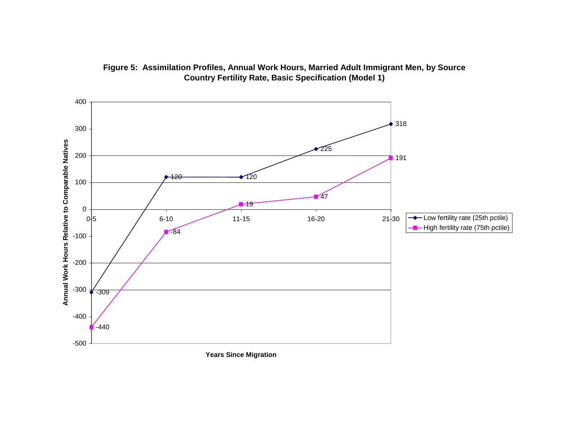

# **Figure 5: Assimilation Profiles, Annual Work Hours, Married Adult Immigrant Men, by Source Country Fertility Rate, Basic Specification (Model 1)**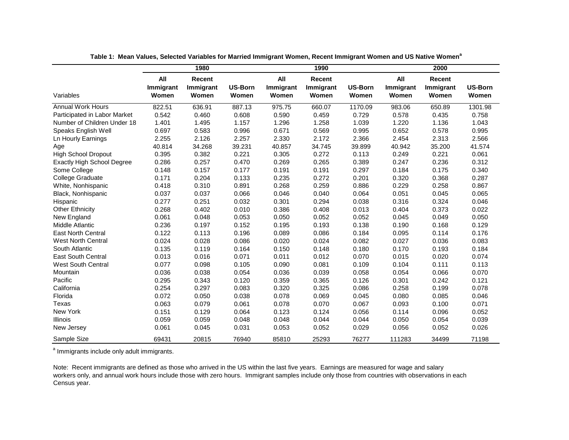|                                   |                           | 1980                         |                         |                           | 1990                         |                         |                           | 2000                         |                         |
|-----------------------------------|---------------------------|------------------------------|-------------------------|---------------------------|------------------------------|-------------------------|---------------------------|------------------------------|-------------------------|
| Variables                         | All<br>Immigrant<br>Women | Recent<br>Immigrant<br>Women | <b>US-Born</b><br>Women | All<br>Immigrant<br>Women | Recent<br>Immigrant<br>Women | <b>US-Born</b><br>Women | All<br>Immigrant<br>Women | Recent<br>Immigrant<br>Women | <b>US-Born</b><br>Women |
| <b>Annual Work Hours</b>          | 822.51                    | 636.91                       | 887.13                  | 975.75                    | 660.07                       | 1170.09                 | 983.06                    | 650.89                       | 1301.98                 |
| Participated in Labor Market      | 0.542                     | 0.460                        | 0.608                   | 0.590                     | 0.459                        | 0.729                   | 0.578                     | 0.435                        | 0.758                   |
| Number of Children Under 18       | 1.401                     | 1.495                        | 1.157                   | 1.296                     | 1.258                        | 1.039                   | 1.220                     | 1.136                        | 1.043                   |
| Speaks English Well               | 0.697                     | 0.583                        | 0.996                   | 0.671                     | 0.569                        | 0.995                   | 0.652                     | 0.578                        | 0.995                   |
| Ln Hourly Earnings                | 2.255                     | 2.126                        | 2.257                   | 2.330                     | 2.172                        | 2.366                   | 2.454                     | 2.313                        | 2.566                   |
| Age                               | 40.814                    | 34.268                       | 39.231                  | 40.857                    | 34.745                       | 39.899                  | 40.942                    | 35.200                       | 41.574                  |
| <b>High School Dropout</b>        | 0.395                     | 0.382                        | 0.221                   | 0.305                     | 0.272                        | 0.113                   | 0.249                     | 0.221                        | 0.061                   |
| <b>Exactly High School Degree</b> | 0.286                     | 0.257                        | 0.470                   | 0.269                     | 0.265                        | 0.389                   | 0.247                     | 0.236                        | 0.312                   |
| Some College                      | 0.148                     | 0.157                        | 0.177                   | 0.191                     | 0.191                        | 0.297                   | 0.184                     | 0.175                        | 0.340                   |
| College Graduate                  | 0.171                     | 0.204                        | 0.133                   | 0.235                     | 0.272                        | 0.201                   | 0.320                     | 0.368                        | 0.287                   |
| White, Nonhispanic                | 0.418                     | 0.310                        | 0.891                   | 0.268                     | 0.259                        | 0.886                   | 0.229                     | 0.258                        | 0.867                   |
| Black, Nonhispanic                | 0.037                     | 0.037                        | 0.066                   | 0.046                     | 0.040                        | 0.064                   | 0.051                     | 0.045                        | 0.065                   |
| Hispanic                          | 0.277                     | 0.251                        | 0.032                   | 0.301                     | 0.294                        | 0.038                   | 0.316                     | 0.324                        | 0.046                   |
| <b>Other Ethnicity</b>            | 0.268                     | 0.402                        | 0.010                   | 0.386                     | 0.408                        | 0.013                   | 0.404                     | 0.373                        | 0.022                   |
| New England                       | 0.061                     | 0.048                        | 0.053                   | 0.050                     | 0.052                        | 0.052                   | 0.045                     | 0.049                        | 0.050                   |
| <b>Middle Atlantic</b>            | 0.236                     | 0.197                        | 0.152                   | 0.195                     | 0.193                        | 0.138                   | 0.190                     | 0.168                        | 0.129                   |
| <b>East North Central</b>         | 0.122                     | 0.113                        | 0.196                   | 0.089                     | 0.086                        | 0.184                   | 0.095                     | 0.114                        | 0.176                   |
| <b>West North Central</b>         | 0.024                     | 0.028                        | 0.086                   | 0.020                     | 0.024                        | 0.082                   | 0.027                     | 0.036                        | 0.083                   |
| South Atlantic                    | 0.135                     | 0.119                        | 0.164                   | 0.150                     | 0.148                        | 0.180                   | 0.170                     | 0.193                        | 0.184                   |
| <b>East South Central</b>         | 0.013                     | 0.016                        | 0.071                   | 0.011                     | 0.012                        | 0.070                   | 0.015                     | 0.020                        | 0.074                   |
| <b>West South Central</b>         | 0.077                     | 0.098                        | 0.105                   | 0.090                     | 0.081                        | 0.109                   | 0.104                     | 0.111                        | 0.113                   |
| Mountain                          | 0.036                     | 0.038                        | 0.054                   | 0.036                     | 0.039                        | 0.058                   | 0.054                     | 0.066                        | 0.070                   |
| Pacific                           | 0.295                     | 0.343                        | 0.120                   | 0.359                     | 0.365                        | 0.126                   | 0.301                     | 0.242                        | 0.121                   |
| California                        | 0.254                     | 0.297                        | 0.083                   | 0.320                     | 0.325                        | 0.086                   | 0.258                     | 0.199                        | 0.078                   |
| Florida                           | 0.072                     | 0.050                        | 0.038                   | 0.078                     | 0.069                        | 0.045                   | 0.080                     | 0.085                        | 0.046                   |
| Texas                             | 0.063                     | 0.079                        | 0.061                   | 0.078                     | 0.070                        | 0.067                   | 0.093                     | 0.100                        | 0.071                   |
| New York                          | 0.151                     | 0.129                        | 0.064                   | 0.123                     | 0.124                        | 0.056                   | 0.114                     | 0.096                        | 0.052                   |
| Illinois                          | 0.059                     | 0.059                        | 0.048                   | 0.048                     | 0.044                        | 0.044                   | 0.050                     | 0.054                        | 0.039                   |
| New Jersey                        | 0.061                     | 0.045                        | 0.031                   | 0.053                     | 0.052                        | 0.029                   | 0.056                     | 0.052                        | 0.026                   |
| Sample Size                       | 69431                     | 20815                        | 76940                   | 85810                     | 25293                        | 76277                   | 111283                    | 34499                        | 71198                   |

**Table 1: Mean Values, Selected Variables for Married Immigrant Women, Recent Immigrant Women and US Native Women<sup>a</sup>**

<sup>a</sup> Immigrants include only adult immigrants.

Note: Recent immigrants are defined as those who arrived in the US within the last five years. Earnings are measured for wage and salary workers only, and annual work hours include those with zero hours. Immigrant samples include only those from countries with observations in each Census year.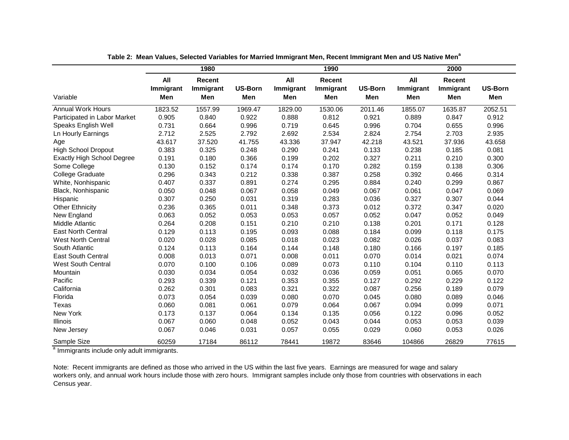|                                   |                         | 1980                       |                       |                         | 1990                              |                       |                         | 2000                       |                       |
|-----------------------------------|-------------------------|----------------------------|-----------------------|-------------------------|-----------------------------------|-----------------------|-------------------------|----------------------------|-----------------------|
| Variable                          | All<br>Immigrant<br>Men | Recent<br>Immigrant<br>Men | <b>US-Born</b><br>Men | All<br>Immigrant<br>Men | <b>Recent</b><br>Immigrant<br>Men | <b>US-Born</b><br>Men | All<br>Immigrant<br>Men | Recent<br>Immigrant<br>Men | <b>US-Born</b><br>Men |
| <b>Annual Work Hours</b>          | 1823.52                 | 1557.99                    | 1969.47               | 1829.00                 | 1530.06                           | 2011.46               | 1855.07                 | 1635.87                    | 2052.51               |
| Participated in Labor Market      | 0.905                   | 0.840                      | 0.922                 | 0.888                   | 0.812                             | 0.921                 | 0.889                   | 0.847                      | 0.912                 |
| Speaks English Well               | 0.731                   | 0.664                      | 0.996                 | 0.719                   | 0.645                             | 0.996                 | 0.704                   | 0.655                      | 0.996                 |
| Ln Hourly Earnings                | 2.712                   | 2.525                      | 2.792                 | 2.692                   | 2.534                             | 2.824                 | 2.754                   | 2.703                      | 2.935                 |
| Age                               | 43.617                  | 37.520                     | 41.755                | 43.336                  | 37.947                            | 42.218                | 43.521                  | 37.936                     | 43.658                |
| <b>High School Dropout</b>        | 0.383                   | 0.325                      | 0.248                 | 0.290                   | 0.241                             | 0.133                 | 0.238                   | 0.185                      | 0.081                 |
| <b>Exactly High School Degree</b> | 0.191                   | 0.180                      | 0.366                 | 0.199                   | 0.202                             | 0.327                 | 0.211                   | 0.210                      | 0.300                 |
| Some College                      | 0.130                   | 0.152                      | 0.174                 | 0.174                   | 0.170                             | 0.282                 | 0.159                   | 0.138                      | 0.306                 |
| <b>College Graduate</b>           | 0.296                   | 0.343                      | 0.212                 | 0.338                   | 0.387                             | 0.258                 | 0.392                   | 0.466                      | 0.314                 |
| White, Nonhispanic                | 0.407                   | 0.337                      | 0.891                 | 0.274                   | 0.295                             | 0.884                 | 0.240                   | 0.299                      | 0.867                 |
| Black, Nonhispanic                | 0.050                   | 0.048                      | 0.067                 | 0.058                   | 0.049                             | 0.067                 | 0.061                   | 0.047                      | 0.069                 |
| Hispanic                          | 0.307                   | 0.250                      | 0.031                 | 0.319                   | 0.283                             | 0.036                 | 0.327                   | 0.307                      | 0.044                 |
| <b>Other Ethnicity</b>            | 0.236                   | 0.365                      | 0.011                 | 0.348                   | 0.373                             | 0.012                 | 0.372                   | 0.347                      | 0.020                 |
| New England                       | 0.063                   | 0.052                      | 0.053                 | 0.053                   | 0.057                             | 0.052                 | 0.047                   | 0.052                      | 0.049                 |
| <b>Middle Atlantic</b>            | 0.264                   | 0.208                      | 0.151                 | 0.210                   | 0.210                             | 0.138                 | 0.201                   | 0.171                      | 0.128                 |
| <b>East North Central</b>         | 0.129                   | 0.113                      | 0.195                 | 0.093                   | 0.088                             | 0.184                 | 0.099                   | 0.118                      | 0.175                 |
| <b>West North Central</b>         | 0.020                   | 0.028                      | 0.085                 | 0.018                   | 0.023                             | 0.082                 | 0.026                   | 0.037                      | 0.083                 |
| South Atlantic                    | 0.124                   | 0.113                      | 0.164                 | 0.144                   | 0.148                             | 0.180                 | 0.166                   | 0.197                      | 0.185                 |
| <b>East South Central</b>         | 0.008                   | 0.013                      | 0.071                 | 0.008                   | 0.011                             | 0.070                 | 0.014                   | 0.021                      | 0.074                 |
| <b>West South Central</b>         | 0.070                   | 0.100                      | 0.106                 | 0.089                   | 0.073                             | 0.110                 | 0.104                   | 0.110                      | 0.113                 |
| Mountain                          | 0.030                   | 0.034                      | 0.054                 | 0.032                   | 0.036                             | 0.059                 | 0.051                   | 0.065                      | 0.070                 |
| Pacific                           | 0.293                   | 0.339                      | 0.121                 | 0.353                   | 0.355                             | 0.127                 | 0.292                   | 0.229                      | 0.122                 |
| California                        | 0.262                   | 0.301                      | 0.083                 | 0.321                   | 0.322                             | 0.087                 | 0.256                   | 0.189                      | 0.079                 |
| Florida                           | 0.073                   | 0.054                      | 0.039                 | 0.080                   | 0.070                             | 0.045                 | 0.080                   | 0.089                      | 0.046                 |
| Texas                             | 0.060                   | 0.081                      | 0.061                 | 0.079                   | 0.064                             | 0.067                 | 0.094                   | 0.099                      | 0.071                 |
| New York                          | 0.173                   | 0.137                      | 0.064                 | 0.134                   | 0.135                             | 0.056                 | 0.122                   | 0.096                      | 0.052                 |
| Illinois                          | 0.067                   | 0.060                      | 0.048                 | 0.052                   | 0.043                             | 0.044                 | 0.053                   | 0.053                      | 0.039                 |
| New Jersey                        | 0.067                   | 0.046                      | 0.031                 | 0.057                   | 0.055                             | 0.029                 | 0.060                   | 0.053                      | 0.026                 |
| Sample Size                       | 60259                   | 17184                      | 86112                 | 78441                   | 19872                             | 83646                 | 104866                  | 26829                      | 77615                 |

**Table 2: Mean Values, Selected Variables for Married Immigrant Men, Recent Immigrant Men and US Native Men<sup>a</sup>**

a Immigrants include only adult immigrants.

Note: Recent immigrants are defined as those who arrived in the US within the last five years. Earnings are measured for wage and salary workers only, and annual work hours include those with zero hours. Immigrant samples include only those from countries with observations in each Census year.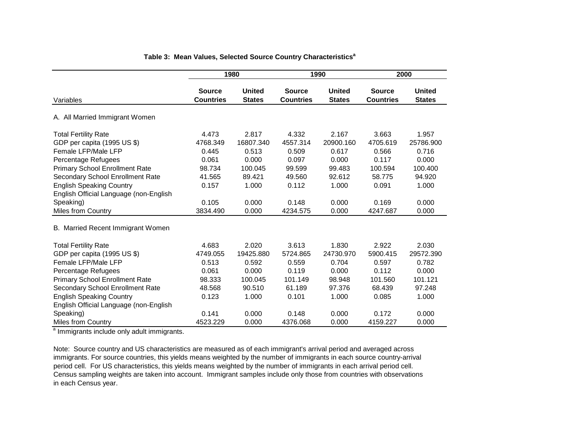|                                        | 1980                              |                                |                                   | 1990                           |                                   | 2000                           |
|----------------------------------------|-----------------------------------|--------------------------------|-----------------------------------|--------------------------------|-----------------------------------|--------------------------------|
| Variables                              | <b>Source</b><br><b>Countries</b> | <b>United</b><br><b>States</b> | <b>Source</b><br><b>Countries</b> | <b>United</b><br><b>States</b> | <b>Source</b><br><b>Countries</b> | <b>United</b><br><b>States</b> |
| A. All Married Immigrant Women         |                                   |                                |                                   |                                |                                   |                                |
| <b>Total Fertility Rate</b>            | 4.473                             | 2.817                          | 4.332                             | 2.167                          | 3.663                             | 1.957                          |
| GDP per capita (1995 US \$)            | 4768.349                          | 16807.340                      | 4557.314                          | 20900.160                      | 4705.619                          | 25786.900                      |
| Female LFP/Male LFP                    | 0.445                             | 0.513                          | 0.509                             | 0.617                          | 0.566                             | 0.716                          |
| Percentage Refugees                    | 0.061                             | 0.000                          | 0.097                             | 0.000                          | 0.117                             | 0.000                          |
| <b>Primary School Enrollment Rate</b>  | 98.734                            | 100.045                        | 99.599                            | 99.483                         | 100.594                           | 100.400                        |
| Secondary School Enrollment Rate       | 41.565                            | 89.421                         | 49.560                            | 92.612                         | 58.775                            | 94.920                         |
| <b>English Speaking Country</b>        | 0.157                             | 1.000                          | 0.112                             | 1.000                          | 0.091                             | 1.000                          |
| English Official Language (non-English |                                   |                                |                                   |                                |                                   |                                |
| Speaking)                              | 0.105                             | 0.000                          | 0.148                             | 0.000                          | 0.169                             | 0.000                          |
| Miles from Country                     | 3834.490                          | 0.000                          | 4234.575                          | 0.000                          | 4247.687                          | 0.000                          |
| B. Married Recent Immigrant Women      |                                   |                                |                                   |                                |                                   |                                |
| <b>Total Fertility Rate</b>            | 4.683                             | 2.020                          | 3.613                             | 1.830                          | 2.922                             | 2.030                          |
| GDP per capita (1995 US \$)            | 4749.055                          | 19425.880                      | 5724.865                          | 24730.970                      | 5900.415                          | 29572.390                      |
| Female LFP/Male LFP                    | 0.513                             | 0.592                          | 0.559                             | 0.704                          | 0.597                             | 0.782                          |
| Percentage Refugees                    | 0.061                             | 0.000                          | 0.119                             | 0.000                          | 0.112                             | 0.000                          |
| <b>Primary School Enrollment Rate</b>  | 98.333                            | 100.045                        | 101.149                           | 98.948                         | 101.560                           | 101.121                        |
| Secondary School Enrollment Rate       | 48.568                            | 90.510                         | 61.189                            | 97.376                         | 68.439                            | 97.248                         |
| <b>English Speaking Country</b>        | 0.123                             | 1.000                          | 0.101                             | 1.000                          | 0.085                             | 1.000                          |
| English Official Language (non-English |                                   |                                |                                   |                                |                                   |                                |
| Speaking)                              | 0.141                             | 0.000                          | 0.148                             | 0.000                          | 0.172                             | 0.000                          |
| <b>Miles from Country</b>              | 4523.229                          | 0.000                          | 4376.068                          | 0.000                          | 4159.227                          | 0.000                          |

## **Table 3: Mean Values, Selected Source Country Characteristics<sup>a</sup>**

a Immigrants include only adult immigrants.

Note: Source country and US characteristics are measured as of each immigrant's arrival period and averaged across immigrants. For source countries, this yields means weighted by the number of immigrants in each source country-arrival period cell. For US characteristics, this yields means weighted by the number of immigrants in each arrival period cell. Census sampling weights are taken into account. Immigrant samples include only those from countries with observations in each Census year.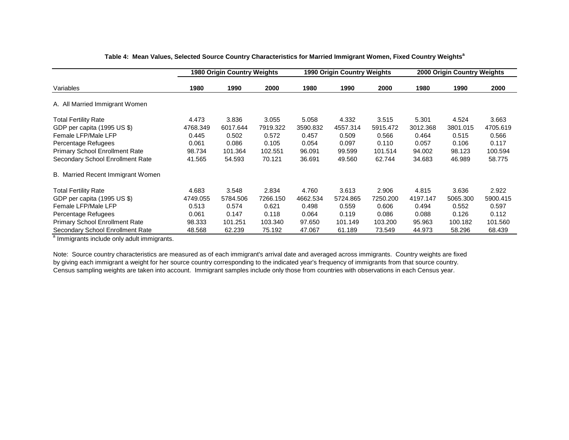|                                       |          | 1980 Origin Country Weights |          |          | 1990 Origin Country Weights |          |          | 2000 Origin Country Weights |          |  |
|---------------------------------------|----------|-----------------------------|----------|----------|-----------------------------|----------|----------|-----------------------------|----------|--|
| Variables                             | 1980     | 1990                        | 2000     | 1980     | 1990                        | 2000     | 1980     | 1990                        | 2000     |  |
| Married Immigrant Women<br>A. All     |          |                             |          |          |                             |          |          |                             |          |  |
| <b>Total Fertility Rate</b>           | 4.473    | 3.836                       | 3.055    | 5.058    | 4.332                       | 3.515    | 5.301    | 4.524                       | 3.663    |  |
| GDP per capita (1995 US \$)           | 4768.349 | 6017.644                    | 7919.322 | 3590.832 | 4557.314                    | 5915.472 | 3012.368 | 3801.015                    | 4705.619 |  |
| Female LFP/Male LFP                   | 0.445    | 0.502                       | 0.572    | 0.457    | 0.509                       | 0.566    | 0.464    | 0.515                       | 0.566    |  |
| Percentage Refugees                   | 0.061    | 0.086                       | 0.105    | 0.054    | 0.097                       | 0.110    | 0.057    | 0.106                       | 0.117    |  |
| <b>Primary School Enrollment Rate</b> | 98.734   | 101.364                     | 102.551  | 96.091   | 99.599                      | 101.514  | 94.002   | 98.123                      | 100.594  |  |
| Secondary School Enrollment Rate      | 41.565   | 54.593                      | 70.121   | 36.691   | 49.560                      | 62.744   | 34.683   | 46.989                      | 58.775   |  |
| B. Married Recent Immigrant Women     |          |                             |          |          |                             |          |          |                             |          |  |
| <b>Total Fertility Rate</b>           | 4.683    | 3.548                       | 2.834    | 4.760    | 3.613                       | 2.906    | 4.815    | 3.636                       | 2.922    |  |
| GDP per capita (1995 US \$)           | 4749.055 | 5784.506                    | 7266.150 | 4662.534 | 5724.865                    | 7250.200 | 4197.147 | 5065.300                    | 5900.415 |  |
| Female LFP/Male LFP                   | 0.513    | 0.574                       | 0.621    | 0.498    | 0.559                       | 0.606    | 0.494    | 0.552                       | 0.597    |  |
| Percentage Refugees                   | 0.061    | 0.147                       | 0.118    | 0.064    | 0.119                       | 0.086    | 0.088    | 0.126                       | 0.112    |  |
| Primary School Enrollment Rate        | 98.333   | 101.251                     | 103.340  | 97.650   | 101.149                     | 103.200  | 95.963   | 100.182                     | 101.560  |  |
| Secondary School Enrollment Rate      | 48.568   | 62.239                      | 75.192   | 47.067   | 61.189                      | 73.549   | 44.973   | 58.296                      | 68.439   |  |

#### **Table 4: Mean Values, Selected Source Country Characteristics for Married Immigrant Women, Fixed Country Weights<sup>a</sup>**

a Immigrants include only adult immigrants.

Note: Source country characteristics are measured as of each immigrant's arrival date and averaged across immigrants. Country weights are fixed by giving each immigrant a weight for her source country corresponding to the indicated year's frequency of immigrants from that source country. Census sampling weights are taken into account. Immigrant samples include only those from countries with observations in each Census year.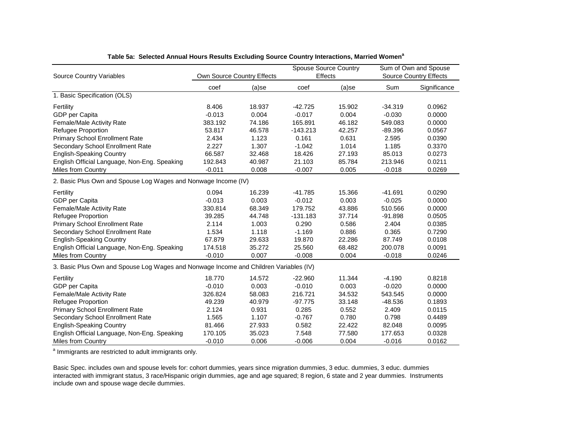| <b>Source Country Variables</b>                                                       | Own Source Country Effects |        | <b>Spouse Source Country</b><br>Effects |          | Sum of Own and Spouse<br><b>Source Country Effects</b> |              |  |  |  |  |
|---------------------------------------------------------------------------------------|----------------------------|--------|-----------------------------------------|----------|--------------------------------------------------------|--------------|--|--|--|--|
|                                                                                       | coef                       | (a)se  | coef                                    | $(a)$ se | Sum                                                    | Significance |  |  |  |  |
| 1. Basic Specification (OLS)                                                          |                            |        |                                         |          |                                                        |              |  |  |  |  |
| Fertility                                                                             | 8.406                      | 18.937 | $-42.725$                               | 15.902   | $-34.319$                                              | 0.0962       |  |  |  |  |
| GDP per Capita                                                                        | $-0.013$                   | 0.004  | $-0.017$                                | 0.004    | $-0.030$                                               | 0.0000       |  |  |  |  |
| Female/Male Activity Rate                                                             | 383.192                    | 74.186 | 165.891                                 | 46.182   | 549.083                                                | 0.0000       |  |  |  |  |
| Refugee Proportion                                                                    | 53.817                     | 46.578 | $-143.213$                              | 42.257   | $-89.396$                                              | 0.0567       |  |  |  |  |
| <b>Primary School Enrollment Rate</b>                                                 | 2.434                      | 1.123  | 0.161                                   | 0.631    | 2.595                                                  | 0.0390       |  |  |  |  |
| Secondary School Enrollment Rate                                                      | 2.227                      | 1.307  | $-1.042$                                | 1.014    | 1.185                                                  | 0.3370       |  |  |  |  |
| <b>English-Speaking Country</b>                                                       | 66.587                     | 32.468 | 18.426                                  | 27.193   | 85.013                                                 | 0.0273       |  |  |  |  |
| English Official Language, Non-Eng. Speaking                                          | 192.843                    | 40.987 | 21.103                                  | 85.784   | 213.946                                                | 0.0211       |  |  |  |  |
| Miles from Country                                                                    | $-0.011$                   | 0.008  | $-0.007$                                | 0.005    | $-0.018$                                               | 0.0269       |  |  |  |  |
| 2. Basic Plus Own and Spouse Log Wages and Nonwage Income (IV)                        |                            |        |                                         |          |                                                        |              |  |  |  |  |
| Fertility                                                                             | 0.094                      | 16.239 | $-41.785$                               | 15.366   | $-41.691$                                              | 0.0290       |  |  |  |  |
| GDP per Capita                                                                        | $-0.013$                   | 0.003  | $-0.012$                                | 0.003    | $-0.025$                                               | 0.0000       |  |  |  |  |
| Female/Male Activity Rate                                                             | 330.814                    | 68.349 | 179.752                                 | 43.886   | 510.566                                                | 0.0000       |  |  |  |  |
| Refugee Proportion                                                                    | 39.285                     | 44.748 | $-131.183$                              | 37.714   | $-91.898$                                              | 0.0505       |  |  |  |  |
| <b>Primary School Enrollment Rate</b>                                                 | 2.114                      | 1.003  | 0.290                                   | 0.586    | 2.404                                                  | 0.0385       |  |  |  |  |
| Secondary School Enrollment Rate                                                      | 1.534                      | 1.118  | $-1.169$                                | 0.886    | 0.365                                                  | 0.7290       |  |  |  |  |
| <b>English-Speaking Country</b>                                                       | 67.879                     | 29.633 | 19.870                                  | 22.286   | 87.749                                                 | 0.0108       |  |  |  |  |
| English Official Language, Non-Eng. Speaking                                          | 174.518                    | 35.272 | 25.560                                  | 68.482   | 200.078                                                | 0.0091       |  |  |  |  |
| Miles from Country                                                                    | $-0.010$                   | 0.007  | $-0.008$                                | 0.004    | $-0.018$                                               | 0.0246       |  |  |  |  |
| 3. Basic Plus Own and Spouse Log Wages and Nonwage Income and Children Variables (IV) |                            |        |                                         |          |                                                        |              |  |  |  |  |
| Fertility                                                                             | 18.770                     | 14.572 | $-22.960$                               | 11.344   | $-4.190$                                               | 0.8218       |  |  |  |  |
| GDP per Capita                                                                        | $-0.010$                   | 0.003  | $-0.010$                                | 0.003    | $-0.020$                                               | 0.0000       |  |  |  |  |
| Female/Male Activity Rate                                                             | 326.824                    | 58.083 | 216.721                                 | 34.532   | 543.545                                                | 0.0000       |  |  |  |  |
| <b>Refugee Proportion</b>                                                             | 49.239                     | 40.979 | $-97.775$                               | 33.148   | $-48.536$                                              | 0.1893       |  |  |  |  |
| <b>Primary School Enrollment Rate</b>                                                 | 2.124                      | 0.931  | 0.285                                   | 0.552    | 2.409                                                  | 0.0115       |  |  |  |  |
| Secondary School Enrollment Rate                                                      | 1.565                      | 1.107  | $-0.767$                                | 0.780    | 0.798                                                  | 0.4489       |  |  |  |  |
| <b>English-Speaking Country</b>                                                       | 81.466                     | 27.933 | 0.582                                   | 22.422   | 82.048                                                 | 0.0095       |  |  |  |  |
| English Official Language, Non-Eng. Speaking                                          | 170.105                    | 35.023 | 7.548                                   | 77.580   | 177.653                                                | 0.0328       |  |  |  |  |
| <b>Miles from Country</b>                                                             | $-0.010$                   | 0.006  | $-0.006$                                | 0.004    | $-0.016$                                               | 0.0162       |  |  |  |  |

#### **Table 5a: Selected Annual Hours Results Excluding Source Country Interactions, Married Women<sup>a</sup>**

<sup>a</sup> Immigrants are restricted to adult immigrants only.

Basic Spec. includes own and spouse levels for: cohort dummies, years since migration dummies, 3 educ. dummies, 3 educ. dummies interacted with immigrant status, 3 race/Hispanic origin dummies, age and age squared; 8 region, 6 state and 2 year dummies. Instruments include own and spouse wage decile dummies.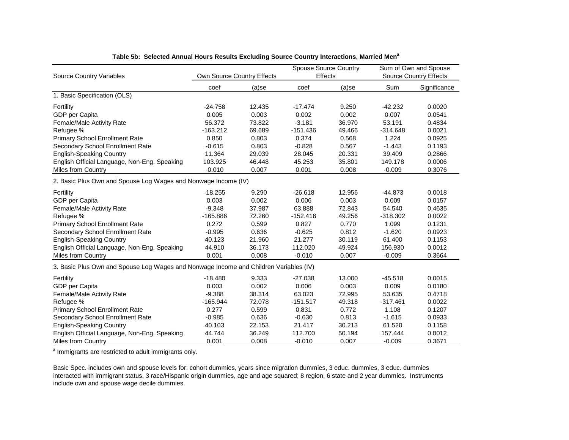|                                                                                       |                            |        |            | <b>Spouse Source Country</b> | Sum of Own and Spouse |                               |  |  |  |  |
|---------------------------------------------------------------------------------------|----------------------------|--------|------------|------------------------------|-----------------------|-------------------------------|--|--|--|--|
| Source Country Variables                                                              | Own Source Country Effects |        | Effects    |                              |                       | <b>Source Country Effects</b> |  |  |  |  |
|                                                                                       | coef                       | (a)se  | coef       | (a)se                        | Sum                   | Significance                  |  |  |  |  |
| 1. Basic Specification (OLS)                                                          |                            |        |            |                              |                       |                               |  |  |  |  |
| Fertility                                                                             | $-24.758$                  | 12.435 | $-17.474$  | 9.250                        | $-42.232$             | 0.0020                        |  |  |  |  |
| GDP per Capita                                                                        | 0.005                      | 0.003  | 0.002      | 0.002                        | 0.007                 | 0.0541                        |  |  |  |  |
| Female/Male Activity Rate                                                             | 56.372                     | 73.822 | $-3.181$   | 36.970                       | 53.191                | 0.4834                        |  |  |  |  |
| Refugee %                                                                             | $-163.212$                 | 69.689 | $-151.436$ | 49.466                       | $-314.648$            | 0.0021                        |  |  |  |  |
| <b>Primary School Enrollment Rate</b>                                                 | 0.850                      | 0.803  | 0.374      | 0.568                        | 1.224                 | 0.0925                        |  |  |  |  |
| Secondary School Enrollment Rate                                                      | $-0.615$                   | 0.803  | $-0.828$   | 0.567                        | $-1.443$              | 0.1193                        |  |  |  |  |
| <b>English-Speaking Country</b>                                                       | 11.364                     | 29.039 | 28.045     | 20.331                       | 39.409                | 0.2866                        |  |  |  |  |
| English Official Language, Non-Eng. Speaking                                          | 103.925                    | 46.448 | 45.253     | 35.801                       | 149.178               | 0.0006                        |  |  |  |  |
| <b>Miles from Country</b>                                                             | $-0.010$                   | 0.007  | 0.001      | 0.008                        | $-0.009$              | 0.3076                        |  |  |  |  |
| 2. Basic Plus Own and Spouse Log Wages and Nonwage Income (IV)                        |                            |        |            |                              |                       |                               |  |  |  |  |
| Fertility                                                                             | $-18.255$                  | 9.290  | $-26.618$  | 12.956                       | $-44.873$             | 0.0018                        |  |  |  |  |
| GDP per Capita                                                                        | 0.003                      | 0.002  | 0.006      | 0.003                        | 0.009                 | 0.0157                        |  |  |  |  |
| Female/Male Activity Rate                                                             | $-9.348$                   | 37.987 | 63.888     | 72.843                       | 54.540                | 0.4635                        |  |  |  |  |
| Refugee %                                                                             | $-165.886$                 | 72.260 | $-152.416$ | 49.256                       | $-318.302$            | 0.0022                        |  |  |  |  |
| <b>Primary School Enrollment Rate</b>                                                 | 0.272                      | 0.599  | 0.827      | 0.770                        | 1.099                 | 0.1231                        |  |  |  |  |
| Secondary School Enrollment Rate                                                      | $-0.995$                   | 0.636  | $-0.625$   | 0.812                        | $-1.620$              | 0.0923                        |  |  |  |  |
| <b>English-Speaking Country</b>                                                       | 40.123                     | 21.960 | 21.277     | 30.119                       | 61.400                | 0.1153                        |  |  |  |  |
| English Official Language, Non-Eng. Speaking                                          | 44.910                     | 36.173 | 112.020    | 49.924                       | 156.930               | 0.0012                        |  |  |  |  |
| <b>Miles from Country</b>                                                             | 0.001                      | 0.008  | $-0.010$   | 0.007                        | $-0.009$              | 0.3664                        |  |  |  |  |
| 3. Basic Plus Own and Spouse Log Wages and Nonwage Income and Children Variables (IV) |                            |        |            |                              |                       |                               |  |  |  |  |
| Fertility                                                                             | $-18.480$                  | 9.333  | $-27.038$  | 13.000                       | $-45.518$             | 0.0015                        |  |  |  |  |
| GDP per Capita                                                                        | 0.003                      | 0.002  | 0.006      | 0.003                        | 0.009                 | 0.0180                        |  |  |  |  |
| Female/Male Activity Rate                                                             | $-9.388$                   | 38.314 | 63.023     | 72.995                       | 53.635                | 0.4718                        |  |  |  |  |
| Refugee %                                                                             | $-165.944$                 | 72.078 | $-151.517$ | 49.318                       | $-317.461$            | 0.0022                        |  |  |  |  |
| <b>Primary School Enrollment Rate</b>                                                 | 0.277                      | 0.599  | 0.831      | 0.772                        | 1.108                 | 0.1207                        |  |  |  |  |
| Secondary School Enrollment Rate                                                      | $-0.985$                   | 0.636  | $-0.630$   | 0.813                        | $-1.615$              | 0.0933                        |  |  |  |  |
| <b>English-Speaking Country</b>                                                       | 40.103                     | 22.153 | 21.417     | 30.213                       | 61.520                | 0.1158                        |  |  |  |  |
| English Official Language, Non-Eng. Speaking                                          | 44.744                     | 36.249 | 112.700    | 50.194                       | 157.444               | 0.0012                        |  |  |  |  |
| <b>Miles from Country</b>                                                             | 0.001                      | 0.008  | $-0.010$   | 0.007                        | $-0.009$              | 0.3671                        |  |  |  |  |

**Table 5b: Selected Annual Hours Results Excluding Source Country Interactions, Married Men<sup>a</sup>**

<sup>a</sup> Immigrants are restricted to adult immigrants only.

Basic Spec. includes own and spouse levels for: cohort dummies, years since migration dummies, 3 educ. dummies, 3 educ. dummies interacted with immigrant status, 3 race/Hispanic origin dummies, age and age squared; 8 region, 6 state and 2 year dummies. Instruments include own and spouse wage decile dummies.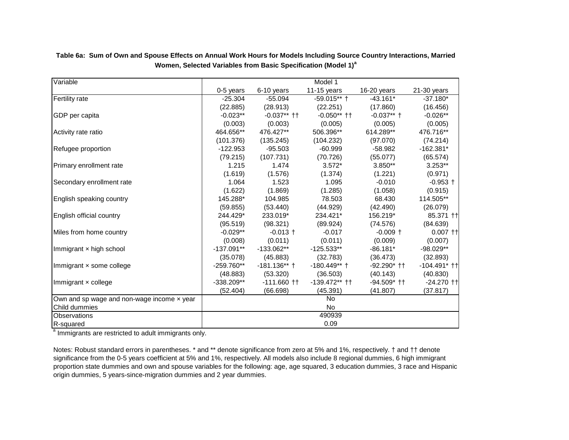| Variable                                          |              |                | Model 1         |               |                   |  |  |  |  |
|---------------------------------------------------|--------------|----------------|-----------------|---------------|-------------------|--|--|--|--|
|                                                   | 0-5 years    | 6-10 years     | 11-15 years     | 16-20 years   | $21-30$ years     |  |  |  |  |
| Fertility rate                                    | $-25.304$    | $-55.094$      | $-59.015**$ †   | $-43.161*$    | $-37.180*$        |  |  |  |  |
|                                                   | (22.885)     | (28.913)       | (22.251)        | (17.860)      | (16.456)          |  |  |  |  |
| GDP per capita                                    | $-0.023**$   | $-0.037**$ ††  | $-0.050**$ ††   | $-0.037**$ †  | $-0.026**$        |  |  |  |  |
|                                                   | (0.003)      | (0.003)        | (0.005)         | (0.005)       | (0.005)           |  |  |  |  |
| Activity rate ratio                               | 464.656**    | 476.427**      | 506.396**       | 614.289**     | 476.716**         |  |  |  |  |
|                                                   | (101.376)    | (135.245)      | (104.232)       | (97.070)      | (74.214)          |  |  |  |  |
| Refugee proportion                                | $-122.953$   | $-95.503$      | $-60.999$       | $-58.982$     | $-162.381*$       |  |  |  |  |
|                                                   | (79.215)     | (107.731)      | (70.726)        | (55.077)      | (65.574)          |  |  |  |  |
| Primary enrollment rate                           | 1.215        | 1.474          | $3.572*$        | $3.850**$     | $3.253**$         |  |  |  |  |
|                                                   | (1.619)      | (1.576)        | (1.374)         | (1.221)       | (0.971)           |  |  |  |  |
| Secondary enrollment rate                         | 1.064        | 1.523<br>1.095 |                 | $-0.010$      | $-0.953 +$        |  |  |  |  |
|                                                   | (1.622)      | (1.869)        | (1.285)         | (1.058)       | (0.915)           |  |  |  |  |
| English speaking country                          | 145.288*     | 104.985        | 78.503          | 68.430        | 114.505**         |  |  |  |  |
|                                                   | (59.855)     | (53.440)       | (44.929)        | (42.490)      | (26.079)          |  |  |  |  |
| English official country                          | 244.429*     | 233.019*       | 234.421*        | 156.219*      | 85.371 ++         |  |  |  |  |
|                                                   | (95.519)     | (98.321)       | (89.924)        | (74.576)      | (84.639)          |  |  |  |  |
| Miles from home country                           | $-0.029**$   | $-0.013 +$     | $-0.017$        | $-0.009 +$    | $0.007$ $\dagger$ |  |  |  |  |
|                                                   | (0.008)      | (0.011)        | (0.011)         | (0.009)       | (0.007)           |  |  |  |  |
| Immigrant x high school                           | $-137.091**$ | $-133.062**$   | $-125.533**$    | $-86.181*$    | $-98.029**$       |  |  |  |  |
|                                                   | (35.078)     | (45.883)       | (32.783)        | (36.473)      | (32.893)          |  |  |  |  |
| Immigrant x some college                          | $-259.760**$ | $-181.136**$ † | $-180.449**$ †  | $-92.290*$ †† | $-104.491*$ ††    |  |  |  |  |
|                                                   | (48.883)     | (53.320)       | (36.503)        | (40.143)      | (40.830)          |  |  |  |  |
| Immigrant x college                               | $-338.209**$ | $-111.660$ ††  | $-139.472**$ †† | $-94.509*$ †† | $-24.270$ ++      |  |  |  |  |
|                                                   | (52.404)     | (66.698)       | (45.391)        | (41.807)      | (37.817)          |  |  |  |  |
| Own and sp wage and non-wage income $\times$ year |              |                | No              |               |                   |  |  |  |  |
| Child dummies                                     |              |                | <b>No</b>       |               |                   |  |  |  |  |
| Observations                                      | 490939       |                |                 |               |                   |  |  |  |  |
| R-squared                                         |              |                | 0.09            |               |                   |  |  |  |  |

**Table 6a: Sum of Own and Spouse Effects on Annual Work Hours for Models Including Source Country Interactions, Married Women, Selected Variables from Basic Specification (Model 1)<sup>a</sup>**

<sup>a</sup> Immigrants are restricted to adult immigrants only.

Notes: Robust standard errors in parentheses. \* and \*\* denote significance from zero at 5% and 1%, respectively. † and †† denote significance from the 0-5 years coefficient at 5% and 1%, respectively. All models also include 8 regional dummies, 6 high immigrant proportion state dummies and own and spouse variables for the following: age, age squared, 3 education dummies, 3 race and Hispanic origin dummies, 5 years-since-migration dummies and 2 year dummies.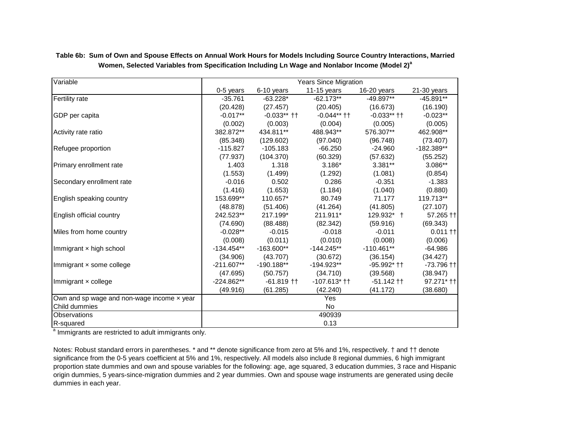| Variable                                          |              |               | <b>Years Since Migration</b> |               |              |  |  |  |  |
|---------------------------------------------------|--------------|---------------|------------------------------|---------------|--------------|--|--|--|--|
|                                                   | 0-5 years    | 6-10 years    | 11-15 years                  | 16-20 years   | 21-30 years  |  |  |  |  |
| Fertility rate                                    | $-35.761$    | $-63.228*$    | $-62.173**$                  | -49.897**     | $-45.891**$  |  |  |  |  |
|                                                   | (20.428)     | (27.457)      | (20.405)                     | (16.673)      | (16.190)     |  |  |  |  |
| GDP per capita                                    | $-0.017**$   | $-0.033**$ †† | $-0.044**$ ††                | $-0.033**$ †† | $-0.023**$   |  |  |  |  |
|                                                   | (0.002)      | (0.003)       | (0.004)                      | (0.005)       | (0.005)      |  |  |  |  |
| Activity rate ratio                               | 382.872**    | 434.811**     | 488.943**                    | 576.307**     | 462.908**    |  |  |  |  |
|                                                   | (85.348)     | (129.602)     | (97.040)                     | (96.748)      | (73.407)     |  |  |  |  |
| Refugee proportion                                | $-115.827$   | $-105.183$    | $-66.250$                    | $-24.960$     | -182.389**   |  |  |  |  |
|                                                   | (77.937)     | (104.370)     | (60.329)                     | (57.632)      | (55.252)     |  |  |  |  |
| Primary enrollment rate                           | 1.403        | 1.318         | $3.186*$                     | $3.381**$     | 3.086**      |  |  |  |  |
|                                                   | (1.553)      | (1.499)       | (1.292)                      | (1.081)       | (0.854)      |  |  |  |  |
| Secondary enrollment rate                         | $-0.016$     | 0.502         | 0.286                        | $-0.351$      | $-1.383$     |  |  |  |  |
|                                                   | (1.416)      | (1.653)       | (1.184)                      | (1.040)       | (0.880)      |  |  |  |  |
| English speaking country                          | 153.699**    | 110.657*      | 80.749                       | 71.177        | 119.713**    |  |  |  |  |
|                                                   | (48.878)     | (51.406)      | (41.264)                     | (41.805)      | (27.107)     |  |  |  |  |
| English official country                          | 242.523**    | 217.199*      | 211.911*                     | 129.932* +    | 57.265 ++    |  |  |  |  |
|                                                   | (74.690)     | (88.488)      | (82.342)                     | (59.916)      | (69.343)     |  |  |  |  |
| Miles from home country                           | $-0.028**$   | $-0.015$      | $-0.018$                     | $-0.011$      | $0.011 +$    |  |  |  |  |
|                                                   | (0.008)      | (0.011)       | (0.010)                      | (0.008)       | (0.006)      |  |  |  |  |
| Immigrant x high school                           | $-134.454**$ | $-163.600**$  | $-144.245**$                 | $-110.461**$  | $-64.986$    |  |  |  |  |
|                                                   | (34.906)     | (43.707)      | (30.672)                     | (36.154)      | (34.427)     |  |  |  |  |
| Immigrant x some college                          | $-211.607**$ | $-190.188**$  | $-194.923**$                 | $-95.992$ $+$ | $-73.796$ †† |  |  |  |  |
|                                                   | (47.695)     | (50.757)      | (34.710)                     | (39.568)      | (38.947)     |  |  |  |  |
| Immigrant x college                               | $-224.862**$ | $-61.819$ ††  | $-107.613$ $+$               | $-51.142$ ††  | 97.271* ††   |  |  |  |  |
|                                                   | (49.916)     | (61.285)      | (42.240)                     | (41.172)      | (38.680)     |  |  |  |  |
| Own and sp wage and non-wage income $\times$ year |              |               | Yes                          |               |              |  |  |  |  |
| Child dummies                                     |              |               | <b>No</b>                    |               |              |  |  |  |  |
| Observations                                      | 490939       |               |                              |               |              |  |  |  |  |
| R-squared                                         |              |               | 0.13                         |               |              |  |  |  |  |

**Table 6b: Sum of Own and Spouse Effects on Annual Work Hours for Models Including Source Country Interactions, Married Women, Selected Variables from Specification Including Ln Wage and Nonlabor Income (Model 2)<sup>a</sup>**

<sup>a</sup> Immigrants are restricted to adult immigrants only.

Notes: Robust standard errors in parentheses. \* and \*\* denote significance from zero at 5% and 1%, respectively. † and †† denote significance from the 0-5 years coefficient at 5% and 1%, respectively. All models also include 8 regional dummies, 6 high immigrant proportion state dummies and own and spouse variables for the following: age, age squared, 3 education dummies, 3 race and Hispanic origin dummies, 5 years-since-migration dummies and 2 year dummies. Own and spouse wage instruments are generated using decile dummies in each year.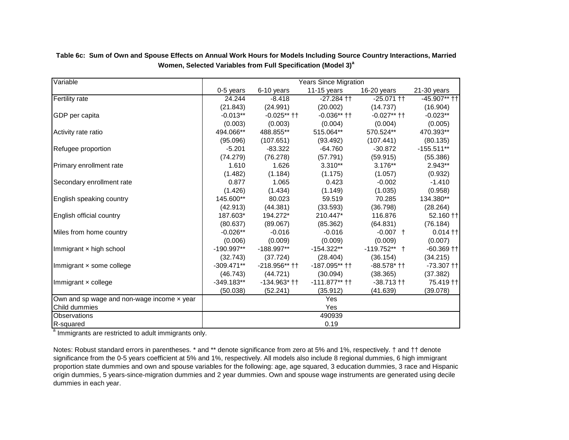| Variable                                   | <b>Years Since Migration</b> |                    |                 |                 |                |  |  |  |  |
|--------------------------------------------|------------------------------|--------------------|-----------------|-----------------|----------------|--|--|--|--|
|                                            | 0-5 years                    | 6-10 years         | $11-15$ years   | 16-20 years     | $21-30$ years  |  |  |  |  |
| <b>Fertility rate</b>                      | 24.244                       | $-8.418$           | $-27.284$ ††    | $-25.071$ ††    | $-45.907**$ †† |  |  |  |  |
|                                            | (21.843)                     | (24.991)           | (20.002)        | (14.737)        | (16.904)       |  |  |  |  |
| GDP per capita                             | $-0.013**$                   | $-0.025**$ ††      | $-0.036**$ ††   | $-0.027**$ ††   | $-0.023**$     |  |  |  |  |
|                                            | (0.003)                      | (0.003)            | (0.004)         | (0.004)         | (0.005)        |  |  |  |  |
| Activity rate ratio                        | 494.066**                    | 488.855**          | 515.064**       | 570.524**       | 470.393**      |  |  |  |  |
|                                            | (95.096)                     | (107.651)          | (93.492)        | (107.441)       | (80.135)       |  |  |  |  |
| Refugee proportion                         | $-5.201$                     | $-83.322$          | $-64.760$       | $-30.872$       | $-155.511**$   |  |  |  |  |
|                                            | (74.279)                     | (76.278)           | (57.791)        | (59.915)        | (55.386)       |  |  |  |  |
| Primary enrollment rate                    | 1.610                        | 1.626              | $3.310**$       | $3.176**$       | 2.943**        |  |  |  |  |
|                                            | (1.482)                      | (1.184)            | (1.175)         | (1.057)         | (0.932)        |  |  |  |  |
| Secondary enrollment rate                  | 0.877                        | 1.065              | 0.423           | $-0.002$        | $-1.410$       |  |  |  |  |
|                                            | (1.426)                      | (1.434)            | (1.149)         | (1.035)         | (0.958)        |  |  |  |  |
| English speaking country                   | 145.600**                    | 80.023             | 59.519          | 70.285          | 134.380**      |  |  |  |  |
|                                            | (42.913)                     | (44.381)           | (33.593)        | (36.798)        | (28.264)       |  |  |  |  |
| English official country                   | 187.603*                     | 194.272*           | 210.447*        | 116.876         | 52.160 ++      |  |  |  |  |
|                                            | (80.637)                     | (89.067)           | (85.362)        | (64.831)        | (76.184)       |  |  |  |  |
| Miles from home country                    | $-0.026**$                   | $-0.016$           | $-0.016$        | $-0.007$ +      | $0.014$ ††     |  |  |  |  |
|                                            | (0.006)                      | (0.009)            | (0.009)         | (0.009)         | (0.007)        |  |  |  |  |
| Immigrant x high school                    | $-190.997**$                 | $-188.997**$       | $-154.322**$    | $-119.752**$ †  | $-60.369$ ††   |  |  |  |  |
|                                            | (32.743)                     | (37.724)           | (28.404)        | (36.154)        | (34.215)       |  |  |  |  |
| Immigrant x some college                   | $-309.471**$                 | $-218.956**$ ††    | -187.095** ††   | $-88.578$ * † † | $-73.307$ $+1$ |  |  |  |  |
|                                            | (46.743)                     | (44.721)           | (30.094)        | (38.365)        | (37.382)       |  |  |  |  |
| Immigrant $\times$ college                 | $-349.183**$                 | $-134.963$ $+$ $+$ | $-111.877**$ †† | $-38.713$ ††    | 75.419 ††      |  |  |  |  |
|                                            | (50.038)                     | (52.241)           | (35.912)        | (41.639)        | (39.078)       |  |  |  |  |
| Own and sp wage and non-wage income x year |                              |                    | Yes             |                 |                |  |  |  |  |
| Child dummies                              |                              |                    | Yes             |                 |                |  |  |  |  |
| <b>Observations</b>                        | 490939                       |                    |                 |                 |                |  |  |  |  |
| R-squared                                  |                              |                    | 0.19            |                 |                |  |  |  |  |

**Table 6c: Sum of Own and Spouse Effects on Annual Work Hours for Models Including Source Country Interactions, Married Women, Selected Variables from Full Specification (Model 3)<sup>a</sup>**

<sup>a</sup> Immigrants are restricted to adult immigrants only.

Notes: Robust standard errors in parentheses. \* and \*\* denote significance from zero at 5% and 1%, respectively. † and †† denote significance from the 0-5 years coefficient at 5% and 1%, respectively. All models also include 8 regional dummies, 6 high immigrant proportion state dummies and own and spouse variables for the following: age, age squared, 3 education dummies, 3 race and Hispanic origin dummies, 5 years-since-migration dummies and 2 year dummies. Own and spouse wage instruments are generated using decile dummies in each year.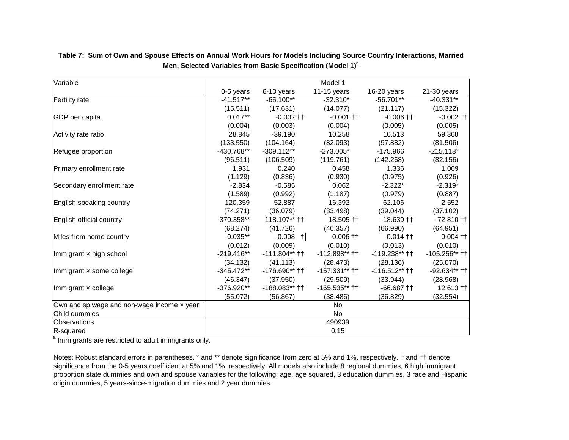| Variable                                   |              |                   | Model 1         |                 |                 |
|--------------------------------------------|--------------|-------------------|-----------------|-----------------|-----------------|
|                                            | 0-5 years    | 6-10 years        | 11-15 years     | 16-20 years     | 21-30 years     |
| Fertility rate                             | $-41.517**$  | $-65.100**$       | $-32.310*$      | $-56.701**$     | $-40.331**$     |
|                                            | (15.511)     | (17.631)          | (14.077)        | (21.117)        | (15.322)        |
| GDP per capita                             | $0.017**$    | $-0.002$ ††       | $-0.001$ ††     | $-0.006$ ++     | $-0.002$ ++     |
|                                            | (0.004)      | (0.003)           | (0.004)         | (0.005)         | (0.005)         |
| Activity rate ratio                        | 28.845       | $-39.190$         | 10.258          | 10.513          | 59.368          |
|                                            | (133.550)    | (104.164)         | (82.093)        | (97.882)        | (81.506)        |
| Refugee proportion                         | -430.768**   | $-309.112**$      | $-273.005*$     | $-175.966$      | $-215.118*$     |
|                                            | (96.511)     | (106.509)         | (119.761)       | (142.268)       | (82.156)        |
| Primary enrollment rate                    | 1.931        | 0.240             | 0.458           | 1.336           | 1.069           |
|                                            | (1.129)      | (0.836)           | (0.930)         | (0.975)         | (0.926)         |
| Secondary enrollment rate                  | $-2.834$     | $-0.585$<br>0.062 |                 | $-2.322*$       | $-2.319*$       |
|                                            | (1.589)      | (0.992)           | (1.187)         | (0.979)         | (0.887)         |
| English speaking country                   | 120.359      | 52.887            | 16.392          | 62.106          | 2.552           |
|                                            | (74.271)     | (36.079)          | (33.498)        | (39.044)        | (37.102)        |
| English official country                   | 370.358**    | 118.107** ††      | $18.505$ ††     | $-18.639 +$     | $-72.810$ ††    |
|                                            | (68.274)     | (41.726)          | (46.357)        | (66.990)        | (64.951)        |
| Miles from home country                    | $-0.035**$   | $-0.008$ +        | $0.006 +$       | $0.014$ ††      | $0.004$ ††      |
|                                            | (0.012)      | (0.009)           | (0.010)         | (0.013)         | (0.010)         |
| Immigrant x high school                    | $-219.416**$ | $-111.804**$ ††   | $-112.898**$ †† | $-119.238**$ †† | $-105.256**$ †† |
|                                            | (34.132)     | (41.113)          | (28.473)        | (28.136)        | (25.070)        |
| Immigrant x some college                   | $-345.472**$ | $-176.690**$ ††   | -157.331** ††   | $-116.512**$ †† | $-92.634**$ ††  |
|                                            | (46.347)     | (37.950)          | (29.509)        | (33.944)        | (28.968)        |
| Immigrant x college                        | -376.920**   | $-188.083**++$    | $-165.535**$ †† | $-66.687$ ††    | $12.613$ ††     |
|                                            | (55.072)     | (56.867)          | (38.486)        | (36.829)        | (32.554)        |
| Own and sp wage and non-wage income x year |              |                   | <b>No</b>       |                 |                 |
| Child dummies                              |              |                   | <b>No</b>       |                 |                 |
| <b>Observations</b>                        |              |                   | 490939          |                 |                 |
| R-squared                                  |              |                   | 0.15            |                 |                 |

**Table 7: Sum of Own and Spouse Effects on Annual Work Hours for Models Including Source Country Interactions, Married Men, Selected Variables from Basic Specification (Model 1)<sup>a</sup>**

<sup>a</sup> Immigrants are restricted to adult immigrants only.

Notes: Robust standard errors in parentheses. \* and \*\* denote significance from zero at 5% and 1%, respectively. † and †† denote significance from the 0-5 years coefficient at 5% and 1%, respectively. All models also include 8 regional dummies, 6 high immigrant proportion state dummies and own and spouse variables for the following: age, age squared, 3 education dummies, 3 race and Hispanic origin dummies, 5 years-since-migration dummies and 2 year dummies.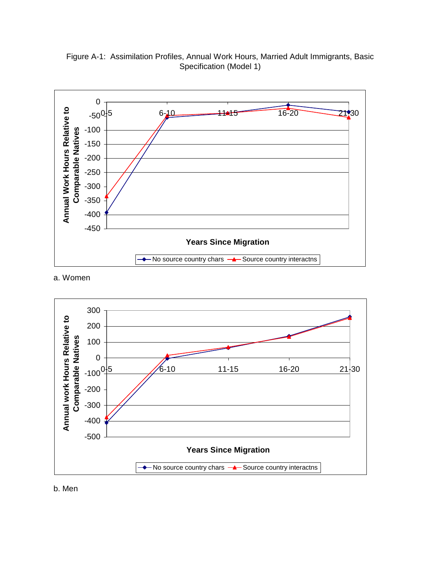0  **Hours Relative to Annual Work Hours Relative to**  $-50^{0+5}$ 0 16-20 21:30 **Sale 1**<br> **Comparison**<br> **Comparison**<br> **Comparison**<br> **Comparison**<br> **Comparison**<br> **Comparison**<br> **Comparison**<br> **Comparison** -100 **able Natives** -150 -200 **Annual Work** -300 -350 -400 -450 **Years Since Migration**  $-$  No source country chars  $-$  Source country interactns  $\ddot{\phantom{1}}$ 

Figure A-1: Assimilation Profiles, Annual Work Hours, Married Adult Immigrants, Basic Specification (Model 1)

a. Women



b. Men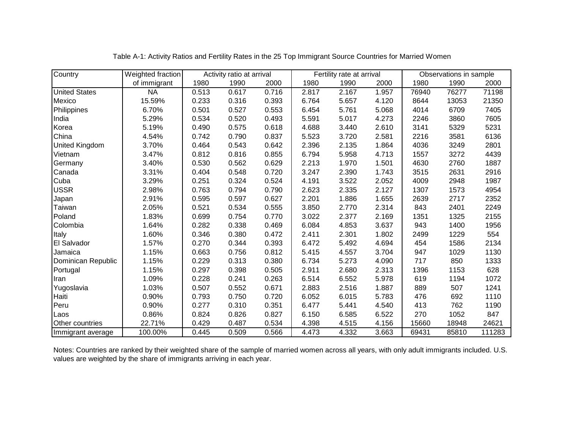| Country               | Weighted fraction |       | Activity ratio at arrival |       |       | Fertility rate at arrival |       | Observations in sample |       |        |
|-----------------------|-------------------|-------|---------------------------|-------|-------|---------------------------|-------|------------------------|-------|--------|
|                       | of immigrant      | 1980  | 1990                      | 2000  | 1980  | 1990                      | 2000  | 1980                   | 1990  | 2000   |
| <b>United States</b>  | <b>NA</b>         | 0.513 | 0.617                     | 0.716 | 2.817 | 2.167                     | 1.957 | 76940                  | 76277 | 71198  |
| Mexico                | 15.59%            | 0.233 | 0.316                     | 0.393 | 6.764 | 5.657                     | 4.120 | 8644                   | 13053 | 21350  |
| Philippines           | 6.70%             | 0.501 | 0.527                     | 0.553 | 6.454 | 5.761                     | 5.068 | 4014                   | 6709  | 7405   |
| India                 | 5.29%             | 0.534 | 0.520                     | 0.493 | 5.591 | 5.017                     | 4.273 | 2246                   | 3860  | 7605   |
| Korea                 | 5.19%             | 0.490 | 0.575                     | 0.618 | 4.688 | 3.440                     | 2.610 | 3141                   | 5329  | 5231   |
| China                 | 4.54%             | 0.742 | 0.790                     | 0.837 | 5.523 | 3.720                     | 2.581 | 2216                   | 3581  | 6136   |
| <b>United Kingdom</b> | 3.70%             | 0.464 | 0.543                     | 0.642 | 2.396 | 2.135                     | 1.864 | 4036                   | 3249  | 2801   |
| Vietnam               | 3.47%             | 0.812 | 0.816                     | 0.855 | 6.794 | 5.958                     | 4.713 | 1557                   | 3272  | 4439   |
| Germany               | 3.40%             | 0.530 | 0.562                     | 0.629 | 2.213 | 1.970                     | 1.501 | 4630                   | 2760  | 1887   |
| Canada                | 3.31%             | 0.404 | 0.548                     | 0.720 | 3.247 | 2.390                     | 1.743 | 3515                   | 2631  | 2916   |
| Cuba                  | 3.29%             | 0.251 | 0.324                     | 0.524 | 4.191 | 3.522                     | 2.052 | 4009                   | 2948  | 1987   |
| <b>USSR</b>           | 2.98%             | 0.763 | 0.794                     | 0.790 | 2.623 | 2.335                     | 2.127 | 1307                   | 1573  | 4954   |
| Japan                 | 2.91%             | 0.595 | 0.597                     | 0.627 | 2.201 | 1.886                     | 1.655 | 2639                   | 2717  | 2352   |
| Taiwan                | 2.05%             | 0.521 | 0.534                     | 0.555 | 3.850 | 2.770                     | 2.314 | 843                    | 2401  | 2249   |
| Poland                | 1.83%             | 0.699 | 0.754                     | 0.770 | 3.022 | 2.377                     | 2.169 | 1351                   | 1325  | 2155   |
| Colombia              | 1.64%             | 0.282 | 0.338                     | 0.469 | 6.084 | 4.853                     | 3.637 | 943                    | 1400  | 1956   |
| Italy                 | 1.60%             | 0.346 | 0.380                     | 0.472 | 2.411 | 2.301                     | 1.802 | 2499                   | 1229  | 554    |
| El Salvador           | 1.57%             | 0.270 | 0.344                     | 0.393 | 6.472 | 5.492                     | 4.694 | 454                    | 1586  | 2134   |
| Jamaica               | 1.15%             | 0.663 | 0.756                     | 0.812 | 5.415 | 4.557                     | 3.704 | 947                    | 1029  | 1130   |
| Dominican Republic    | 1.15%             | 0.229 | 0.313                     | 0.380 | 6.734 | 5.273                     | 4.090 | 717                    | 850   | 1333   |
| Portugal              | 1.15%             | 0.297 | 0.398                     | 0.505 | 2.911 | 2.680                     | 2.313 | 1396                   | 1153  | 628    |
| Iran                  | 1.09%             | 0.228 | 0.241                     | 0.263 | 6.514 | 6.552                     | 5.978 | 619                    | 1194  | 1072   |
| Yugoslavia            | 1.03%             | 0.507 | 0.552                     | 0.671 | 2.883 | 2.516                     | 1.887 | 889                    | 507   | 1241   |
| Haiti                 | 0.90%             | 0.793 | 0.750                     | 0.720 | 6.052 | 6.015                     | 5.783 | 476                    | 692   | 1110   |
| Peru                  | 0.90%             | 0.277 | 0.310                     | 0.351 | 6.477 | 5.441                     | 4.540 | 413                    | 762   | 1190   |
| Laos                  | 0.86%             | 0.824 | 0.826                     | 0.827 | 6.150 | 6.585                     | 6.522 | 270                    | 1052  | 847    |
| Other countries       | 22.71%            | 0.429 | 0.487                     | 0.534 | 4.398 | 4.515                     | 4.156 | 15660                  | 18948 | 24621  |
| Immigrant average     | 100.00%           | 0.445 | 0.509                     | 0.566 | 4.473 | 4.332                     | 3.663 | 69431                  | 85810 | 111283 |

Table A-1: Activity Ratios and Fertility Rates in the 25 Top Immigrant Source Countries for Married Women

Notes: Countries are ranked by their weighted share of the sample of married women across all years, with only adult immigrants included. U.S. values are weighted by the share of immigrants arriving in each year.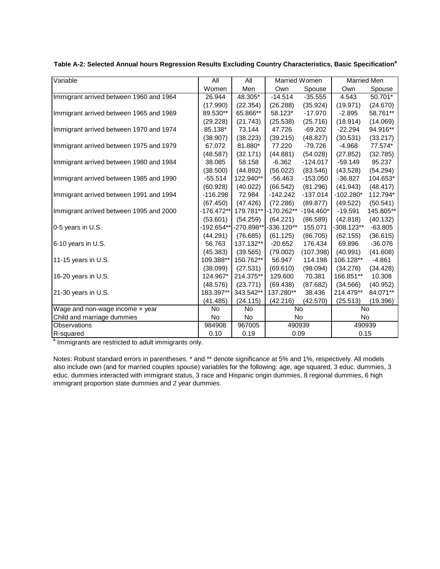| Variable                                | All          | All        | <b>Married Women</b> |             | <b>Married Men</b> |           |
|-----------------------------------------|--------------|------------|----------------------|-------------|--------------------|-----------|
|                                         | Women        | Men        | Own                  | Spouse      | Own                | Spouse    |
| Immigrant arrived between 1960 and 1964 | 26.944       | 48.305*    | $-14.514$            | $-35.555$   | 4.543              | 50.701*   |
|                                         | (17.990)     | (22.354)   | (26.288)             | (35.924)    | (19.971)           | (24.670)  |
| Immigrant arrived between 1965 and 1969 | 89.530**     | 65.866**   | 58.123*              | $-17.970$   | $-2.895$           | 58.761**  |
|                                         | (29.228)     | (21.743)   | (25.538)             | (25.716)    | (18.914)           | (14.069)  |
| Immigrant arrived between 1970 and 1974 | 85.138*      | 73.144     | 47.726               | $-69.202$   | $-22.294$          | 94.916**  |
|                                         | (38.907)     | (38.223)   | (39.215)             | (48.827)    | (30.531)           | (33.217)  |
| Immigrant arrived between 1975 and 1979 | 67.072       | 81.880*    | 77.220               | -79.726     | $-4.968$           | 77.574*   |
|                                         | (48.587)     | (32.171)   | (44.881)             | (54.028)    | (27.852)           | (32.785)  |
| Immigrant arrived between 1980 and 1984 | 38.085       | 58.158     | $-6.362$             | $-124.017$  | $-59.149$          | 95.237    |
|                                         | (38.500)     | (44.892)   | (56.022)             | (83.546)    | (43.528)           | (54.294)  |
| Immigrant arrived between 1985 and 1990 | $-55.514$    | 122.940**  | $-56.463$            | $-153.050$  | $-36.827$          | 104.653*  |
|                                         | (60.928)     | (40.022)   | (66.542)             | (81.296)    | (41.943)           | (48.417)  |
| Immigrant arrived between 1991 and 1994 | $-116.298$   | 72.984     | $-142.242$           | $-137.014$  | $-102.280*$        | 112.794*  |
|                                         | (67.450)     | (47.426)   | (72.286)             | (89.877)    | (49.522)           | (50.541)  |
| Immigrant arrived between 1995 and 2000 | $-176.472**$ | 179.781**  | -170.262**           | $-194.460*$ | $-19.591$          | 145.805** |
|                                         | (53.601)     | (54.259)   | (64.221)             | (86.589)    | (42.818)           | (40.132)  |
| 0-5 years in U.S.                       | $-192.654**$ | -270.898** | -336.120**           | 155.071     | $-308.123**$       | $-63.805$ |
|                                         | (44.291)     | (76.685)   | (61.125)             | (86.705)    | (62.155)           | (36.615)  |
| 6-10 years in U.S.                      | 56.763       | 137.132**  | $-20.652$            | 176.434     | 69.896             | $-36.076$ |
|                                         | (45.383)     | (39.565)   | (79.002)             | (107.398)   | (40.991)           | (41.608)  |
| 11-15 years in U.S.                     | 109.388**    | 150.762**  | 56.947               | 114.198     | 106.128**          | $-4.861$  |
|                                         | (38.099)     | (27.531)   | (69.610)             | (98.094)    | (34.276)           | (34.428)  |
| 16-20 years in U.S.                     | 124.967*     | 214.375**  | 129.600              | 70.381      | 166.851**          | 10.308    |
|                                         | (48.576)     | (23.771)   | (69.438)             | (87.682)    | (34.566)           | (40.952)  |
| 21-30 years in U.S.                     | 183.397**    | 343.542**  | 137.280**            | 38.436      | 214.479**          | 84.071**  |
|                                         | (41.485)     | (24.115)   | (42.216)             | (42.570)    | (25.513)           | (19.396)  |
| Wage and non-wage income x year         | No           | No.        | No                   |             | No                 |           |
| Child and marriage dummies              | No           | No         | <b>No</b>            |             | No                 |           |
| Observations                            | 984908       | 967005     | 490939               |             | 490939             |           |
| R-squared                               | 0.10         | 0.19       | 0.09                 |             | 0.15               |           |

| Table A-2: Selected Annual hours Regression Results Excluding Country Characteristics, Basic Specification <sup>a</sup> |  |  |
|-------------------------------------------------------------------------------------------------------------------------|--|--|
|                                                                                                                         |  |  |

<sup>a</sup> Immigrants are restricted to adult immigrants only.

Notes: Robust standard errors in parentheses. \* and \*\* denote significance at 5% and 1%, respectively. All models also include own (and for married couples spouse) variables for the following: age, age squared, 3 educ. dummies, 3 educ. dummies interacted with immigrant status, 3 race and Hispanic origin dummies, 8 regional dummies, 6 high immigrant proportion state dummies and 2 year dummies.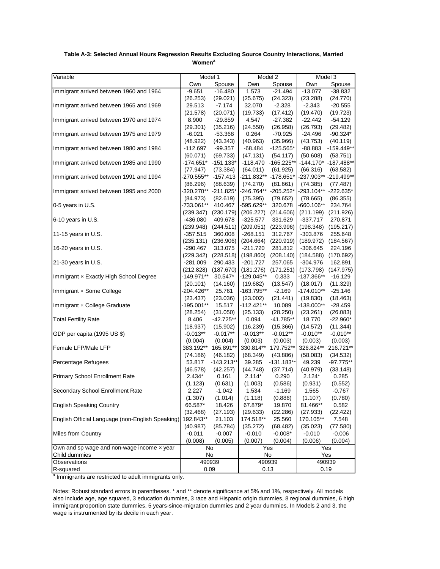| Variable                                         | Model 1                |                      | Model 2                |                     | Model 3                 |                     |
|--------------------------------------------------|------------------------|----------------------|------------------------|---------------------|-------------------------|---------------------|
|                                                  | Own<br>Spouse          |                      | Own<br>Spouse          |                     | Own<br>Spouse           |                     |
| Immigrant arrived between 1960 and 1964          | $-9.651$               | $-16.480$            | 1.573                  | $-21.494$           | $-13.077$               | $-38.832$           |
|                                                  | (26.253)               | (29.021)             | (25.675)               | (24.323)            | (23.288)                | (24.770)            |
| Immigrant arrived between 1965 and 1969          | 29.513                 | $-7.174$             | 32.070                 | $-2.328$            | $-2.343$                | $-20.555$           |
|                                                  | (21.578)               | (20.071)             | (19.733)               | (17.412)            | (19.470)                | (19.723)            |
| Immigrant arrived between 1970 and 1974          | 8.900                  | -29.859              | 4.547                  | -27.382             | $-22.442$               | $-54.129$           |
|                                                  | (29.301)               | (35.216)             | (24.550)               | (26.958)            | (26.793)                | (29.482)            |
| Immigrant arrived between 1975 and 1979          | -6.021                 | -53.368              | 0.264                  | -70.925             | -24.496                 | $-90.324*$          |
|                                                  | (48.922)               | (43.343)             | (40.963)               | (35.966)            | (43.753)                | (40.119)            |
| Immigrant arrived between 1980 and 1984          | -112.697               | -99.357              | -68.484                | $-125.565*$         | -88.883                 | $-159.449**$        |
|                                                  | (60.071)               | (69.733)             | (47.131)               | (54.117)            | (50.608)                | (53.751)            |
| Immigrant arrived between 1985 and 1990          | -174.651*              | $-151.133*$          |                        | -118.470 -165.225** | -144.170* -187.488**    |                     |
|                                                  | (77.947)               | (73.384)             | (64.011)               | (61.925)            | (66.316)                | (63.582)            |
| Immigrant arrived between 1991 and 1994          | -270.555**             | $-157.413$           | -211.832** -178.651*   |                     | -237.903** -219.499**   |                     |
|                                                  | (86.296)               | (88.639)             | (74.270)               | (81.661)            | (74.385)                | (77.487)            |
| Immigrant arrived between 1995 and 2000          |                        | -320.270** -211.825* | -246.764** -205.252*   |                     | -293.104** -222.635*    |                     |
|                                                  | (84.973)               | (82.619)             | (75.395)               | (79.652)            | (78.665)                | (86.355)            |
| 0-5 years in U.S.                                | -733.061**             | 410.467              | -595.629**             | 320.678             | -660.106**              | 234.764             |
|                                                  | (239.347)              | (230.179)            | (206.227)              | (214.606)           | $(211.199)$ $(211.926)$ |                     |
| 6-10 years in U.S.                               | $-436.080$             | 409.678              | $-325.577$             | 331.629             | $-337.717$              | 270.871             |
|                                                  | (239.948)              | (244.511)            | (209.051)              | (223.996)           | $(198.348)$ $(195.217)$ |                     |
| 11-15 years in U.S.                              | -357.515               | 360.008              | $-268.151$             | 312.767             | -303.876                | 255.648             |
|                                                  | (235.131)              | (236.906)            | (204.664)              | (220.919)           | $(189.972)$ $(184.567)$ |                     |
| 16-20 years in U.S.                              | -290.467               | 313.075              | $-211.720$             | 281.812             | -306.645                | 224.196             |
|                                                  | (229.342)              | (228.518)            | (198.860)              | (208.140)           | $(184.588)$ $(170.692)$ |                     |
| 21-30 years in U.S.                              | $-281.009$             | 290.433              | -201.727               | 257.065             | $-304.976$              | 162.891             |
|                                                  | (212.828)              | (187.670)            | (181.276)              | (171.251)           | (173.798)               | (147.975)           |
| Immigrant x Exactly High School Degree           | -149.971**             | 30.547*              | -129.045**             | 0.333               | -137.366**              | $-16.129$           |
|                                                  | (20.101)               | (14.160)             | (19.682)               | (13.547)            | (18.017)                | (11.329)            |
| Immigrant × Some College                         | -204.426**             | 25.761               | -163.795**             | $-2.169$            | -174.010**              | $-25.146$           |
| Immigrant × College Graduate                     | (23.437)               | (23.036)             | (23.002)               | (21.441)            | (19.830)                | (18.463)            |
|                                                  | -195.001**<br>(28.254) | 15.517<br>(31.050)   | -112.421**<br>(25.133) | 10.089<br>(28.250)  | -138.000**<br>(23.261)  | -28.459<br>(26.083) |
| <b>Total Fertility Rate</b>                      | 8.406                  | -42.725**            | 0.094                  | $-41.785**$         | 18.770                  | $-22.960*$          |
|                                                  | (18.937)               | (15.902)             | (16.239)               | (15.366)            | (14.572)                | (11.344)            |
| GDP per capita (1995 US \$)                      | $-0.013**$             | $-0.017**$           | $-0.013**$             | $-0.012**$          | $-0.010**$              | $-0.010**$          |
|                                                  | (0.004)                | (0.004)              | (0.003)                | (0.003)             | (0.003)                 | (0.003)             |
| Female LFP/Male LFP                              | 383.192**              | 165.891**            | 330.814**              | 179.752**           | 326.824**               | 216.721**           |
|                                                  | (74.186)               | (46.182)             | (68.349)               | (43.886)            | (58.083)                | (34.532)            |
| Percentage Refugees                              | 53.817                 | $-143.213**$         | 39.285                 | $-131.183**$        | 49.239                  | $-97.775**$         |
|                                                  | (46.578)               | (42.257)             | (44.748)               | (37.714)            | (40.979)                | (33.148)            |
| <b>Primary School Enrollment Rate</b>            | $2.434*$               | 0.161                | $2.114*$               | 0.290               | $2.124*$                | 0.285               |
|                                                  | (1.123)                | (0.631)              | (1.003)                | (0.586)             | (0.931)                 | (0.552)             |
| Secondary School Enrollment Rate                 | 2.227                  | $-1.042$             | 1.534                  | -1.169              | 1.565                   | -0.767              |
|                                                  | (1.307)                | (1.014)              | (1.118)                | (0.886)             | (1.107)                 | (0.780)             |
| <b>English Speaking Country</b>                  | 66.587*                | 18.426               | 67.879*                | 19.870              | 81.466**                | 0.582               |
|                                                  | (32.468)               | (27.193)             | (29.633)               | (22.286)            | (27.933)                | (22.422)            |
| English Official Language (non-English Speaking) | 192.843**              | 21.103               | 174.518**              | 25.560              | 170.105**               | 7.548               |
|                                                  | (40.987)               | (85.784)             | (35.272)               | (68.482)            | (35.023)                | (77.580)            |
| Miles from Country                               | $-0.011$               | $-0.007$             | $-0.010$               | $-0.008*$           | $-0.010$                | $-0.006$            |
|                                                  | (0.008)                | (0.005)              | (0.007)                | (0.004)             | (0.006)                 | (0.004)             |
| Own and sp wage and non-wage income x year       | No                     |                      | Yes                    |                     | Yes                     |                     |
| Child dummies                                    | No                     |                      | No                     |                     | Yes                     |                     |
| Observations                                     |                        | 490939               | 490939                 |                     | 490939                  |                     |
| R-squared                                        | 0.09                   |                      | 0.13                   |                     | 0.19                    |                     |

#### **Table A-3: Selected Annual Hours Regression Results Excluding Source Country Interactions, Married Women<sup>a</sup>**

<sup>a</sup> Immigrants are restricted to adult immigrants only.

Notes: Robust standard errors in parentheses. \* and \*\* denote significance at 5% and 1%, respectively. All models also include age, age squared, 3 education dummies, 3 race and Hispanic origin dummies, 8 regional dummies, 6 high immigrant proportion state dummies, 5 years-since-migration dummies and 2 year dummies. In Models 2 and 3, the wage is instrumented by its decile in each year.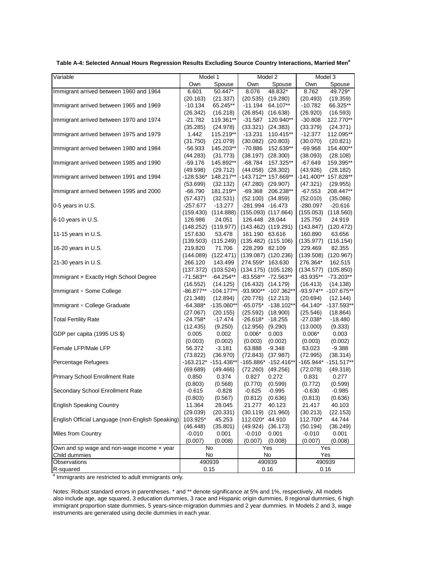| Variable                                         | Model 1               |                                   | Model 2                                   |                         | Model $3$             |                       |  |
|--------------------------------------------------|-----------------------|-----------------------------------|-------------------------------------------|-------------------------|-----------------------|-----------------------|--|
|                                                  | Own                   | Spouse                            | Own                                       | Spouse                  | Own                   | Spouse                |  |
| Immigrant arrived between 1960 and 1964          | 6.601                 | 50.447*                           | 8.076                                     | 48.832*                 | 8.762                 | 49.729*               |  |
|                                                  | (20.163)              | (21.337)                          | (20.535)                                  | (19.280)                | (20.493)              | (19.359)              |  |
| Immigrant arrived between 1965 and 1969          | $-10.134$             | 65.245**                          | $-11.194$                                 | 64.107**                | $-10.782$             | 66.325**              |  |
|                                                  | (26.342)              | (16.218)                          | (26.854)                                  | (16.638)                | (26.920)              | (16.593)              |  |
| Immigrant arrived between 1970 and 1974          | $-21.782$             | 119.361**                         | -31.587                                   | 120.940**               | $-30.808$             | 122.770**             |  |
|                                                  | (35.285)              | (24.978)                          | $(33.321)$ $(24.383)$                     |                         | (33.379)              | (24.371)              |  |
| Immigrant arrived between 1975 and 1979          | 1.442                 | 115.219**                         | $-13.231$                                 | 110.415**               | $-12.377$             | 112.095**             |  |
|                                                  | (31.750)              | (21.079)                          | (30.082)                                  | (20.803)                | (30.070)              | (20.821)              |  |
| Immigrant arrived between 1980 and 1984          | -56.933               | 145.203**                         | -70.886                                   | 152.639**               | -69.968               | 154.400**             |  |
|                                                  | (44.283)              | (31.773)                          | (38.197)                                  | (28.300)                | (38.093)              | (28.108)              |  |
| Immigrant arrived between 1985 and 1990          | $-59.176$             | 145.892**                         | $-68.784$                                 | 157.325**               | $-67.649$             | 159.395**             |  |
|                                                  | (49.598)              | (29.712)                          | $(44.058)$ $(28.302)$                     |                         | (43.926)              | (28.182)              |  |
| Immigrant arrived between 1991 and 1994          | -128.536*             | 148.217**                         |                                           | -143.712** 157.669**    | -141.400**            | 157.828**             |  |
|                                                  |                       |                                   |                                           |                         |                       |                       |  |
| Immigrant arrived between 1995 and 2000          | (53.699)<br>$-66.790$ | (32.132)<br>181.219**             | $(47.280)$ $(29.907)$<br>-69.368          | 206.238**               | (47.321)<br>$-67.553$ | (29.955)<br>208.447** |  |
|                                                  |                       |                                   |                                           |                         |                       |                       |  |
| 0-5 years in U.S.                                | (57.437)<br>-257.677  | (32.531)<br>$-13.277$             | $(52.100)$ $(34.859)$<br>-281.994 -16.473 |                         | (52.010)<br>-280.097  | (35.086)<br>$-20.616$ |  |
|                                                  |                       | (114.888)                         |                                           | $(155.093)$ $(117.664)$ |                       |                       |  |
| 6-10 years in U.S.                               | (159.430)<br>126.986  | 24.051                            |                                           |                         | (155.053)             | (118.560)<br>24.919   |  |
|                                                  |                       | $(148.252)$ $(119.977)$           | 126.448 28.044                            |                         | 125.750               |                       |  |
|                                                  | 157.630               | 53.478                            | 161.190 63.616                            | $(143.462)$ $(119.291)$ | (143.847)<br>160.890  | (120.472)<br>63.656   |  |
| 11-15 years in U.S.                              |                       |                                   |                                           |                         |                       |                       |  |
|                                                  | 219.820               | $(139.503)$ $(115.249)$<br>71.706 | 228.299 82.109                            | $(135.482)$ $(115.106)$ | (135.977)<br>229.469  | (116.154)<br>82.355   |  |
| 16-20 years in U.S.                              |                       | (122.471)                         |                                           |                         | (139.508)             |                       |  |
| 21-30 years in U.S.                              | (144.089)             |                                   |                                           | $(139.087)$ $(120.236)$ | 276.364*              | (120.967)             |  |
|                                                  | 266.120<br>(137.372)  | 143.499<br>(103.524)              | 274.559* 163.630                          | $(134.175)$ $(105.128)$ | (134.577)             | 162.515<br>(105.850)  |  |
| Immigrant x Exactly High School Degree           | -71.583**             | $-64.254**$                       |                                           | -83.558** -72.563**     | -83.935**             | $-73.203**$           |  |
|                                                  | (16.552)              | (14.125)                          | $(16.432)$ $(14.179)$                     |                         | (16.413)              | (14.138)              |  |
| Immigrant × Some College                         |                       | -86.877** -104.177**              |                                           | -93.900** -107.362**    | -93.974**             | $-107.675**$          |  |
|                                                  | (21.348)              | (12.894)                          | $(20.776)$ $(12.213)$                     |                         | (20.694)              | (12.144)              |  |
| Immigrant × College Graduate                     | $-64.388*$            | $-135.060**$                      |                                           | -65.075* -138.102**     | $-64.140*$            | $-137.593**$          |  |
|                                                  | (27.067)              | (20.155)                          | $(25.592)$ $(18.900)$                     |                         | (25.546)              | (18.864)              |  |
| <b>Total Fertility Rate</b>                      | $-24.758*$            | $-17.474$                         | $-26.618$ * $-18.255$                     |                         | $-27.038*$            | $-18.480$             |  |
|                                                  | (12.435)              | (9.250)                           | (12.956)                                  | (9.290)                 | (13.000)              | (9.333)               |  |
| GDP per capita (1995 US \$)                      | 0.005                 | 0.002                             | $0.006*$                                  | 0.003                   | $0.006*$              | 0.003                 |  |
|                                                  | (0.003)               | (0.002)                           | (0.003)                                   | (0.002)                 | (0.003)               | (0.002)               |  |
| Female LFP/Male LFP                              | 56.372                | $-3.181$                          | 63.888                                    | $-9.348$                | 63.023                | $-9.388$              |  |
|                                                  | (73.822)              | (36.970)                          | $(72.843)$ $(37.987)$                     |                         | (72.995)              | (38.314)              |  |
| Percentage Refugees                              |                       | $-163.212$ * $-151.436$ **        |                                           | -165.886* -152.416**    |                       | -165.944* -151.517**  |  |
|                                                  | (69.689)              | (49.466)                          | $(72.260)$ $(49.256)$                     |                         | (72.078)              | (49.318)              |  |
| <b>Primary School Enrollment Rate</b>            | 0.850                 | 0.374                             | 0.827                                     | 0.272                   | 0.831                 | 0.277                 |  |
|                                                  | (0.803)               | (0.568)                           | (0.770)                                   | (0.599)                 | (0.772)               | (0.599)               |  |
| Secondary School Enrollment Rate                 | $-0.615$              | $-0.828$                          | $-0.625$                                  | $-0.995$                | $-0.630$              | $-0.985$              |  |
|                                                  | (0.803)               | (0.567)                           | (0.812)                                   | (0.636)                 | (0.813)               | (0.636)               |  |
| <b>English Speaking Country</b>                  | 11.364                | 28.045                            | 21.277                                    | 40.123                  | 21.417                | 40.103                |  |
|                                                  | (29.039)              | (20.331)                          | (30.119)                                  | (21.960)                | (30.213)              | (22.153)              |  |
| English Official Language (non-English Speaking) | 103.925*              | 45.253                            | 112.020*                                  | 44.910                  | 112.700*              | 44.744                |  |
|                                                  | (46.448)              | (35.801)                          | (49.924)                                  | (36.173)                | (50.194)              | (36.249)              |  |
| Miles from Country                               | $-0.010$              | 0.001                             | $-0.010$                                  | 0.001                   | -0.010                | 0.001                 |  |
|                                                  | (0.007)               | (0.008)                           | (0.007)                                   | (0.008)                 | (0.007)               | (0.008)               |  |
| Own and sp wage and non-wage income x year       |                       | No                                | Yes                                       |                         | Yes                   |                       |  |
| Child dummies                                    |                       | No                                | No                                        |                         | Yes                   |                       |  |
| Observations                                     |                       | 490939                            |                                           | 490939                  |                       | 490939                |  |
| R-squared                                        | 0.15                  |                                   | 0.16                                      |                         | 0.16                  |                       |  |

Table A-4: Selected Annual Hours Regression Results Excluding Source Country Interactions, Married Men<sup>a</sup>

a Immigrants are restricted to adult immigrants only.

Notes: Robust standard errors in parentheses. \* and \*\* denote significance at 5% and 1%, respectively. All models also include age, age squared, 3 education dummies, 3 race and Hispanic origin dummies, 8 regional dummies, 6 high immigrant proportion state dummies, 5 years-since-migration dummies and 2 year dummies. In Models 2 and 3, wage instruments are generated using decile dummies in each year.